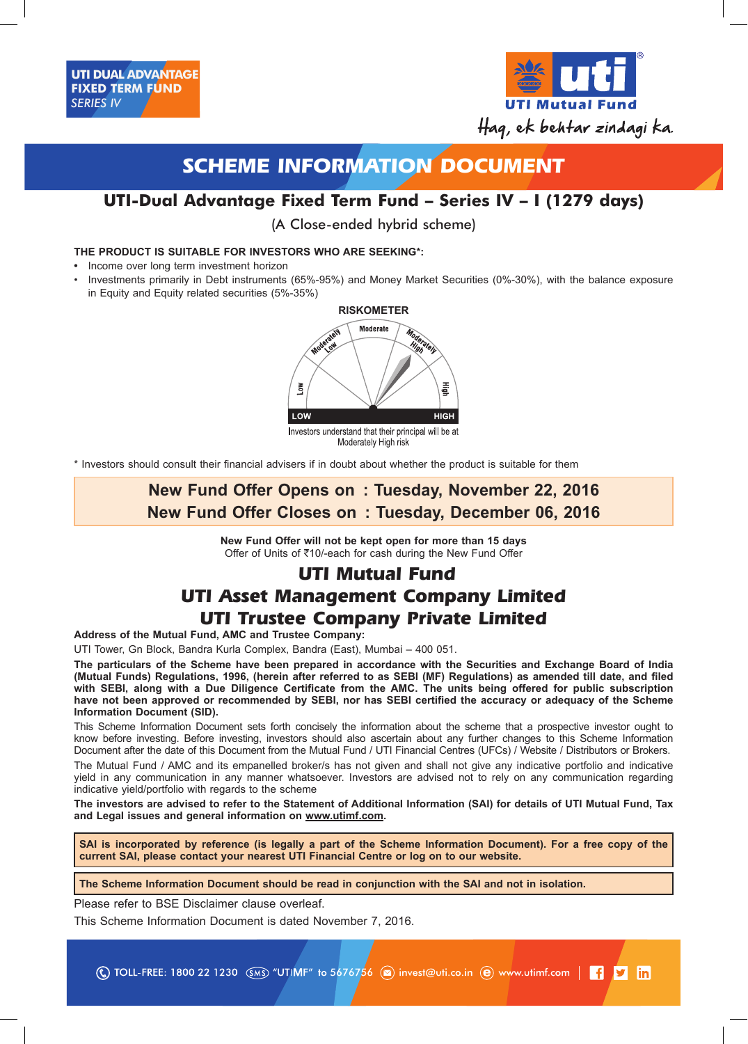

# **SCHEME INFORMATION DOCUMENT**

# **UTI-Dual Advantage Fixed Term Fund – Series IV – I (1279 days)**

(A Close-ended hybrid scheme)

# **THE PRODUCT IS SUITABLE FOR INVESTORS WHO ARE SEEKING\*:**

- **•** Income over long term investment horizon
- • Investments primarily in Debt instruments (65%-95%) and Money Market Securities (0%-30%), with the balance exposure in Equity and Equity related securities (5%-35%)



\* Investors should consult their financial advisers if in doubt about whether the product is suitable for them

# **New Fund Offer Opens on : Tuesday, November 22, 2016 New Fund Offer Closes on : Tuesday, December 06, 2016**

**New Fund Offer will not be kept open for more than 15 days** Offer of Units of ₹10/-each for cash during the New Fund Offer

# **UTI Mutual Fund UTI Asset Management Company Limited UTI Trustee Company Private Limited**

**Address of the Mutual Fund, AMC and Trustee Company:**

UTI Tower, Gn Block, Bandra Kurla Complex, Bandra (East), Mumbai – 400 051.

**The particulars of the Scheme have been prepared in accordance with the Securities and Exchange Board of India (Mutual Funds) Regulations, 1996, (herein after referred to as SEBI (MF) Regulations) as amended till date, and filed with SEBI, along with a Due Diligence Certificate from the AMC. The units being offered for public subscription have not been approved or recommended by SEBI, nor has SEBI certified the accuracy or adequacy of the Scheme Information Document (SID).**

This Scheme Information Document sets forth concisely the information about the scheme that a prospective investor ought to know before investing. Before investing, investors should also ascertain about any further changes to this Scheme Information Document after the date of this Document from the Mutual Fund / UTI Financial Centres (UFCs) / Website / Distributors or Brokers.

The Mutual Fund / AMC and its empanelled broker/s has not given and shall not give any indicative portfolio and indicative yield in any communication in any manner whatsoever. Investors are advised not to rely on any communication regarding indicative yield/portfolio with regards to the scheme

**The investors are advised to refer to the Statement of Additional Information (SAI) for details of UTI Mutual Fund, Tax and Legal issues and general information on www.utimf.com.**

**SAI is incorporated by reference (is legally a part of the Scheme Information Document). For a free copy of the current SAI, please contact your nearest UTI Financial Centre or log on to our website.**

**The Scheme Information Document should be read in conjunction with the SAI and not in isolation.**

Please refer to BSE Disclaimer clause overleaf.

This Scheme Information Document is dated November 7, 2016.

(C) TOLL-FREE: 1800 22 1230 (SMS) "UTIMF" to 5676756 (a) invest@uti.co.in (e) www.utimf.com |  $\begin{bmatrix} 1 & y \\ 1 & 1 \end{bmatrix}$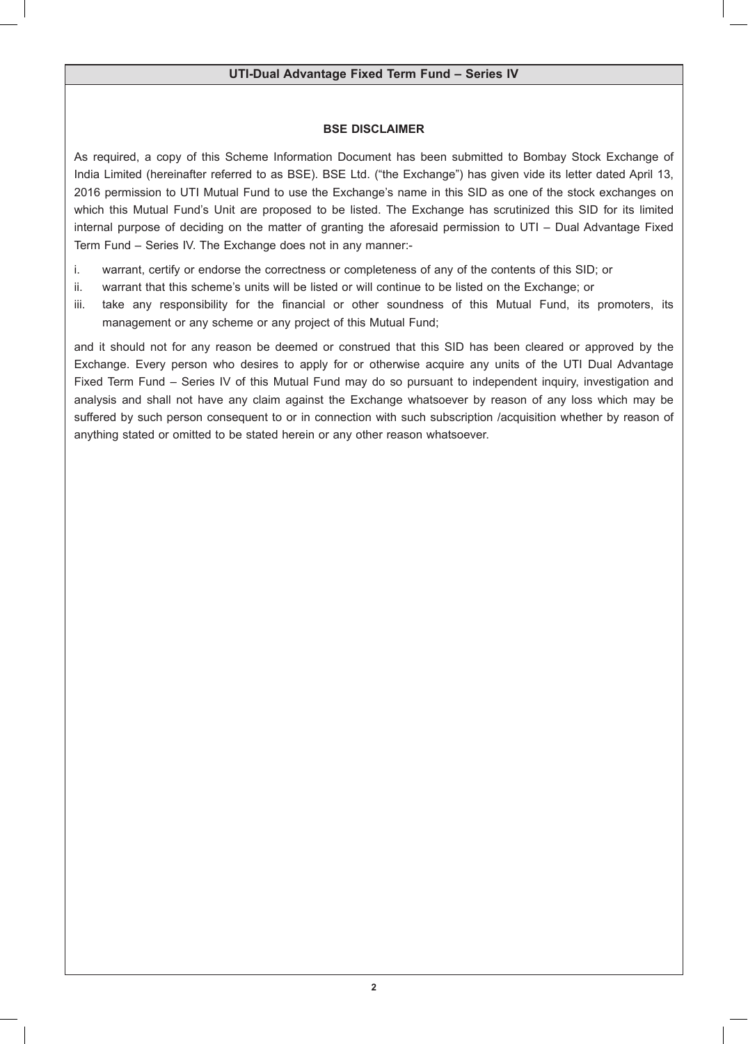# **BSE DISCLAIMER**

As required, a copy of this Scheme Information Document has been submitted to Bombay Stock Exchange of India Limited (hereinafter referred to as BSE). BSE Ltd. ("the Exchange") has given vide its letter dated April 13, 2016 permission to UTI Mutual Fund to use the Exchange's name in this SID as one of the stock exchanges on which this Mutual Fund's Unit are proposed to be listed. The Exchange has scrutinized this SID for its limited internal purpose of deciding on the matter of granting the aforesaid permission to UTI – Dual Advantage Fixed Term Fund – Series IV. The Exchange does not in any manner:-

- i. warrant, certify or endorse the correctness or completeness of any of the contents of this SID; or
- ii. warrant that this scheme's units will be listed or will continue to be listed on the Exchange; or
- iii. take any responsibility for the financial or other soundness of this Mutual Fund, its promoters, its management or any scheme or any project of this Mutual Fund;

and it should not for any reason be deemed or construed that this SID has been cleared or approved by the Exchange. Every person who desires to apply for or otherwise acquire any units of the UTI Dual Advantage Fixed Term Fund – Series IV of this Mutual Fund may do so pursuant to independent inquiry, investigation and analysis and shall not have any claim against the Exchange whatsoever by reason of any loss which may be suffered by such person consequent to or in connection with such subscription /acquisition whether by reason of anything stated or omitted to be stated herein or any other reason whatsoever.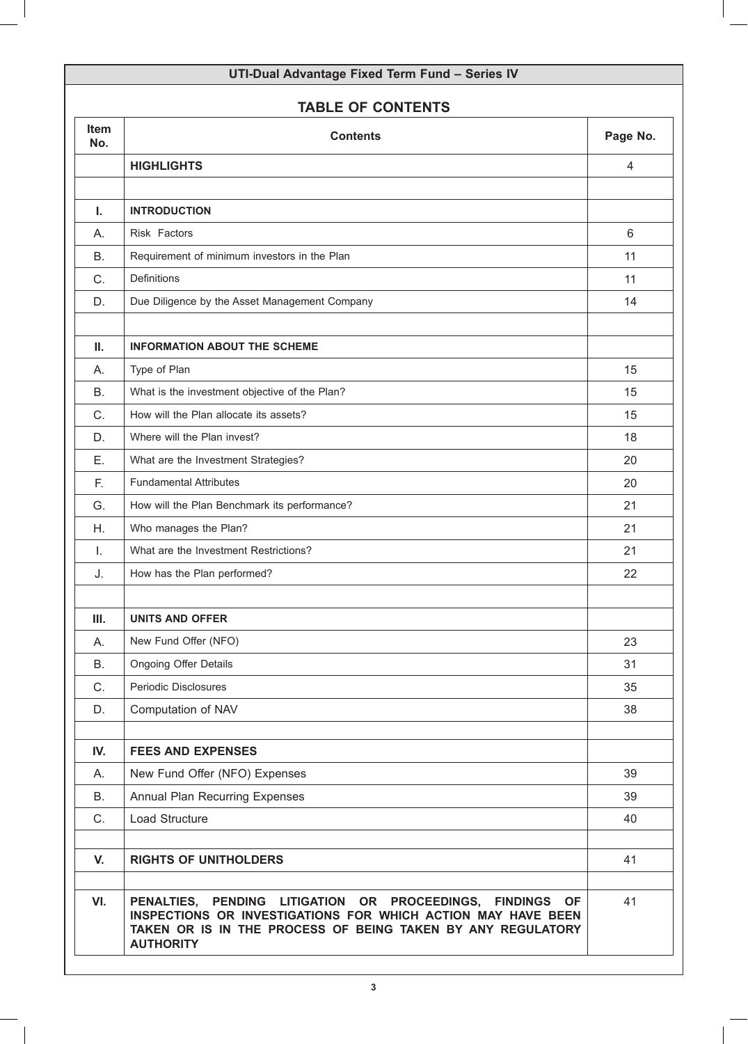# **TABLE OF CONTENTS**

| <b>Item</b><br>No. | <b>Contents</b>                                                                                                                                                                                                                                                       | Page No. |
|--------------------|-----------------------------------------------------------------------------------------------------------------------------------------------------------------------------------------------------------------------------------------------------------------------|----------|
|                    | <b>HIGHLIGHTS</b>                                                                                                                                                                                                                                                     | 4        |
|                    |                                                                                                                                                                                                                                                                       |          |
| Ι.                 | <b>INTRODUCTION</b>                                                                                                                                                                                                                                                   |          |
| Α.                 | Risk Factors                                                                                                                                                                                                                                                          | 6        |
| В.                 | Requirement of minimum investors in the Plan                                                                                                                                                                                                                          | 11       |
| C.                 | Definitions                                                                                                                                                                                                                                                           | 11       |
| D.                 | Due Diligence by the Asset Management Company                                                                                                                                                                                                                         | 14       |
| Ш.                 | <b>INFORMATION ABOUT THE SCHEME</b>                                                                                                                                                                                                                                   |          |
| Α.                 | Type of Plan                                                                                                                                                                                                                                                          | 15       |
| <b>B.</b>          | What is the investment objective of the Plan?                                                                                                                                                                                                                         | 15       |
| C.                 | How will the Plan allocate its assets?                                                                                                                                                                                                                                | 15       |
| D.                 | Where will the Plan invest?                                                                                                                                                                                                                                           | 18       |
| Ε.                 | What are the Investment Strategies?                                                                                                                                                                                                                                   | 20       |
| F.                 | <b>Fundamental Attributes</b>                                                                                                                                                                                                                                         | 20       |
| G.                 | How will the Plan Benchmark its performance?                                                                                                                                                                                                                          | 21       |
| Η.                 | Who manages the Plan?                                                                                                                                                                                                                                                 | 21       |
| Τ.                 | What are the Investment Restrictions?                                                                                                                                                                                                                                 | 21       |
| J.                 | How has the Plan performed?                                                                                                                                                                                                                                           | 22       |
|                    |                                                                                                                                                                                                                                                                       |          |
| III.               | <b>UNITS AND OFFER</b>                                                                                                                                                                                                                                                |          |
| А.                 | New Fund Offer (NFO)                                                                                                                                                                                                                                                  | 23       |
| <b>B.</b>          | <b>Ongoing Offer Details</b>                                                                                                                                                                                                                                          | 31       |
| C.                 | Periodic Disclosures                                                                                                                                                                                                                                                  | 35       |
| D.                 | Computation of NAV                                                                                                                                                                                                                                                    | 38       |
| IV.                | <b>FEES AND EXPENSES</b>                                                                                                                                                                                                                                              |          |
| А.                 | New Fund Offer (NFO) Expenses                                                                                                                                                                                                                                         | 39       |
| <b>B.</b>          | Annual Plan Recurring Expenses                                                                                                                                                                                                                                        | 39       |
| C.                 | Load Structure                                                                                                                                                                                                                                                        | 40       |
| V.                 | <b>RIGHTS OF UNITHOLDERS</b>                                                                                                                                                                                                                                          | 41       |
| VI.                | <b>LITIGATION OR</b><br><b>PROCEEDINGS,</b><br><b>PENALTIES,</b><br><b>PENDING</b><br><b>FINDINGS</b><br><b>OF</b><br>INSPECTIONS OR INVESTIGATIONS FOR WHICH ACTION MAY HAVE BEEN<br>TAKEN OR IS IN THE PROCESS OF BEING TAKEN BY ANY REGULATORY<br><b>AUTHORITY</b> | 41       |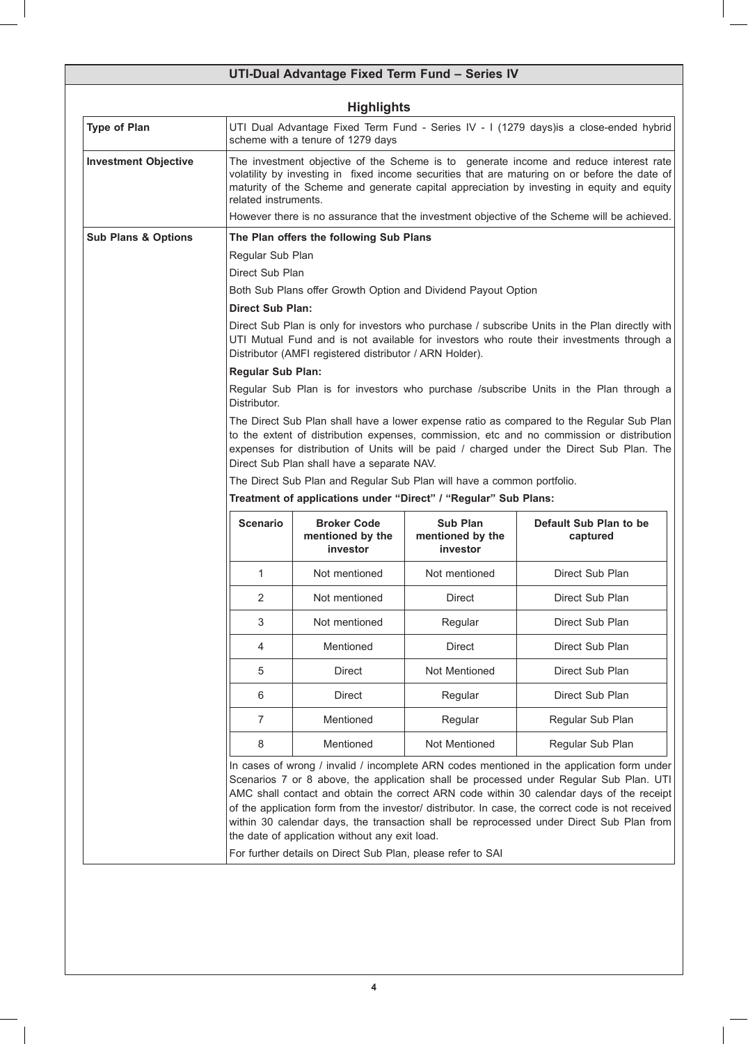|                                |                                                                                                                                                                                                                                                                                                              | <b>Highlights</b>                                       |                                                                        |                                                                                                                                                                                                                                                                                                                                                                                                                                                                                   |
|--------------------------------|--------------------------------------------------------------------------------------------------------------------------------------------------------------------------------------------------------------------------------------------------------------------------------------------------------------|---------------------------------------------------------|------------------------------------------------------------------------|-----------------------------------------------------------------------------------------------------------------------------------------------------------------------------------------------------------------------------------------------------------------------------------------------------------------------------------------------------------------------------------------------------------------------------------------------------------------------------------|
| <b>Type of Plan</b>            |                                                                                                                                                                                                                                                                                                              | scheme with a tenure of 1279 days                       |                                                                        | UTI Dual Advantage Fixed Term Fund - Series IV - I (1279 days)is a close-ended hybrid                                                                                                                                                                                                                                                                                                                                                                                             |
| <b>Investment Objective</b>    | The investment objective of the Scheme is to generate income and reduce interest rate<br>volatility by investing in fixed income securities that are maturing on or before the date of<br>maturity of the Scheme and generate capital appreciation by investing in equity and equity<br>related instruments. |                                                         |                                                                        |                                                                                                                                                                                                                                                                                                                                                                                                                                                                                   |
|                                |                                                                                                                                                                                                                                                                                                              |                                                         |                                                                        | However there is no assurance that the investment objective of the Scheme will be achieved.                                                                                                                                                                                                                                                                                                                                                                                       |
| <b>Sub Plans &amp; Options</b> |                                                                                                                                                                                                                                                                                                              | The Plan offers the following Sub Plans                 |                                                                        |                                                                                                                                                                                                                                                                                                                                                                                                                                                                                   |
|                                | Regular Sub Plan                                                                                                                                                                                                                                                                                             |                                                         |                                                                        |                                                                                                                                                                                                                                                                                                                                                                                                                                                                                   |
|                                | Direct Sub Plan                                                                                                                                                                                                                                                                                              |                                                         |                                                                        |                                                                                                                                                                                                                                                                                                                                                                                                                                                                                   |
|                                |                                                                                                                                                                                                                                                                                                              |                                                         | Both Sub Plans offer Growth Option and Dividend Payout Option          |                                                                                                                                                                                                                                                                                                                                                                                                                                                                                   |
|                                | <b>Direct Sub Plan:</b>                                                                                                                                                                                                                                                                                      |                                                         |                                                                        |                                                                                                                                                                                                                                                                                                                                                                                                                                                                                   |
|                                |                                                                                                                                                                                                                                                                                                              | Distributor (AMFI registered distributor / ARN Holder). |                                                                        | Direct Sub Plan is only for investors who purchase / subscribe Units in the Plan directly with<br>UTI Mutual Fund and is not available for investors who route their investments through a                                                                                                                                                                                                                                                                                        |
|                                | <b>Regular Sub Plan:</b>                                                                                                                                                                                                                                                                                     |                                                         |                                                                        |                                                                                                                                                                                                                                                                                                                                                                                                                                                                                   |
|                                | Distributor.                                                                                                                                                                                                                                                                                                 |                                                         |                                                                        | Regular Sub Plan is for investors who purchase /subscribe Units in the Plan through a                                                                                                                                                                                                                                                                                                                                                                                             |
|                                |                                                                                                                                                                                                                                                                                                              | Direct Sub Plan shall have a separate NAV.              |                                                                        | The Direct Sub Plan shall have a lower expense ratio as compared to the Regular Sub Plan<br>to the extent of distribution expenses, commission, etc and no commission or distribution<br>expenses for distribution of Units will be paid / charged under the Direct Sub Plan. The                                                                                                                                                                                                 |
|                                |                                                                                                                                                                                                                                                                                                              |                                                         | The Direct Sub Plan and Regular Sub Plan will have a common portfolio. |                                                                                                                                                                                                                                                                                                                                                                                                                                                                                   |
|                                |                                                                                                                                                                                                                                                                                                              |                                                         | Treatment of applications under "Direct" / "Regular" Sub Plans:        |                                                                                                                                                                                                                                                                                                                                                                                                                                                                                   |
|                                | <b>Scenario</b>                                                                                                                                                                                                                                                                                              | <b>Broker Code</b><br>mentioned by the<br>investor      | <b>Sub Plan</b><br>mentioned by the<br>investor                        | Default Sub Plan to be<br>captured                                                                                                                                                                                                                                                                                                                                                                                                                                                |
|                                | 1                                                                                                                                                                                                                                                                                                            | Not mentioned                                           | Not mentioned                                                          | Direct Sub Plan                                                                                                                                                                                                                                                                                                                                                                                                                                                                   |
|                                | 2                                                                                                                                                                                                                                                                                                            | Not mentioned                                           | <b>Direct</b>                                                          | Direct Sub Plan                                                                                                                                                                                                                                                                                                                                                                                                                                                                   |
|                                | 3                                                                                                                                                                                                                                                                                                            | Not mentioned                                           | Regular                                                                | Direct Sub Plan                                                                                                                                                                                                                                                                                                                                                                                                                                                                   |
|                                | 4                                                                                                                                                                                                                                                                                                            | Mentioned                                               | Direct                                                                 | Direct Sub Plan                                                                                                                                                                                                                                                                                                                                                                                                                                                                   |
|                                | 5                                                                                                                                                                                                                                                                                                            | Direct                                                  | Not Mentioned                                                          | Direct Sub Plan                                                                                                                                                                                                                                                                                                                                                                                                                                                                   |
|                                | 6                                                                                                                                                                                                                                                                                                            | Direct                                                  | Regular                                                                | Direct Sub Plan                                                                                                                                                                                                                                                                                                                                                                                                                                                                   |
|                                | 7                                                                                                                                                                                                                                                                                                            | Mentioned                                               | Regular                                                                | Regular Sub Plan                                                                                                                                                                                                                                                                                                                                                                                                                                                                  |
|                                | 8                                                                                                                                                                                                                                                                                                            | Mentioned                                               | Not Mentioned                                                          | Regular Sub Plan                                                                                                                                                                                                                                                                                                                                                                                                                                                                  |
|                                |                                                                                                                                                                                                                                                                                                              | the date of application without any exit load.          |                                                                        | In cases of wrong / invalid / incomplete ARN codes mentioned in the application form under<br>Scenarios 7 or 8 above, the application shall be processed under Regular Sub Plan. UTI<br>AMC shall contact and obtain the correct ARN code within 30 calendar days of the receipt<br>of the application form from the investor/ distributor. In case, the correct code is not received<br>within 30 calendar days, the transaction shall be reprocessed under Direct Sub Plan from |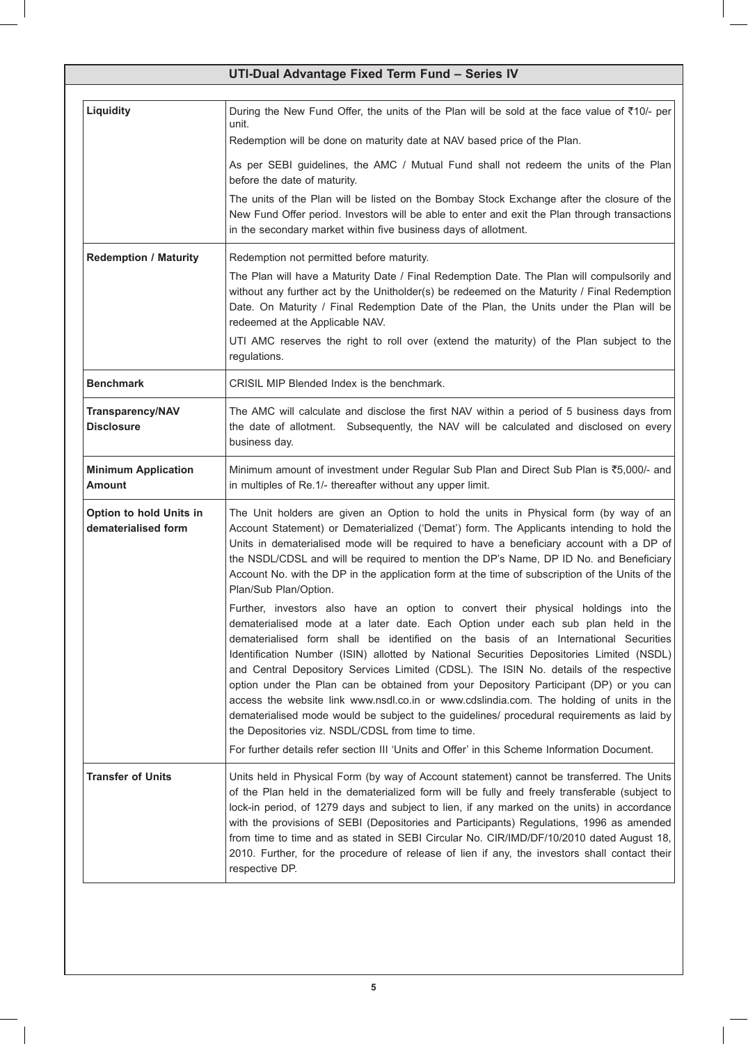|                                                | UTI-Dual Advantage Fixed Term Fund - Series IV                                                                                                                                                                                                                                                                                                                                                                                                                                                                                                                                                                                                                                                                                                                                                                                                                                                |
|------------------------------------------------|-----------------------------------------------------------------------------------------------------------------------------------------------------------------------------------------------------------------------------------------------------------------------------------------------------------------------------------------------------------------------------------------------------------------------------------------------------------------------------------------------------------------------------------------------------------------------------------------------------------------------------------------------------------------------------------------------------------------------------------------------------------------------------------------------------------------------------------------------------------------------------------------------|
| Liquidity                                      | During the New Fund Offer, the units of the Plan will be sold at the face value of ₹10/- per<br>unit.<br>Redemption will be done on maturity date at NAV based price of the Plan.                                                                                                                                                                                                                                                                                                                                                                                                                                                                                                                                                                                                                                                                                                             |
|                                                | As per SEBI guidelines, the AMC / Mutual Fund shall not redeem the units of the Plan<br>before the date of maturity.                                                                                                                                                                                                                                                                                                                                                                                                                                                                                                                                                                                                                                                                                                                                                                          |
|                                                | The units of the Plan will be listed on the Bombay Stock Exchange after the closure of the<br>New Fund Offer period. Investors will be able to enter and exit the Plan through transactions<br>in the secondary market within five business days of allotment.                                                                                                                                                                                                                                                                                                                                                                                                                                                                                                                                                                                                                                |
| <b>Redemption / Maturity</b>                   | Redemption not permitted before maturity.<br>The Plan will have a Maturity Date / Final Redemption Date. The Plan will compulsorily and<br>without any further act by the Unitholder(s) be redeemed on the Maturity / Final Redemption<br>Date. On Maturity / Final Redemption Date of the Plan, the Units under the Plan will be<br>redeemed at the Applicable NAV.                                                                                                                                                                                                                                                                                                                                                                                                                                                                                                                          |
|                                                | UTI AMC reserves the right to roll over (extend the maturity) of the Plan subject to the<br>regulations.                                                                                                                                                                                                                                                                                                                                                                                                                                                                                                                                                                                                                                                                                                                                                                                      |
| <b>Benchmark</b>                               | CRISIL MIP Blended Index is the benchmark.                                                                                                                                                                                                                                                                                                                                                                                                                                                                                                                                                                                                                                                                                                                                                                                                                                                    |
| <b>Transparency/NAV</b><br><b>Disclosure</b>   | The AMC will calculate and disclose the first NAV within a period of 5 business days from<br>the date of allotment. Subsequently, the NAV will be calculated and disclosed on every<br>business day.                                                                                                                                                                                                                                                                                                                                                                                                                                                                                                                                                                                                                                                                                          |
| <b>Minimum Application</b><br><b>Amount</b>    | Minimum amount of investment under Regular Sub Plan and Direct Sub Plan is ₹5,000/- and<br>in multiples of Re.1/- thereafter without any upper limit.                                                                                                                                                                                                                                                                                                                                                                                                                                                                                                                                                                                                                                                                                                                                         |
| Option to hold Units in<br>dematerialised form | The Unit holders are given an Option to hold the units in Physical form (by way of an<br>Account Statement) or Dematerialized ('Demat') form. The Applicants intending to hold the<br>Units in dematerialised mode will be required to have a beneficiary account with a DP of<br>the NSDL/CDSL and will be required to mention the DP's Name, DP ID No. and Beneficiary<br>Account No. with the DP in the application form at the time of subscription of the Units of the<br>Plan/Sub Plan/Option.                                                                                                                                                                                                                                                                                                                                                                                          |
|                                                | Further, investors also have an option to convert their physical holdings into the<br>dematerialised mode at a later date. Each Option under each sub plan held in the<br>dematerialised form shall be identified on the basis of an International Securities<br>Identification Number (ISIN) allotted by National Securities Depositories Limited (NSDL)<br>and Central Depository Services Limited (CDSL). The ISIN No. details of the respective<br>option under the Plan can be obtained from your Depository Participant (DP) or you can<br>access the website link www.nsdl.co.in or www.cdslindia.com. The holding of units in the<br>dematerialised mode would be subject to the guidelines/ procedural requirements as laid by<br>the Depositories viz. NSDL/CDSL from time to time.<br>For further details refer section III 'Units and Offer' in this Scheme Information Document. |
| <b>Transfer of Units</b>                       | Units held in Physical Form (by way of Account statement) cannot be transferred. The Units<br>of the Plan held in the dematerialized form will be fully and freely transferable (subject to<br>lock-in period, of 1279 days and subject to lien, if any marked on the units) in accordance<br>with the provisions of SEBI (Depositories and Participants) Regulations, 1996 as amended<br>from time to time and as stated in SEBI Circular No. CIR/IMD/DF/10/2010 dated August 18,<br>2010. Further, for the procedure of release of lien if any, the investors shall contact their<br>respective DP.                                                                                                                                                                                                                                                                                         |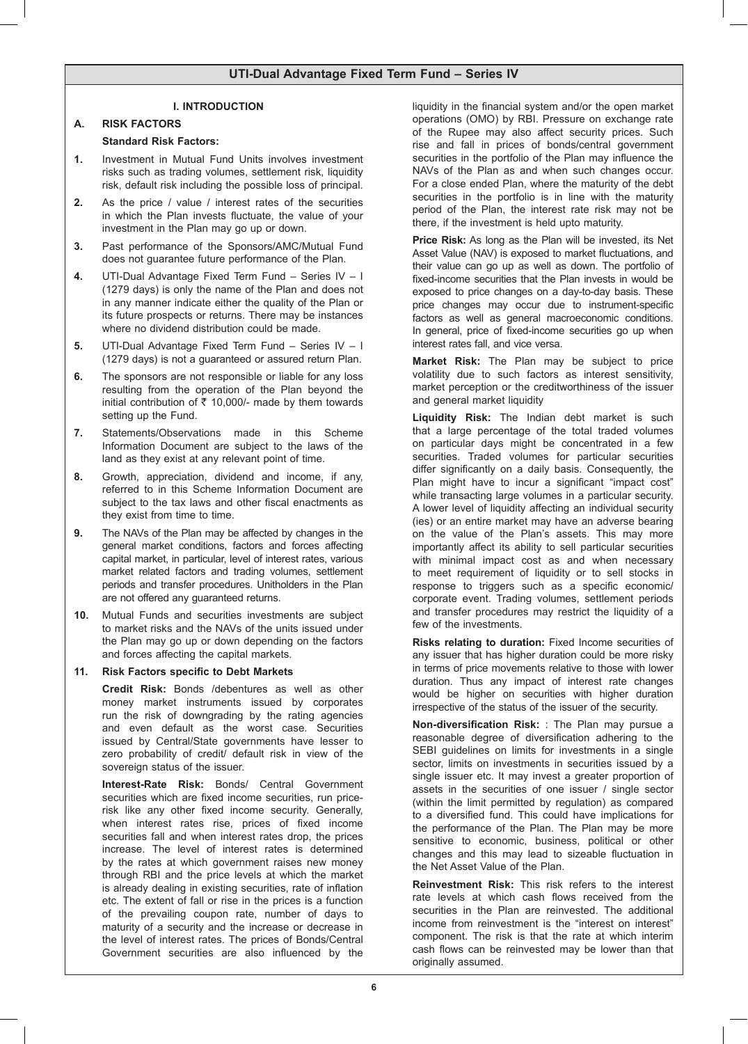### **I. INTRODUCTION**

### **A. RISK FACTORS**

### **Standard Risk Factors:**

- **1.** Investment in Mutual Fund Units involves investment risks such as trading volumes, settlement risk, liquidity risk, default risk including the possible loss of principal.
- 2. As the price / value / interest rates of the securities in which the Plan invests fluctuate, the value of your investment in the Plan may go up or down.
- **3.** Past performance of the Sponsors/AMC/Mutual Fund does not guarantee future performance of the Plan.
- **4.** UTI-Dual Advantage Fixed Term Fund Series IV I (1279 days) is only the name of the Plan and does not in any manner indicate either the quality of the Plan or its future prospects or returns. There may be instances where no dividend distribution could be made.
- **5.** UTI-Dual Advantage Fixed Term Fund Series IV I (1279 days) is not a guaranteed or assured return Plan.
- **6.** The sponsors are not responsible or liable for any loss resulting from the operation of the Plan beyond the initial contribution of  $\bar{\tau}$  10,000/- made by them towards setting up the Fund.
- **7.** Statements/Observations made in this Scheme Information Document are subject to the laws of the land as they exist at any relevant point of time.
- **8.** Growth, appreciation, dividend and income, if any, referred to in this Scheme Information Document are subject to the tax laws and other fiscal enactments as they exist from time to time.
- **9.** The NAVs of the Plan may be affected by changes in the general market conditions, factors and forces affecting capital market, in particular, level of interest rates, various market related factors and trading volumes, settlement periods and transfer procedures. Unitholders in the Plan are not offered any guaranteed returns.
- **10.** Mutual Funds and securities investments are subject to market risks and the NAVs of the units issued under the Plan may go up or down depending on the factors and forces affecting the capital markets.

### **11. Risk Factors specific to Debt Markets**

**Credit Risk:** Bonds /debentures as well as other money market instruments issued by corporates run the risk of downgrading by the rating agencies and even default as the worst case. Securities issued by Central/State governments have lesser to zero probability of credit/ default risk in view of the sovereign status of the issuer.

**Interest-Rate Risk:** Bonds/ Central Government securities which are fixed income securities, run pricerisk like any other fixed income security. Generally, when interest rates rise, prices of fixed income securities fall and when interest rates drop, the prices increase. The level of interest rates is determined by the rates at which government raises new money through RBI and the price levels at which the market is already dealing in existing securities, rate of inflation etc. The extent of fall or rise in the prices is a function of the prevailing coupon rate, number of days to maturity of a security and the increase or decrease in the level of interest rates. The prices of Bonds/Central Government securities are also influenced by the

liquidity in the financial system and/or the open market operations (OMO) by RBI. Pressure on exchange rate of the Rupee may also affect security prices. Such rise and fall in prices of bonds/central government securities in the portfolio of the Plan may influence the NAVs of the Plan as and when such changes occur. For a close ended Plan, where the maturity of the debt securities in the portfolio is in line with the maturity period of the Plan, the interest rate risk may not be there, if the investment is held upto maturity.

**Price Risk:** As long as the Plan will be invested, its Net Asset Value (NAV) is exposed to market fluctuations, and their value can go up as well as down. The portfolio of fixed-income securities that the Plan invests in would be exposed to price changes on a day-to-day basis. These price changes may occur due to instrument-specific factors as well as general macroeconomic conditions. In general, price of fixed-income securities go up when interest rates fall, and vice versa.

**Market Risk:** The Plan may be subject to price volatility due to such factors as interest sensitivity, market perception or the creditworthiness of the issuer and general market liquidity

**Liquidity Risk:** The Indian debt market is such that a large percentage of the total traded volumes on particular days might be concentrated in a few securities. Traded volumes for particular securities differ significantly on a daily basis. Consequently, the Plan might have to incur a significant "impact cost" while transacting large volumes in a particular security. A lower level of liquidity affecting an individual security (ies) or an entire market may have an adverse bearing on the value of the Plan's assets. This may more importantly affect its ability to sell particular securities with minimal impact cost as and when necessary to meet requirement of liquidity or to sell stocks in response to triggers such as a specific economic/ corporate event. Trading volumes, settlement periods and transfer procedures may restrict the liquidity of a few of the investments.

**Risks relating to duration:** Fixed Income securities of any issuer that has higher duration could be more risky in terms of price movements relative to those with lower duration. Thus any impact of interest rate changes would be higher on securities with higher duration irrespective of the status of the issuer of the security.

**Non-diversification Risk:** : The Plan may pursue a reasonable degree of diversification adhering to the SEBI guidelines on limits for investments in a single sector, limits on investments in securities issued by a single issuer etc. It may invest a greater proportion of assets in the securities of one issuer / single sector (within the limit permitted by regulation) as compared to a diversified fund. This could have implications for the performance of the Plan. The Plan may be more sensitive to economic, business, political or other changes and this may lead to sizeable fluctuation in the Net Asset Value of the Plan.

**Reinvestment Risk:** This risk refers to the interest rate levels at which cash flows received from the securities in the Plan are reinvested. The additional income from reinvestment is the "interest on interest" component. The risk is that the rate at which interim cash flows can be reinvested may be lower than that originally assumed.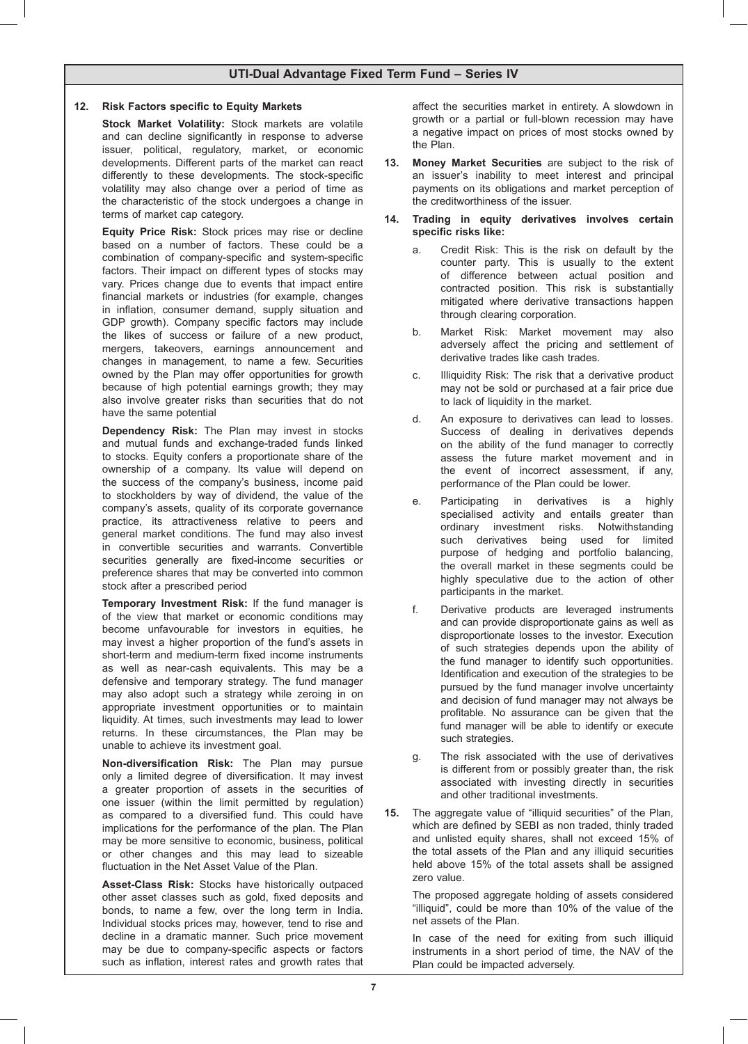### **12. Risk Factors specific to Equity Markets**

**Stock Market Volatility:** Stock markets are volatile and can decline significantly in response to adverse issuer, political, regulatory, market, or economic developments. Different parts of the market can react differently to these developments. The stock-specific volatility may also change over a period of time as the characteristic of the stock undergoes a change in terms of market cap category.

**Equity Price Risk:** Stock prices may rise or decline based on a number of factors. These could be a combination of company-specific and system-specific factors. Their impact on different types of stocks may vary. Prices change due to events that impact entire financial markets or industries (for example, changes in inflation, consumer demand, supply situation and GDP growth). Company specific factors may include the likes of success or failure of a new product, mergers, takeovers, earnings announcement and changes in management, to name a few. Securities owned by the Plan may offer opportunities for growth because of high potential earnings growth; they may also involve greater risks than securities that do not have the same potential

**Dependency Risk:** The Plan may invest in stocks and mutual funds and exchange-traded funds linked to stocks. Equity confers a proportionate share of the ownership of a company. Its value will depend on the success of the company's business, income paid to stockholders by way of dividend, the value of the company's assets, quality of its corporate governance practice, its attractiveness relative to peers and general market conditions. The fund may also invest in convertible securities and warrants. Convertible securities generally are fixed-income securities or preference shares that may be converted into common stock after a prescribed period

**Temporary Investment Risk:** If the fund manager is of the view that market or economic conditions may become unfavourable for investors in equities, he may invest a higher proportion of the fund's assets in short-term and medium-term fixed income instruments as well as near-cash equivalents. This may be a defensive and temporary strategy. The fund manager may also adopt such a strategy while zeroing in on appropriate investment opportunities or to maintain liquidity. At times, such investments may lead to lower returns. In these circumstances, the Plan may be unable to achieve its investment goal.

**Non-diversification Risk:** The Plan may pursue only a limited degree of diversification. It may invest a greater proportion of assets in the securities of one issuer (within the limit permitted by regulation) as compared to a diversified fund. This could have implications for the performance of the plan. The Plan may be more sensitive to economic, business, political or other changes and this may lead to sizeable fluctuation in the Net Asset Value of the Plan.

**Asset-Class Risk:** Stocks have historically outpaced other asset classes such as gold, fixed deposits and bonds, to name a few, over the long term in India. Individual stocks prices may, however, tend to rise and decline in a dramatic manner. Such price movement may be due to company-specific aspects or factors such as inflation, interest rates and growth rates that

affect the securities market in entirety. A slowdown in growth or a partial or full-blown recession may have a negative impact on prices of most stocks owned by the Plan.

- **13. Money Market Securities** are subject to the risk of an issuer's inability to meet interest and principal payments on its obligations and market perception of the creditworthiness of the issuer.
- **14. Trading in equity derivatives involves certain specific risks like:**
	- a. Credit Risk: This is the risk on default by the counter party. This is usually to the extent of difference between actual position and contracted position. This risk is substantially mitigated where derivative transactions happen through clearing corporation.
	- b. Market Risk: Market movement may also adversely affect the pricing and settlement of derivative trades like cash trades.
	- c. Illiquidity Risk: The risk that a derivative product may not be sold or purchased at a fair price due to lack of liquidity in the market.
	- d. An exposure to derivatives can lead to losses. Success of dealing in derivatives depends on the ability of the fund manager to correctly assess the future market movement and in the event of incorrect assessment, if any, performance of the Plan could be lower.
	- e. Participating in derivatives is a highly specialised activity and entails greater than ordinary investment risks. Notwithstanding such derivatives being used for limited purpose of hedging and portfolio balancing, the overall market in these segments could be highly speculative due to the action of other participants in the market.
	- f. Derivative products are leveraged instruments and can provide disproportionate gains as well as disproportionate losses to the investor. Execution of such strategies depends upon the ability of the fund manager to identify such opportunities. Identification and execution of the strategies to be pursued by the fund manager involve uncertainty and decision of fund manager may not always be profitable. No assurance can be given that the fund manager will be able to identify or execute such strategies.
	- g. The risk associated with the use of derivatives is different from or possibly greater than, the risk associated with investing directly in securities and other traditional investments.
- **15.** The aggregate value of "illiquid securities" of the Plan, which are defined by SEBI as non traded, thinly traded and unlisted equity shares, shall not exceed 15% of the total assets of the Plan and any illiquid securities held above 15% of the total assets shall be assigned zero value.

 The proposed aggregate holding of assets considered "illiquid", could be more than 10% of the value of the net assets of the Plan.

 In case of the need for exiting from such illiquid instruments in a short period of time, the NAV of the Plan could be impacted adversely.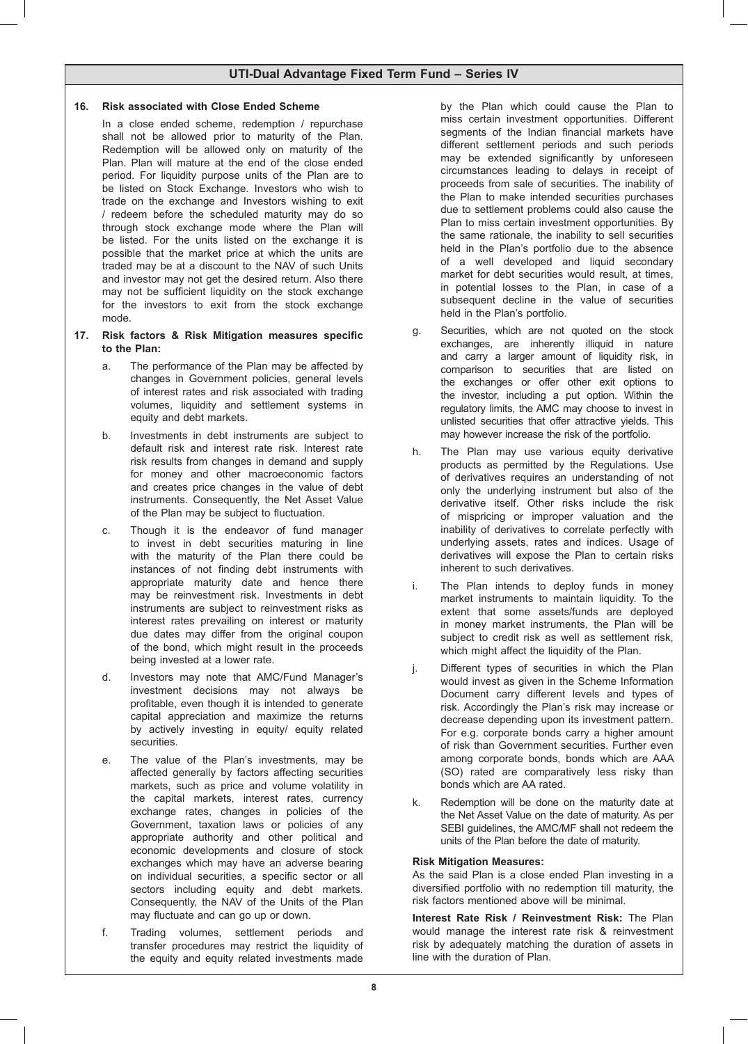### **16. Risk associated with Close Ended Scheme**

 In a close ended scheme, redemption / repurchase shall not be allowed prior to maturity of the Plan. Redemption will be allowed only on maturity of the Plan. Plan will mature at the end of the close ended period. For liquidity purpose units of the Plan are to be listed on Stock Exchange. Investors who wish to trade on the exchange and Investors wishing to exit / redeem before the scheduled maturity may do so through stock exchange mode where the Plan will be listed. For the units listed on the exchange it is possible that the market price at which the units are traded may be at a discount to the NAV of such Units and investor may not get the desired return. Also there may not be sufficient liquidity on the stock exchange for the investors to exit from the stock exchange mode.

### **17. Risk factors & Risk Mitigation measures specific to the Plan:**

- a. The performance of the Plan may be affected by changes in Government policies, general levels of interest rates and risk associated with trading volumes, liquidity and settlement systems in equity and debt markets.
- b. Investments in debt instruments are subject to default risk and interest rate risk. Interest rate risk results from changes in demand and supply for money and other macroeconomic factors and creates price changes in the value of debt instruments. Consequently, the Net Asset Value of the Plan may be subject to fluctuation.
- c. Though it is the endeavor of fund manager to invest in debt securities maturing in line with the maturity of the Plan there could be instances of not finding debt instruments with appropriate maturity date and hence there may be reinvestment risk. Investments in debt instruments are subject to reinvestment risks as interest rates prevailing on interest or maturity due dates may differ from the original coupon of the bond, which might result in the proceeds being invested at a lower rate.
- d. Investors may note that AMC/Fund Manager's investment decisions may not always be profitable, even though it is intended to generate capital appreciation and maximize the returns by actively investing in equity/ equity related securities.
- e. The value of the Plan's investments, may be affected generally by factors affecting securities markets, such as price and volume volatility in the capital markets, interest rates, currency exchange rates, changes in policies of the Government, taxation laws or policies of any appropriate authority and other political and economic developments and closure of stock exchanges which may have an adverse bearing on individual securities, a specific sector or all sectors including equity and debt markets. Consequently, the NAV of the Units of the Plan may fluctuate and can go up or down.
- f. Trading volumes, settlement periods and transfer procedures may restrict the liquidity of the equity and equity related investments made

by the Plan which could cause the Plan to miss certain investment opportunities. Different segments of the Indian financial markets have different settlement periods and such periods may be extended significantly by unforeseen circumstances leading to delays in receipt of proceeds from sale of securities. The inability of the Plan to make intended securities purchases due to settlement problems could also cause the Plan to miss certain investment opportunities. By the same rationale, the inability to sell securities held in the Plan's portfolio due to the absence of a well developed and liquid secondary market for debt securities would result, at times, in potential losses to the Plan, in case of a subsequent decline in the value of securities held in the Plan's portfolio.

- g. Securities, which are not quoted on the stock exchanges, are inherently illiquid in nature and carry a larger amount of liquidity risk, in comparison to securities that are listed on the exchanges or offer other exit options to the investor, including a put option. Within the regulatory limits, the AMC may choose to invest in unlisted securities that offer attractive yields. This may however increase the risk of the portfolio.
- h. The Plan may use various equity derivative products as permitted by the Regulations. Use of derivatives requires an understanding of not only the underlying instrument but also of the derivative itself. Other risks include the risk of mispricing or improper valuation and the inability of derivatives to correlate perfectly with underlying assets, rates and indices. Usage of derivatives will expose the Plan to certain risks inherent to such derivatives.
- i. The Plan intends to deploy funds in money market instruments to maintain liquidity. To the extent that some assets/funds are deployed in money market instruments, the Plan will be subject to credit risk as well as settlement risk, which might affect the liquidity of the Plan.
- j. Different types of securities in which the Plan would invest as given in the Scheme Information Document carry different levels and types of risk. Accordingly the Plan's risk may increase or decrease depending upon its investment pattern. For e.g. corporate bonds carry a higher amount of risk than Government securities. Further even among corporate bonds, bonds which are AAA (SO) rated are comparatively less risky than bonds which are AA rated.
- k. Redemption will be done on the maturity date at the Net Asset Value on the date of maturity. As per SEBI guidelines, the AMC/MF shall not redeem the units of the Plan before the date of maturity.

### **Risk Mitigation Measures:**

 As the said Plan is a close ended Plan investing in a diversified portfolio with no redemption till maturity, the risk factors mentioned above will be minimal.

**Interest Rate Risk / Reinvestment Risk:** The Plan would manage the interest rate risk & reinvestment risk by adequately matching the duration of assets in line with the duration of Plan.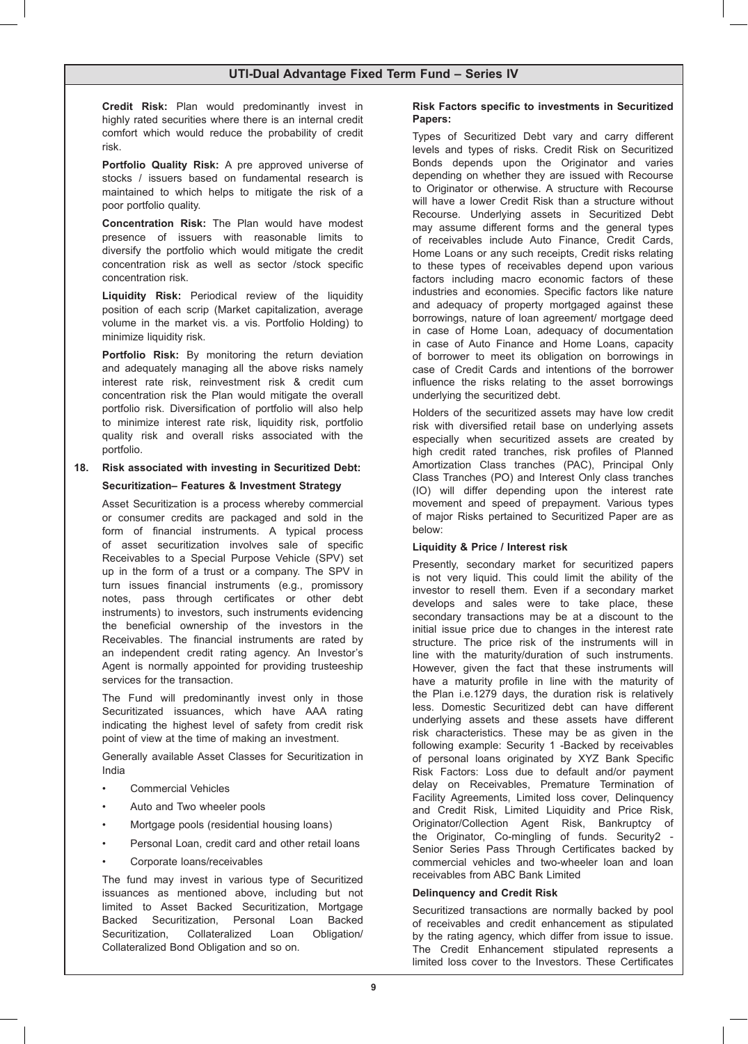**Credit Risk:** Plan would predominantly invest in highly rated securities where there is an internal credit comfort which would reduce the probability of credit risk.

**Portfolio Quality Risk:** A pre approved universe of stocks / issuers based on fundamental research is maintained to which helps to mitigate the risk of a poor portfolio quality.

**Concentration Risk:** The Plan would have modest presence of issuers with reasonable limits to diversify the portfolio which would mitigate the credit concentration risk as well as sector /stock specific concentration risk.

**Liquidity Risk:** Periodical review of the liquidity position of each scrip (Market capitalization, average volume in the market vis. a vis. Portfolio Holding) to minimize liquidity risk.

**Portfolio Risk:** By monitoring the return deviation and adequately managing all the above risks namely interest rate risk, reinvestment risk & credit cum concentration risk the Plan would mitigate the overall portfolio risk. Diversification of portfolio will also help to minimize interest rate risk, liquidity risk, portfolio quality risk and overall risks associated with the portfolio.

# **18. Risk associated with investing in Securitized Debt: Securitization– Features & Investment Strategy**

 Asset Securitization is a process whereby commercial or consumer credits are packaged and sold in the form of financial instruments. A typical process of asset securitization involves sale of specific Receivables to a Special Purpose Vehicle (SPV) set up in the form of a trust or a company. The SPV in turn issues financial instruments (e.g., promissory notes, pass through certificates or other debt instruments) to investors, such instruments evidencing the beneficial ownership of the investors in the Receivables. The financial instruments are rated by an independent credit rating agency. An Investor's Agent is normally appointed for providing trusteeship services for the transaction.

 The Fund will predominantly invest only in those Securitizated issuances, which have AAA rating indicating the highest level of safety from credit risk point of view at the time of making an investment.

 Generally available Asset Classes for Securitization in India

- Commercial Vehicles
- Auto and Two wheeler pools
- Mortgage pools (residential housing loans)
- Personal Loan, credit card and other retail loans
- Corporate loans/receivables

 The fund may invest in various type of Securitized issuances as mentioned above, including but not limited to Asset Backed Securitization, Mortgage Backed Securitization, Personal Loan Backed Securitization, Collateralized Loan Obligation/ Collateralized Bond Obligation and so on.

### **Risk Factors specific to investments in Securitized Papers:**

 Types of Securitized Debt vary and carry different levels and types of risks. Credit Risk on Securitized Bonds depends upon the Originator and varies depending on whether they are issued with Recourse to Originator or otherwise. A structure with Recourse will have a lower Credit Risk than a structure without Recourse. Underlying assets in Securitized Debt may assume different forms and the general types of receivables include Auto Finance, Credit Cards, Home Loans or any such receipts, Credit risks relating to these types of receivables depend upon various factors including macro economic factors of these industries and economies. Specific factors like nature and adequacy of property mortgaged against these borrowings, nature of loan agreement/ mortgage deed in case of Home Loan, adequacy of documentation in case of Auto Finance and Home Loans, capacity of borrower to meet its obligation on borrowings in case of Credit Cards and intentions of the borrower influence the risks relating to the asset borrowings underlying the securitized debt.

 Holders of the securitized assets may have low credit risk with diversified retail base on underlying assets especially when securitized assets are created by high credit rated tranches, risk profiles of Planned Amortization Class tranches (PAC), Principal Only Class Tranches (PO) and Interest Only class tranches (IO) will differ depending upon the interest rate movement and speed of prepayment. Various types of major Risks pertained to Securitized Paper are as below:

### **Liquidity & Price / Interest risk**

 Presently, secondary market for securitized papers is not very liquid. This could limit the ability of the investor to resell them. Even if a secondary market develops and sales were to take place, these secondary transactions may be at a discount to the initial issue price due to changes in the interest rate structure. The price risk of the instruments will in line with the maturity/duration of such instruments. However, given the fact that these instruments will have a maturity profile in line with the maturity of the Plan i.e.1279 days, the duration risk is relatively less. Domestic Securitized debt can have different underlying assets and these assets have different risk characteristics. These may be as given in the following example: Security 1 -Backed by receivables of personal loans originated by XYZ Bank Specific Risk Factors: Loss due to default and/or payment delay on Receivables, Premature Termination of Facility Agreements, Limited loss cover, Delinquency and Credit Risk, Limited Liquidity and Price Risk, Originator/Collection Agent Risk, Bankruptcy of the Originator, Co-mingling of funds. Security2 - Senior Series Pass Through Certificates backed by commercial vehicles and two-wheeler loan and loan receivables from ABC Bank Limited

### **Delinquency and Credit Risk**

 Securitized transactions are normally backed by pool of receivables and credit enhancement as stipulated by the rating agency, which differ from issue to issue. The Credit Enhancement stipulated represents a limited loss cover to the Investors. These Certificates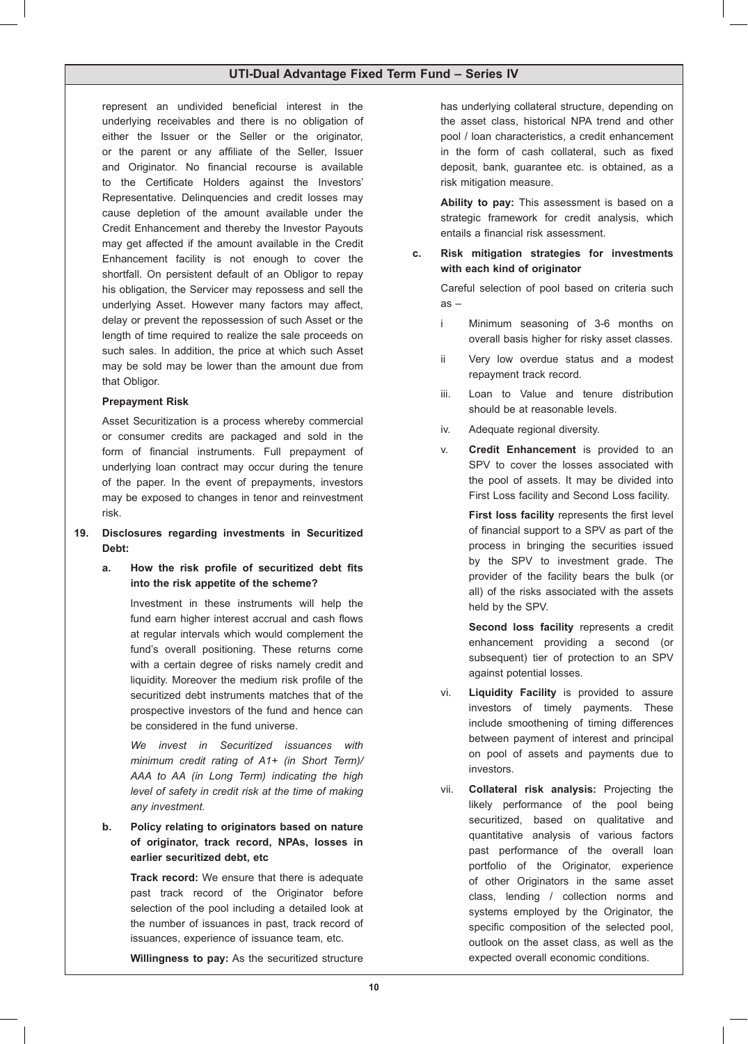represent an undivided beneficial interest in the underlying receivables and there is no obligation of either the Issuer or the Seller or the originator, or the parent or any affiliate of the Seller, Issuer and Originator. No financial recourse is available to the Certificate Holders against the Investors' Representative. Delinquencies and credit losses may cause depletion of the amount available under the Credit Enhancement and thereby the Investor Payouts may get affected if the amount available in the Credit Enhancement facility is not enough to cover the shortfall. On persistent default of an Obligor to repay his obligation, the Servicer may repossess and sell the underlying Asset. However many factors may affect, delay or prevent the repossession of such Asset or the length of time required to realize the sale proceeds on such sales. In addition, the price at which such Asset may be sold may be lower than the amount due from that Obligor.

### **Prepayment Risk**

 Asset Securitization is a process whereby commercial or consumer credits are packaged and sold in the form of financial instruments. Full prepayment of underlying loan contract may occur during the tenure of the paper. In the event of prepayments, investors may be exposed to changes in tenor and reinvestment risk.

### **19. Disclosures regarding investments in Securitized Debt:**

**a. How the risk profile of securitized debt fits into the risk appetite of the scheme?**

> Investment in these instruments will help the fund earn higher interest accrual and cash flows at regular intervals which would complement the fund's overall positioning. These returns come with a certain degree of risks namely credit and liquidity. Moreover the medium risk profile of the securitized debt instruments matches that of the prospective investors of the fund and hence can be considered in the fund universe.

> *We invest in Securitized issuances with minimum credit rating of A1+ (in Short Term)/ AAA to AA (in Long Term) indicating the high level of safety in credit risk at the time of making any investment.*

# **b. Policy relating to originators based on nature of originator, track record, NPAs, losses in earlier securitized debt, etc**

 **Track record:** We ensure that there is adequate past track record of the Originator before selection of the pool including a detailed look at the number of issuances in past, track record of issuances, experience of issuance team, etc.

**Willingness to pay:** As the securitized structure

has underlying collateral structure, depending on the asset class, historical NPA trend and other pool / loan characteristics, a credit enhancement in the form of cash collateral, such as fixed deposit, bank, guarantee etc. is obtained, as a risk mitigation measure.

 **Ability to pay:** This assessment is based on a strategic framework for credit analysis, which entails a financial risk assessment.

### **c. Risk mitigation strategies for investments with each kind of originator**

 Careful selection of pool based on criteria such as –

- i Minimum seasoning of 3-6 months on overall basis higher for risky asset classes.
- ii Very low overdue status and a modest repayment track record.
- iii. Loan to Value and tenure distribution should be at reasonable levels.
- iv. Adequate regional diversity.
- v. **Credit Enhancement** is provided to an SPV to cover the losses associated with the pool of assets. It may be divided into First Loss facility and Second Loss facility.

 **First loss facility** represents the first level of financial support to a SPV as part of the process in bringing the securities issued by the SPV to investment grade. The provider of the facility bears the bulk (or all) of the risks associated with the assets held by the SPV.

 **Second loss facility** represents a credit enhancement providing a second (or subsequent) tier of protection to an SPV against potential losses.

- vi. **Liquidity Facility** is provided to assure investors of timely payments. These include smoothening of timing differences between payment of interest and principal on pool of assets and payments due to investors.
- vii. **Collateral risk analysis:** Projecting the likely performance of the pool being securitized, based on qualitative and quantitative analysis of various factors past performance of the overall loan portfolio of the Originator, experience of other Originators in the same asset class, lending / collection norms and systems employed by the Originator, the specific composition of the selected pool, outlook on the asset class, as well as the expected overall economic conditions.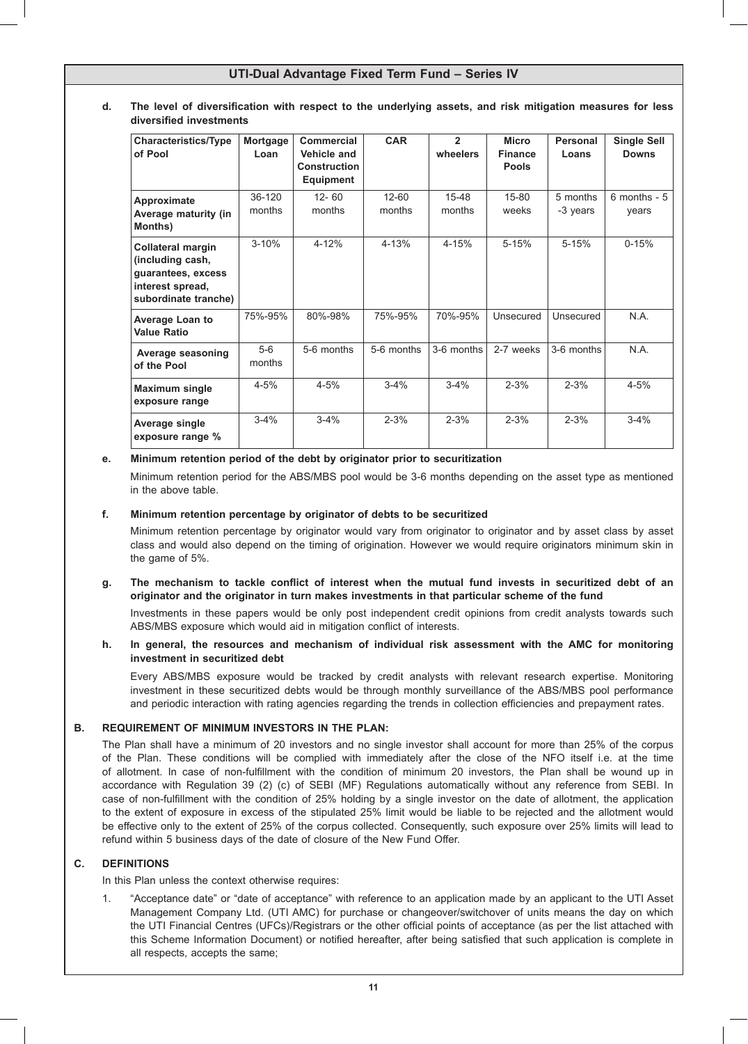### **d. The level of diversification with respect to the underlying assets, and risk mitigation measures for less diversified investments**

| <b>Characteristics/Type</b><br>of Pool                                                                         | Mortgage<br>Loan | Commercial<br>Vehicle and<br><b>Construction</b><br><b>Equipment</b> | <b>CAR</b>          | $\overline{2}$<br>wheelers | <b>Micro</b><br><b>Finance</b><br><b>Pools</b> | Personal<br>Loans    | <b>Single Sell</b><br><b>Downs</b> |
|----------------------------------------------------------------------------------------------------------------|------------------|----------------------------------------------------------------------|---------------------|----------------------------|------------------------------------------------|----------------------|------------------------------------|
| Approximate<br>Average maturity (in<br>Months)                                                                 | 36-120<br>months | $12 - 60$<br>months                                                  | $12 - 60$<br>months | 15-48<br>months            | 15-80<br>weeks                                 | 5 months<br>-3 years | $6$ months - $5$<br>vears          |
| <b>Collateral margin</b><br>(including cash,<br>guarantees, excess<br>interest spread,<br>subordinate tranche) | $3 - 10%$        | 4-12%                                                                | 4-13%               | $4 - 15%$                  | $5 - 15%$                                      | $5 - 15%$            | $0 - 15%$                          |
| <b>Average Loan to</b><br><b>Value Ratio</b>                                                                   | 75%-95%          | 80%-98%                                                              | 75%-95%             | 70%-95%                    | Unsecured                                      | Unsecured            | N.A.                               |
| Average seasoning<br>of the Pool                                                                               | $5-6$<br>months  | 5-6 months                                                           | 5-6 months          | 3-6 months                 | 2-7 weeks                                      | 3-6 months           | N.A.                               |
| <b>Maximum single</b><br>exposure range                                                                        | $4 - 5%$         | $4 - 5%$                                                             | $3 - 4%$            | $3 - 4%$                   | $2 - 3%$                                       | $2 - 3%$             | $4 - 5%$                           |
| Average single<br>exposure range %                                                                             | $3 - 4%$         | $3 - 4%$                                                             | $2 - 3%$            | $2 - 3%$                   | $2 - 3%$                                       | $2 - 3%$             | $3 - 4%$                           |

### **e. Minimum retention period of the debt by originator prior to securitization**

 Minimum retention period for the ABS/MBS pool would be 3-6 months depending on the asset type as mentioned in the above table.

### **f. Minimum retention percentage by originator of debts to be securitized**

 Minimum retention percentage by originator would vary from originator to originator and by asset class by asset class and would also depend on the timing of origination. However we would require originators minimum skin in the game of 5%.

### **g. The mechanism to tackle conflict of interest when the mutual fund invests in securitized debt of an originator and the originator in turn makes investments in that particular scheme of the fund**

 Investments in these papers would be only post independent credit opinions from credit analysts towards such ABS/MBS exposure which would aid in mitigation conflict of interests.

### **h. In general, the resources and mechanism of individual risk assessment with the AMC for monitoring investment in securitized debt**

 Every ABS/MBS exposure would be tracked by credit analysts with relevant research expertise. Monitoring investment in these securitized debts would be through monthly surveillance of the ABS/MBS pool performance and periodic interaction with rating agencies regarding the trends in collection efficiencies and prepayment rates.

### **B. REQUIREMENT OF MINIMUM INVESTORS IN THE PLAN:**

 The Plan shall have a minimum of 20 investors and no single investor shall account for more than 25% of the corpus of the Plan. These conditions will be complied with immediately after the close of the NFO itself i.e. at the time of allotment. In case of non-fulfillment with the condition of minimum 20 investors, the Plan shall be wound up in accordance with Regulation 39 (2) (c) of SEBI (MF) Regulations automatically without any reference from SEBI. In case of non-fulfillment with the condition of 25% holding by a single investor on the date of allotment, the application to the extent of exposure in excess of the stipulated 25% limit would be liable to be rejected and the allotment would be effective only to the extent of 25% of the corpus collected. Consequently, such exposure over 25% limits will lead to refund within 5 business days of the date of closure of the New Fund Offer.

### **C. DEFINITIONS**

In this Plan unless the context otherwise requires:

1. "Acceptance date" or "date of acceptance" with reference to an application made by an applicant to the UTI Asset Management Company Ltd. (UTI AMC) for purchase or changeover/switchover of units means the day on which the UTI Financial Centres (UFCs)/Registrars or the other official points of acceptance (as per the list attached with this Scheme Information Document) or notified hereafter, after being satisfied that such application is complete in all respects, accepts the same;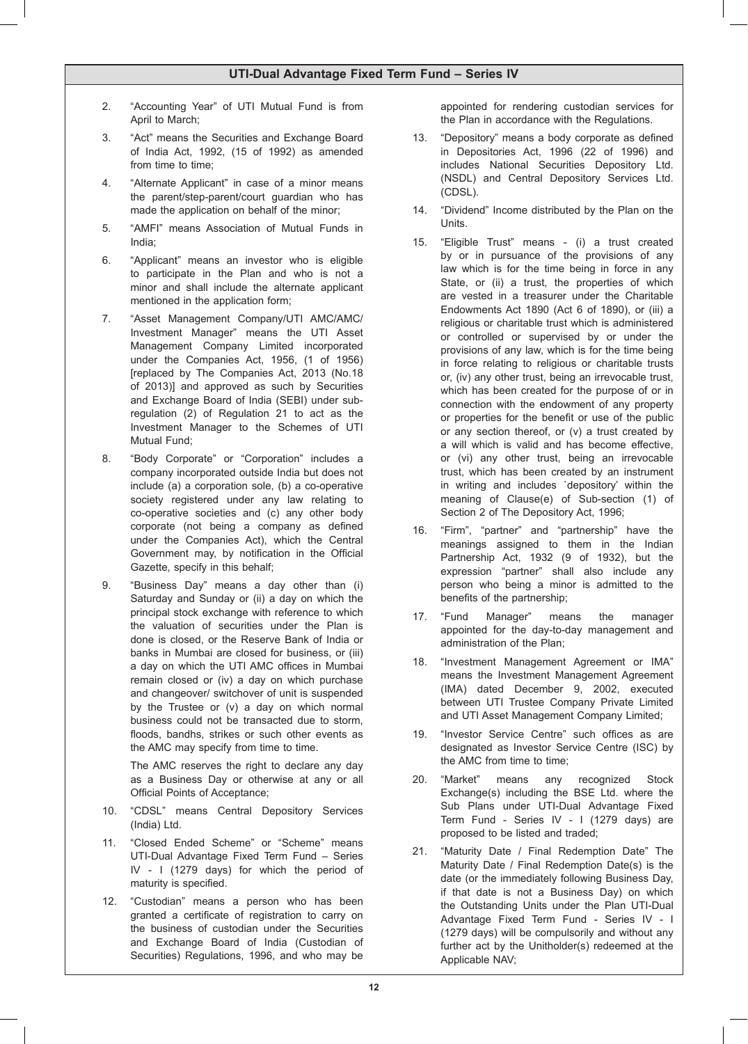- 2. "Accounting Year" of UTI Mutual Fund is from April to March;
- 3. "Act" means the Securities and Exchange Board of India Act, 1992, (15 of 1992) as amended from time to time;
- 4. "Alternate Applicant" in case of a minor means the parent/step-parent/court guardian who has made the application on behalf of the minor;
- 5. "AMFI" means Association of Mutual Funds in India;
- 6. "Applicant" means an investor who is eligible to participate in the Plan and who is not a minor and shall include the alternate applicant mentioned in the application form;
- 7. "Asset Management Company/UTI AMC/AMC/ Investment Manager" means the UTI Asset Management Company Limited incorporated under the Companies Act, 1956, (1 of 1956) [replaced by The Companies Act, 2013 (No.18 of 2013)] and approved as such by Securities and Exchange Board of India (SEBI) under subregulation (2) of Regulation 21 to act as the Investment Manager to the Schemes of UTI Mutual Fund;
- 8. "Body Corporate" or "Corporation" includes a company incorporated outside India but does not include (a) a corporation sole, (b) a co-operative society registered under any law relating to co-operative societies and (c) any other body corporate (not being a company as defined under the Companies Act), which the Central Government may, by notification in the Official Gazette, specify in this behalf;
- 9. "Business Day" means a day other than (i) Saturday and Sunday or (ii) a day on which the principal stock exchange with reference to which the valuation of securities under the Plan is done is closed, or the Reserve Bank of India or banks in Mumbai are closed for business, or (iii) a day on which the UTI AMC offices in Mumbai remain closed or (iv) a day on which purchase and changeover/ switchover of unit is suspended by the Trustee or (v) a day on which normal business could not be transacted due to storm, floods, bandhs, strikes or such other events as the AMC may specify from time to time.

 The AMC reserves the right to declare any day as a Business Day or otherwise at any or all Official Points of Acceptance;

- 10. "CDSL" means Central Depository Services (India) Ltd.
- 11. "Closed Ended Scheme" or "Scheme" means UTI-Dual Advantage Fixed Term Fund – Series IV - I (1279 days) for which the period of maturity is specified.
- 12. "Custodian" means a person who has been granted a certificate of registration to carry on the business of custodian under the Securities and Exchange Board of India (Custodian of Securities) Regulations, 1996, and who may be

appointed for rendering custodian services for the Plan in accordance with the Regulations.

- 13. "Depository" means a body corporate as defined in Depositories Act, 1996 (22 of 1996) and includes National Securities Depository Ltd. (NSDL) and Central Depository Services Ltd. (CDSL).
- 14. "Dividend" Income distributed by the Plan on the Units.
- 15. "Eligible Trust" means (i) a trust created by or in pursuance of the provisions of any law which is for the time being in force in any State, or (ii) a trust, the properties of which are vested in a treasurer under the Charitable Endowments Act 1890 (Act 6 of 1890), or (iii) a religious or charitable trust which is administered or controlled or supervised by or under the provisions of any law, which is for the time being in force relating to religious or charitable trusts or, (iv) any other trust, being an irrevocable trust, which has been created for the purpose of or in connection with the endowment of any property or properties for the benefit or use of the public or any section thereof, or (v) a trust created by a will which is valid and has become effective, or (vi) any other trust, being an irrevocable trust, which has been created by an instrument in writing and includes `depository' within the meaning of Clause(e) of Sub-section (1) of Section 2 of The Depository Act, 1996;
- 16. "Firm", "partner" and "partnership" have the meanings assigned to them in the Indian Partnership Act, 1932 (9 of 1932), but the expression "partner" shall also include any person who being a minor is admitted to the benefits of the partnership;
- 17. "Fund Manager" means the manager appointed for the day-to-day management and administration of the Plan;
- 18. "Investment Management Agreement or IMA" means the Investment Management Agreement (IMA) dated December 9, 2002, executed between UTI Trustee Company Private Limited and UTI Asset Management Company Limited;
- 19. "Investor Service Centre" such offices as are designated as Investor Service Centre (ISC) by the AMC from time to time;
- 20. "Market" means any recognized Stock Exchange(s) including the BSE Ltd. where the Sub Plans under UTI-Dual Advantage Fixed Term Fund - Series IV - I (1279 days) are proposed to be listed and traded;
- 21. "Maturity Date / Final Redemption Date" The Maturity Date / Final Redemption Date(s) is the date (or the immediately following Business Day, if that date is not a Business Day) on which the Outstanding Units under the Plan UTI-Dual Advantage Fixed Term Fund - Series IV - I (1279 days) will be compulsorily and without any further act by the Unitholder(s) redeemed at the Applicable NAV;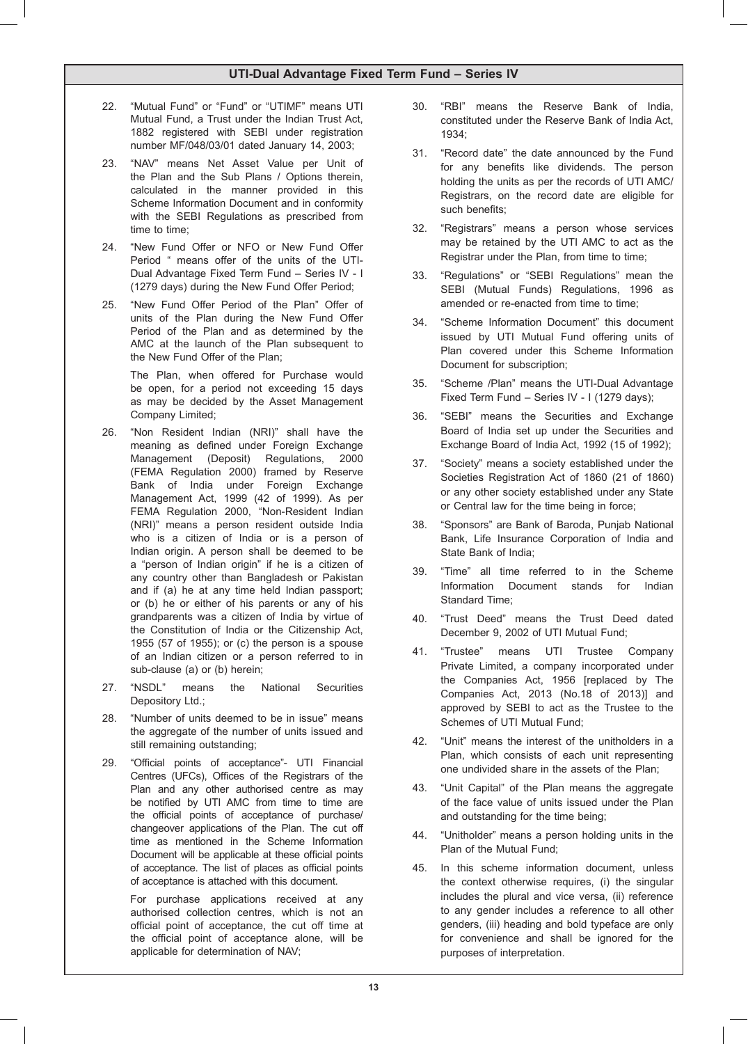- 22. "Mutual Fund" or "Fund" or "UTIMF" means UTI Mutual Fund, a Trust under the Indian Trust Act, 1882 registered with SEBI under registration number MF/048/03/01 dated January 14, 2003;
- "NAV" means Net Asset Value per Unit of the Plan and the Sub Plans / Options therein, calculated in the manner provided in this Scheme Information Document and in conformity with the SEBI Regulations as prescribed from time to time;
- 24. "New Fund Offer or NFO or New Fund Offer Period " means offer of the units of the UTI-Dual Advantage Fixed Term Fund – Series IV - I (1279 days) during the New Fund Offer Period;
- 25. "New Fund Offer Period of the Plan" Offer of units of the Plan during the New Fund Offer Period of the Plan and as determined by the AMC at the launch of the Plan subsequent to the New Fund Offer of the Plan;

 The Plan, when offered for Purchase would be open, for a period not exceeding 15 days as may be decided by the Asset Management Company Limited;

- 26. "Non Resident Indian (NRI)" shall have the meaning as defined under Foreign Exchange Management (Deposit) Regulations, 2000 (FEMA Regulation 2000) framed by Reserve Bank of India under Foreign Exchange Management Act, 1999 (42 of 1999). As per FEMA Regulation 2000, "Non-Resident Indian (NRI)" means a person resident outside India who is a citizen of India or is a person of Indian origin. A person shall be deemed to be a "person of Indian origin" if he is a citizen of any country other than Bangladesh or Pakistan and if (a) he at any time held Indian passport; or (b) he or either of his parents or any of his grandparents was a citizen of India by virtue of the Constitution of India or the Citizenship Act, 1955 (57 of 1955); or (c) the person is a spouse of an Indian citizen or a person referred to in sub-clause (a) or (b) herein;
- 27. "NSDL" means the National Securities Depository Ltd.;
- 28. "Number of units deemed to be in issue" means the aggregate of the number of units issued and still remaining outstanding;
- 29. "Official points of acceptance"- UTI Financial Centres (UFCs), Offices of the Registrars of the Plan and any other authorised centre as may be notified by UTI AMC from time to time are the official points of acceptance of purchase/ changeover applications of the Plan. The cut off time as mentioned in the Scheme Information Document will be applicable at these official points of acceptance. The list of places as official points of acceptance is attached with this document.

 For purchase applications received at any authorised collection centres, which is not an official point of acceptance, the cut off time at the official point of acceptance alone, will be applicable for determination of NAV;

- 30. "RBI" means the Reserve Bank of India, constituted under the Reserve Bank of India Act, 1934;
- 31. "Record date" the date announced by the Fund for any benefits like dividends. The person holding the units as per the records of UTI AMC/ Registrars, on the record date are eligible for such benefits;
- 32. "Registrars" means a person whose services may be retained by the UTI AMC to act as the Registrar under the Plan, from time to time;
- 33. "Regulations" or "SEBI Regulations" mean the SEBI (Mutual Funds) Regulations, 1996 as amended or re-enacted from time to time;
- 34. "Scheme Information Document" this document issued by UTI Mutual Fund offering units of Plan covered under this Scheme Information Document for subscription;
- 35. "Scheme /Plan" means the UTI-Dual Advantage Fixed Term Fund – Series IV - I (1279 days);
- 36. "SEBI" means the Securities and Exchange Board of India set up under the Securities and Exchange Board of India Act, 1992 (15 of 1992);
- 37. "Society" means a society established under the Societies Registration Act of 1860 (21 of 1860) or any other society established under any State or Central law for the time being in force;
- 38. "Sponsors" are Bank of Baroda, Punjab National Bank, Life Insurance Corporation of India and State Bank of India;
- 39. "Time" all time referred to in the Scheme Information Document stands for Indian Standard Time;
- 40. "Trust Deed" means the Trust Deed dated December 9, 2002 of UTI Mutual Fund;
- 41. "Trustee" means UTI Trustee Company Private Limited, a company incorporated under the Companies Act, 1956 [replaced by The Companies Act, 2013 (No.18 of 2013)] and approved by SEBI to act as the Trustee to the Schemes of UTI Mutual Fund;
- 42. "Unit" means the interest of the unitholders in a Plan, which consists of each unit representing one undivided share in the assets of the Plan;
- 43. "Unit Capital" of the Plan means the aggregate of the face value of units issued under the Plan and outstanding for the time being;
- 44. "Unitholder" means a person holding units in the Plan of the Mutual Fund;
- 45. In this scheme information document, unless the context otherwise requires, (i) the singular includes the plural and vice versa, (ii) reference to any gender includes a reference to all other genders, (iii) heading and bold typeface are only for convenience and shall be ignored for the purposes of interpretation.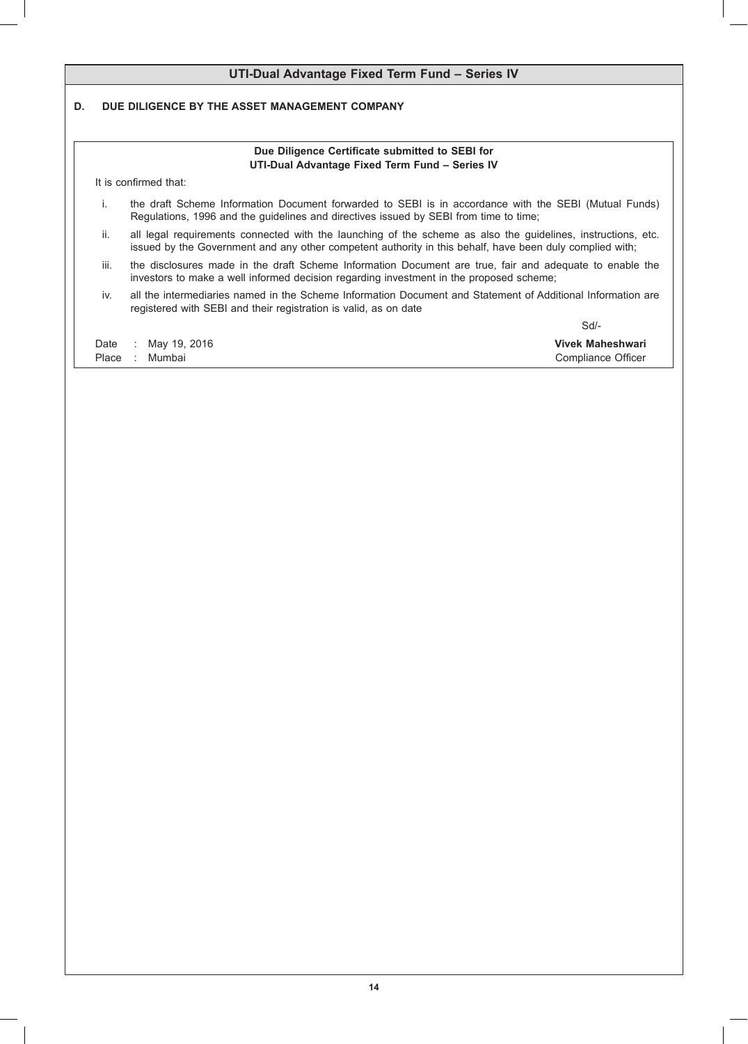| DUE DILIGENCE BY THE ASSET MANAGEMENT COMPANY<br>Due Diligence Certificate submitted to SEBI for<br>UTI-Dual Advantage Fixed Term Fund - Series IV<br>It is confirmed that:<br>i.<br>the draft Scheme Information Document forwarded to SEBI is in accordance with the SEBI (Mutual Funds)<br>Regulations, 1996 and the guidelines and directives issued by SEBI from time to time;<br>all legal requirements connected with the launching of the scheme as also the guidelines, instructions, etc.<br>ii.<br>issued by the Government and any other competent authority in this behalf, have been duly complied with;<br>iii.<br>investors to make a well informed decision regarding investment in the proposed scheme;<br>all the intermediaries named in the Scheme Information Document and Statement of Additional Information are<br>iv.<br>registered with SEBI and their registration is valid, as on date<br>$Sd$ -<br><b>Vivek Maheshwari</b><br>May 19, 2016<br>$\mathcal{L}_{\mathcal{L}}$<br>Mumbai<br>Compliance Officer |                                                                                                         | UTI-Dual Advantage Fixed Term Fund - Series IV |  |  |
|-----------------------------------------------------------------------------------------------------------------------------------------------------------------------------------------------------------------------------------------------------------------------------------------------------------------------------------------------------------------------------------------------------------------------------------------------------------------------------------------------------------------------------------------------------------------------------------------------------------------------------------------------------------------------------------------------------------------------------------------------------------------------------------------------------------------------------------------------------------------------------------------------------------------------------------------------------------------------------------------------------------------------------------------|---------------------------------------------------------------------------------------------------------|------------------------------------------------|--|--|
|                                                                                                                                                                                                                                                                                                                                                                                                                                                                                                                                                                                                                                                                                                                                                                                                                                                                                                                                                                                                                                         |                                                                                                         |                                                |  |  |
|                                                                                                                                                                                                                                                                                                                                                                                                                                                                                                                                                                                                                                                                                                                                                                                                                                                                                                                                                                                                                                         |                                                                                                         |                                                |  |  |
|                                                                                                                                                                                                                                                                                                                                                                                                                                                                                                                                                                                                                                                                                                                                                                                                                                                                                                                                                                                                                                         |                                                                                                         |                                                |  |  |
|                                                                                                                                                                                                                                                                                                                                                                                                                                                                                                                                                                                                                                                                                                                                                                                                                                                                                                                                                                                                                                         |                                                                                                         |                                                |  |  |
|                                                                                                                                                                                                                                                                                                                                                                                                                                                                                                                                                                                                                                                                                                                                                                                                                                                                                                                                                                                                                                         |                                                                                                         |                                                |  |  |
|                                                                                                                                                                                                                                                                                                                                                                                                                                                                                                                                                                                                                                                                                                                                                                                                                                                                                                                                                                                                                                         | the disclosures made in the draft Scheme Information Document are true, fair and adequate to enable the |                                                |  |  |
|                                                                                                                                                                                                                                                                                                                                                                                                                                                                                                                                                                                                                                                                                                                                                                                                                                                                                                                                                                                                                                         |                                                                                                         |                                                |  |  |
|                                                                                                                                                                                                                                                                                                                                                                                                                                                                                                                                                                                                                                                                                                                                                                                                                                                                                                                                                                                                                                         |                                                                                                         |                                                |  |  |
|                                                                                                                                                                                                                                                                                                                                                                                                                                                                                                                                                                                                                                                                                                                                                                                                                                                                                                                                                                                                                                         | Date<br>Place                                                                                           |                                                |  |  |
|                                                                                                                                                                                                                                                                                                                                                                                                                                                                                                                                                                                                                                                                                                                                                                                                                                                                                                                                                                                                                                         |                                                                                                         |                                                |  |  |
|                                                                                                                                                                                                                                                                                                                                                                                                                                                                                                                                                                                                                                                                                                                                                                                                                                                                                                                                                                                                                                         |                                                                                                         |                                                |  |  |
|                                                                                                                                                                                                                                                                                                                                                                                                                                                                                                                                                                                                                                                                                                                                                                                                                                                                                                                                                                                                                                         |                                                                                                         |                                                |  |  |
|                                                                                                                                                                                                                                                                                                                                                                                                                                                                                                                                                                                                                                                                                                                                                                                                                                                                                                                                                                                                                                         |                                                                                                         |                                                |  |  |
|                                                                                                                                                                                                                                                                                                                                                                                                                                                                                                                                                                                                                                                                                                                                                                                                                                                                                                                                                                                                                                         |                                                                                                         |                                                |  |  |
|                                                                                                                                                                                                                                                                                                                                                                                                                                                                                                                                                                                                                                                                                                                                                                                                                                                                                                                                                                                                                                         |                                                                                                         |                                                |  |  |
|                                                                                                                                                                                                                                                                                                                                                                                                                                                                                                                                                                                                                                                                                                                                                                                                                                                                                                                                                                                                                                         |                                                                                                         |                                                |  |  |
|                                                                                                                                                                                                                                                                                                                                                                                                                                                                                                                                                                                                                                                                                                                                                                                                                                                                                                                                                                                                                                         |                                                                                                         |                                                |  |  |
|                                                                                                                                                                                                                                                                                                                                                                                                                                                                                                                                                                                                                                                                                                                                                                                                                                                                                                                                                                                                                                         |                                                                                                         |                                                |  |  |
|                                                                                                                                                                                                                                                                                                                                                                                                                                                                                                                                                                                                                                                                                                                                                                                                                                                                                                                                                                                                                                         |                                                                                                         |                                                |  |  |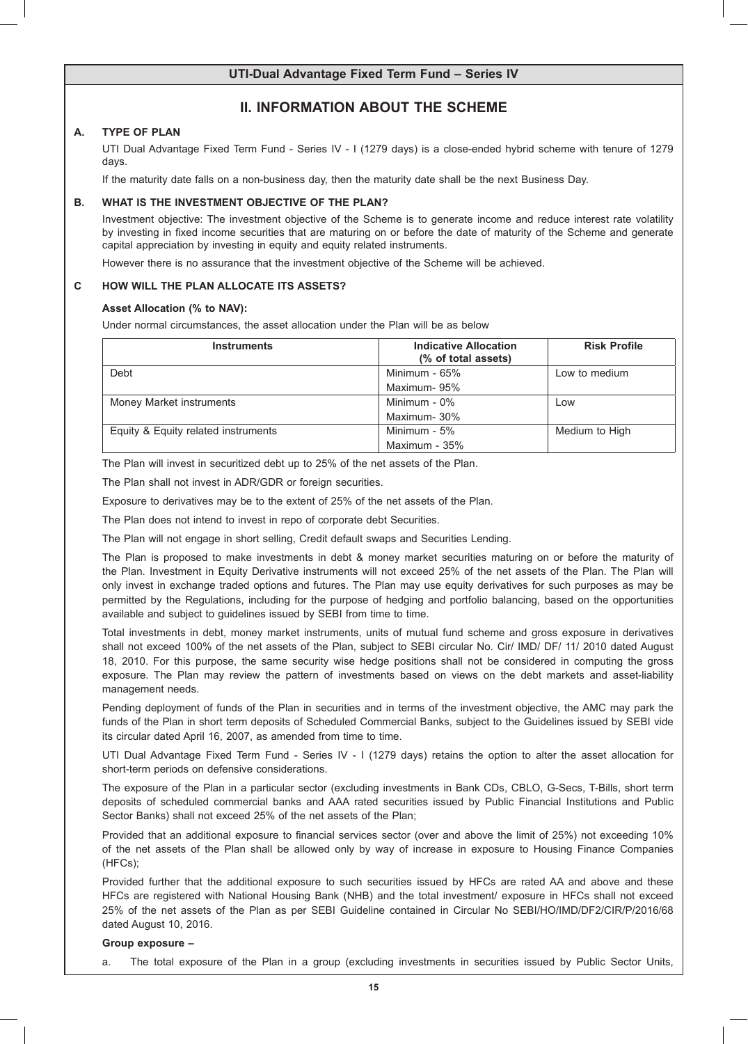# **II. INFORMATION ABOUT THE SCHEME**

## **A. TYPE OF PLAN**

 UTI Dual Advantage Fixed Term Fund - Series IV - I (1279 days) is a close-ended hybrid scheme with tenure of 1279 days.

 If the maturity date falls on a non-business day, then the maturity date shall be the next Business Day.

### **B. WHAT IS THE INVESTMENT OBJECTIVE OF THE PLAN?**

 Investment objective: The investment objective of the Scheme is to generate income and reduce interest rate volatility by investing in fixed income securities that are maturing on or before the date of maturity of the Scheme and generate capital appreciation by investing in equity and equity related instruments.

 However there is no assurance that the investment objective of the Scheme will be achieved.

### **C HOW WILL THE PLAN ALLOCATE ITS ASSETS?**

### **Asset Allocation (% to NAV):**

 Under normal circumstances, the asset allocation under the Plan will be as below

| <b>Instruments</b>                  | <b>Indicative Allocation</b><br>(% of total assets) | <b>Risk Profile</b> |
|-------------------------------------|-----------------------------------------------------|---------------------|
| Debt                                | Minimum - 65%                                       | Low to medium       |
|                                     | Maximum-95%                                         |                     |
| Money Market instruments            | Minimum - 0%                                        | Low                 |
|                                     | Maximum-30%                                         |                     |
| Equity & Equity related instruments | Minimum - 5%                                        | Medium to High      |
|                                     | Maximum - 35%                                       |                     |

The Plan will invest in securitized debt up to 25% of the net assets of the Plan.

 The Plan shall not invest in ADR/GDR or foreign securities.

 Exposure to derivatives may be to the extent of 25% of the net assets of the Plan.

 The Plan does not intend to invest in repo of corporate debt Securities.

 The Plan will not engage in short selling, Credit default swaps and Securities Lending.

 The Plan is proposed to make investments in debt & money market securities maturing on or before the maturity of the Plan. Investment in Equity Derivative instruments will not exceed 25% of the net assets of the Plan. The Plan will only invest in exchange traded options and futures. The Plan may use equity derivatives for such purposes as may be permitted by the Regulations, including for the purpose of hedging and portfolio balancing, based on the opportunities available and subject to guidelines issued by SEBI from time to time.

 Total investments in debt, money market instruments, units of mutual fund scheme and gross exposure in derivatives shall not exceed 100% of the net assets of the Plan, subject to SEBI circular No. Cir/ IMD/ DF/ 11/ 2010 dated August 18, 2010. For this purpose, the same security wise hedge positions shall not be considered in computing the gross exposure. The Plan may review the pattern of investments based on views on the debt markets and asset-liability management needs.

 Pending deployment of funds of the Plan in securities and in terms of the investment objective, the AMC may park the funds of the Plan in short term deposits of Scheduled Commercial Banks, subject to the Guidelines issued by SEBI vide its circular dated April 16, 2007, as amended from time to time.

 UTI Dual Advantage Fixed Term Fund - Series IV - I (1279 days) retains the option to alter the asset allocation for short-term periods on defensive considerations.

 The exposure of the Plan in a particular sector (excluding investments in Bank CDs, CBLO, G-Secs, T-Bills, short term deposits of scheduled commercial banks and AAA rated securities issued by Public Financial Institutions and Public Sector Banks) shall not exceed 25% of the net assets of the Plan;

 Provided that an additional exposure to financial services sector (over and above the limit of 25%) not exceeding 10% of the net assets of the Plan shall be allowed only by way of increase in exposure to Housing Finance Companies (HFCs);

 Provided further that the additional exposure to such securities issued by HFCs are rated AA and above and these HFCs are registered with National Housing Bank (NHB) and the total investment/ exposure in HFCs shall not exceed 25% of the net assets of the Plan as per SEBI Guideline contained in Circular No SEBI/HO/IMD/DF2/CIR/P/2016/68 dated August 10, 2016.

### **Group exposure –**

a. The total exposure of the Plan in a group (excluding investments in securities issued by Public Sector Units,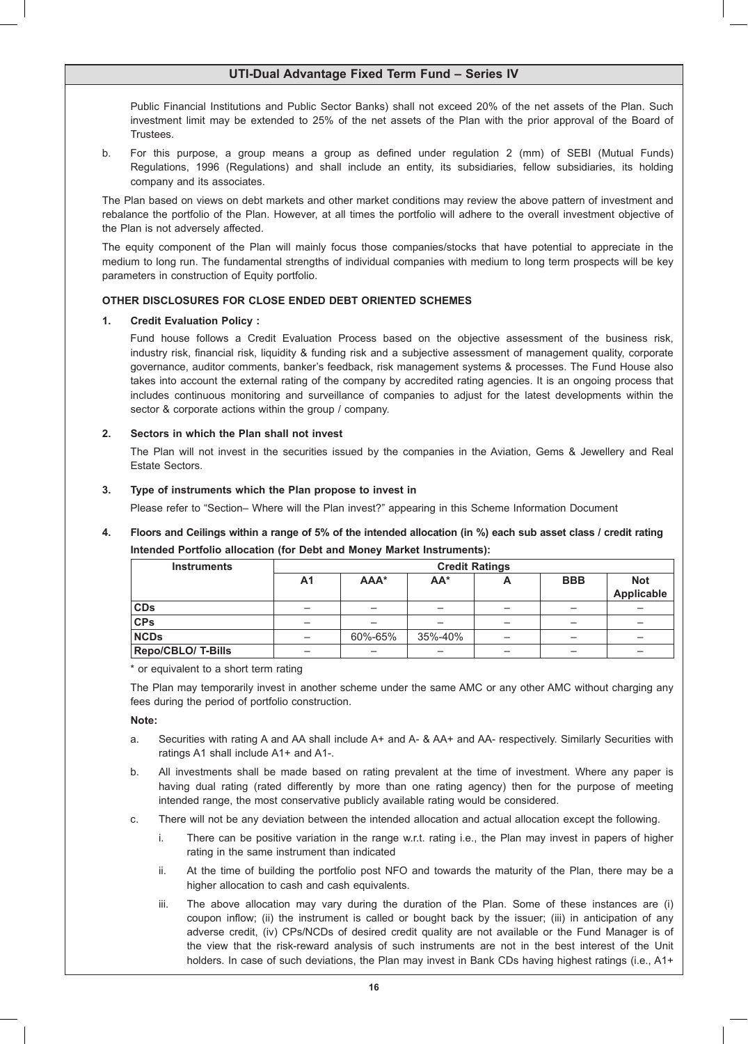Public Financial Institutions and Public Sector Banks) shall not exceed 20% of the net assets of the Plan. Such investment limit may be extended to 25% of the net assets of the Plan with the prior approval of the Board of Trustees.

b. For this purpose, a group means a group as defined under regulation 2 (mm) of SEBI (Mutual Funds) Regulations, 1996 (Regulations) and shall include an entity, its subsidiaries, fellow subsidiaries, its holding company and its associates.

 The Plan based on views on debt markets and other market conditions may review the above pattern of investment and rebalance the portfolio of the Plan. However, at all times the portfolio will adhere to the overall investment objective of the Plan is not adversely affected.

 The equity component of the Plan will mainly focus those companies/stocks that have potential to appreciate in the medium to long run. The fundamental strengths of individual companies with medium to long term prospects will be key parameters in construction of Equity portfolio.

### **OTHER DISCLOSURES FOR CLOSE ENDED DEBT ORIENTED SCHEMES**

### **1. Credit Evaluation Policy :**

 Fund house follows a Credit Evaluation Process based on the objective assessment of the business risk, industry risk, financial risk, liquidity & funding risk and a subjective assessment of management quality, corporate governance, auditor comments, banker's feedback, risk management systems & processes. The Fund House also takes into account the external rating of the company by accredited rating agencies. It is an ongoing process that includes continuous monitoring and surveillance of companies to adjust for the latest developments within the sector & corporate actions within the group / company.

### **2. Sectors in which the Plan shall not invest**

 The Plan will not invest in the securities issued by the companies in the Aviation, Gems & Jewellery and Real Estate Sectors.

### **3. Type of instruments which the Plan propose to invest in**

 Please refer to "Section– Where will the Plan invest?" appearing in this Scheme Information Document

# **4. Floors and Ceilings within a range of 5% of the intended allocation (in %) each sub asset class / credit rating Intended Portfolio allocation (for Debt and Money Market Instruments):**

| <b>Instruments</b> | <b>Credit Ratings</b> |         |         |   |            |                          |
|--------------------|-----------------------|---------|---------|---|------------|--------------------------|
|                    | A <sub>1</sub>        | AAA*    | $AA^*$  | ∼ | <b>BBB</b> | <b>Not</b><br>Applicable |
| <b>CDs</b>         | -                     |         | -       |   |            |                          |
| CPs                |                       |         | -       | - | -          |                          |
| <b>NCDs</b>        |                       | 60%-65% | 35%-40% |   |            |                          |
| Repo/CBLO/ T-Bills |                       |         | -       |   |            |                          |

### \* or equivalent to a short term rating

 The Plan may temporarily invest in another scheme under the same AMC or any other AMC without charging any fees during the period of portfolio construction.

### **Note:**

- a. Securities with rating A and AA shall include A+ and A- & AA+ and AA- respectively. Similarly Securities with ratings A1 shall include A1+ and A1-.
- b. All investments shall be made based on rating prevalent at the time of investment. Where any paper is having dual rating (rated differently by more than one rating agency) then for the purpose of meeting intended range, the most conservative publicly available rating would be considered.
- c. There will not be any deviation between the intended allocation and actual allocation except the following.
	- i. There can be positive variation in the range w.r.t. rating i.e., the Plan may invest in papers of higher rating in the same instrument than indicated
	- ii. At the time of building the portfolio post NFO and towards the maturity of the Plan, there may be a higher allocation to cash and cash equivalents.
	- iii. The above allocation may vary during the duration of the Plan. Some of these instances are (i) coupon inflow; (ii) the instrument is called or bought back by the issuer; (iii) in anticipation of any adverse credit, (iv) CPs/NCDs of desired credit quality are not available or the Fund Manager is of the view that the risk-reward analysis of such instruments are not in the best interest of the Unit holders. In case of such deviations, the Plan may invest in Bank CDs having highest ratings (i.e., A1+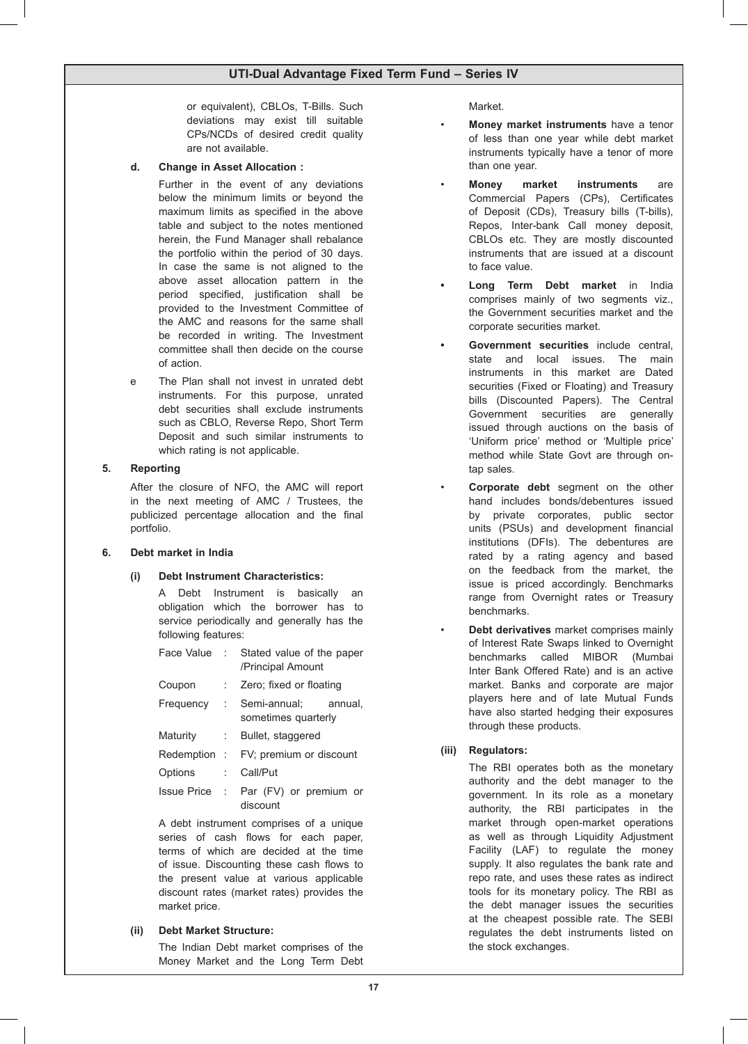or equivalent), CBLOs, T-Bills. Such deviations may exist till suitable CPs/NCDs of desired credit quality are not available.

### **d. Change in Asset Allocation :**

 Further in the event of any deviations below the minimum limits or beyond the maximum limits as specified in the above table and subject to the notes mentioned herein, the Fund Manager shall rebalance the portfolio within the period of 30 days. In case the same is not aligned to the above asset allocation pattern in the period specified, justification shall be provided to the Investment Committee of the AMC and reasons for the same shall be recorded in writing. The Investment committee shall then decide on the course of action.

e The Plan shall not invest in unrated debt instruments. For this purpose, unrated debt securities shall exclude instruments such as CBLO, Reverse Repo, Short Term Deposit and such similar instruments to which rating is not applicable.

### **5. Reporting**

 After the closure of NFO, the AMC will report in the next meeting of AMC / Trustees, the publicized percentage allocation and the final portfolio.

### **6. Debt market in India**

## **(i) Debt Instrument Characteristics:**

 A Debt Instrument is basically an obligation which the borrower has to service periodically and generally has the following features:

|          | Face Value : Stated value of the paper<br>/Principal Amount |         |
|----------|-------------------------------------------------------------|---------|
| Coupon   | $\therefore$ Zero; fixed or floating                        |         |
|          | Frequency : Semi-annual;<br>sometimes quarterly             | annual. |
| Maturity | : Bullet, staggered                                         |         |
|          | Redemption : FV; premium or discount                        |         |
| Options  | : Call/Put                                                  |         |
|          |                                                             |         |

Issue Price : Par (FV) or premium or discount

 A debt instrument comprises of a unique series of cash flows for each paper, terms of which are decided at the time of issue. Discounting these cash flows to the present value at various applicable discount rates (market rates) provides the market price.

## **(ii) Debt Market Structure:**

 The Indian Debt market comprises of the Money Market and the Long Term Debt

Market.

- **Money market instruments** have a tenor of less than one year while debt market instruments typically have a tenor of more than one year.
- **Money market instruments** are Commercial Papers (CPs), Certificates of Deposit (CDs), Treasury bills (T-bills), Repos, Inter-bank Call money deposit, CBLOs etc. They are mostly discounted instruments that are issued at a discount to face value.
- **Long Term Debt market** in India comprises mainly of two segments viz., the Government securities market and the corporate securities market.
- **Government securities** include central, state and local issues. The main instruments in this market are Dated securities (Fixed or Floating) and Treasury bills (Discounted Papers). The Central Government securities are generally issued through auctions on the basis of 'Uniform price' method or 'Multiple price' method while State Govt are through ontap sales.
- **Corporate debt** segment on the other hand includes bonds/debentures issued by private corporates, public sector units (PSUs) and development financial institutions (DFIs). The debentures are rated by a rating agency and based on the feedback from the market, the issue is priced accordingly. Benchmarks range from Overnight rates or Treasury benchmarks.
	- • **Debt derivatives** market comprises mainly of Interest Rate Swaps linked to Overnight benchmarks called MIBOR (Mumbai Inter Bank Offered Rate) and is an active market. Banks and corporate are major players here and of late Mutual Funds have also started hedging their exposures through these products.

## **(iii) Regulators:**

 The RBI operates both as the monetary authority and the debt manager to the government. In its role as a monetary authority, the RBI participates in the market through open-market operations as well as through Liquidity Adjustment Facility (LAF) to regulate the money supply. It also regulates the bank rate and repo rate, and uses these rates as indirect tools for its monetary policy. The RBI as the debt manager issues the securities at the cheapest possible rate. The SEBI regulates the debt instruments listed on the stock exchanges.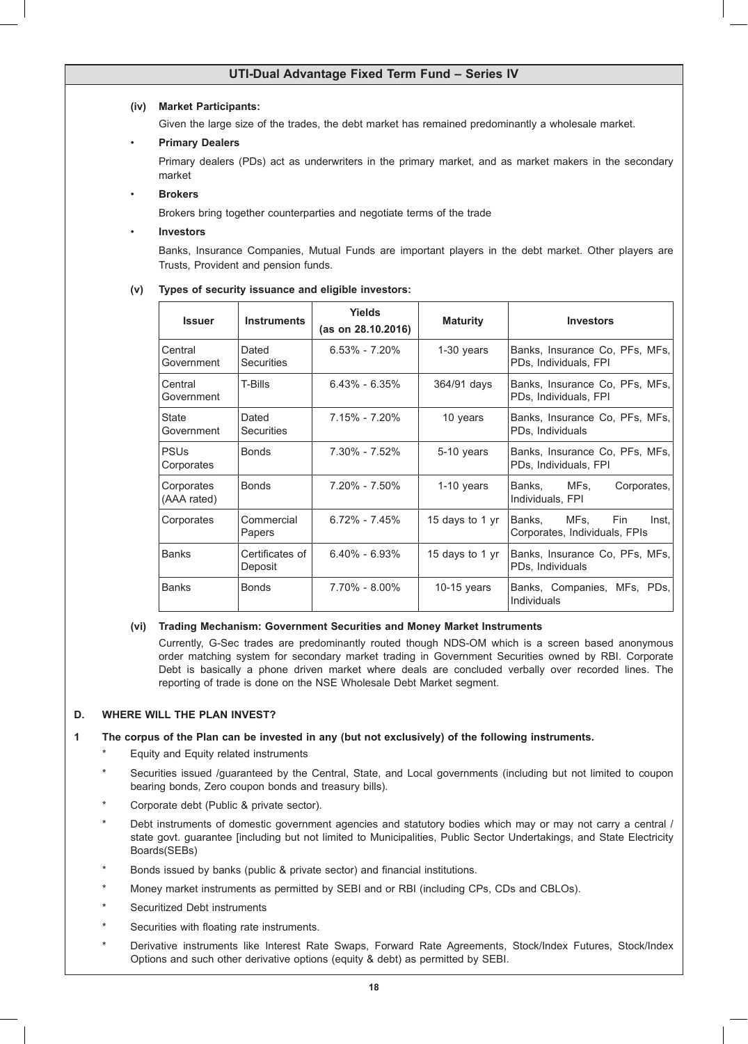### **(iv) Market Participants:**

 Given the large size of the trades, the debt market has remained predominantly a wholesale market.

## **Primary Dealers**

 Primary dealers (PDs) act as underwriters in the primary market, and as market makers in the secondary market

## • **Brokers**

 Brokers bring together counterparties and negotiate terms of the trade

### **Investors**

 Banks, Insurance Companies, Mutual Funds are important players in the debt market. Other players are Trusts, Provident and pension funds.

### **(v) Types of security issuance and eligible investors:**

| <b>Issuer</b>             | <b>Instruments</b>         | <b>Yields</b><br>(as on 28.10.2016) | <b>Maturity</b> | <b>Investors</b>                                                |
|---------------------------|----------------------------|-------------------------------------|-----------------|-----------------------------------------------------------------|
| Central<br>Government     | Dated<br><b>Securities</b> | $6.53\% - 7.20\%$                   | $1-30$ years    | Banks, Insurance Co, PFs, MFs,<br>PDs, Individuals, FPI         |
| Central<br>Government     | T-Bills                    | $6.43\% - 6.35\%$                   | 364/91 days     | Banks, Insurance Co, PFs, MFs,<br>PDs, Individuals, FPI         |
| State<br>Government       | Dated<br><b>Securities</b> | 7.15% - 7.20%                       | 10 years        | Banks, Insurance Co, PFs, MFs,<br>PDs, Individuals              |
| <b>PSUs</b><br>Corporates | <b>Bonds</b>               | 7.30% - 7.52%                       | 5-10 years      | Banks, Insurance Co, PFs, MFs,<br>PDs, Individuals, FPI         |
| Corporates<br>(AAA rated) | <b>Bonds</b>               | 7.20% - 7.50%                       | $1-10$ years    | MFs.<br>Banks,<br>Corporates,<br>Individuals, FPI               |
| Corporates                | Commercial<br>Papers       | $6.72\% - 7.45\%$                   | 15 days to 1 yr | MFs.<br>Banks,<br>Fin<br>Inst.<br>Corporates, Individuals, FPIs |
| <b>Banks</b>              | Certificates of<br>Deposit | $6.40\% - 6.93\%$                   | 15 days to 1 yr | Banks, Insurance Co, PFs, MFs,<br>PDs, Individuals              |
| <b>Banks</b>              | <b>Bonds</b>               | 7.70% - 8.00%                       | $10-15$ years   | Banks, Companies, MFs, PDs,<br>Individuals                      |

### **(vi) Trading Mechanism: Government Securities and Money Market Instruments**

 Currently, G-Sec trades are predominantly routed though NDS-OM which is a screen based anonymous order matching system for secondary market trading in Government Securities owned by RBI. Corporate Debt is basically a phone driven market where deals are concluded verbally over recorded lines. The reporting of trade is done on the NSE Wholesale Debt Market segment.

### **D. WHERE WILL THE PLAN INVEST?**

## **1 The corpus of the Plan can be invested in any (but not exclusively) of the following instruments.**

- Equity and Equity related instruments
- Securities issued /guaranteed by the Central, State, and Local governments (including but not limited to coupon bearing bonds, Zero coupon bonds and treasury bills).
- Corporate debt (Public & private sector).
- Debt instruments of domestic government agencies and statutory bodies which may or may not carry a central / state govt. guarantee [including but not limited to Municipalities, Public Sector Undertakings, and State Electricity Boards(SEBs)
- Bonds issued by banks (public & private sector) and financial institutions.
- Money market instruments as permitted by SEBI and or RBI (including CPs, CDs and CBLOs).
- Securitized Debt instruments
- Securities with floating rate instruments.
- Derivative instruments like Interest Rate Swaps, Forward Rate Agreements, Stock/Index Futures, Stock/Index Options and such other derivative options (equity & debt) as permitted by SEBI.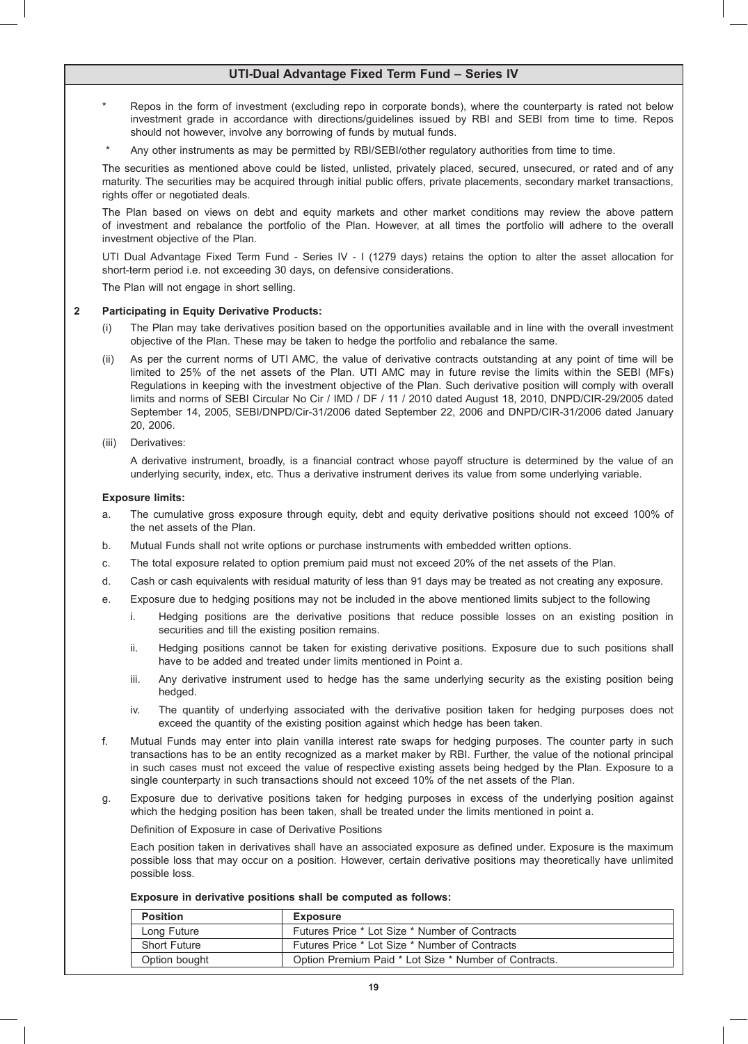- Repos in the form of investment (excluding repo in corporate bonds), where the counterparty is rated not below investment grade in accordance with directions/guidelines issued by RBI and SEBI from time to time. Repos should not however, involve any borrowing of funds by mutual funds.
- Any other instruments as may be permitted by RBI/SEBI/other regulatory authorities from time to time.

 The securities as mentioned above could be listed, unlisted, privately placed, secured, unsecured, or rated and of any maturity. The securities may be acquired through initial public offers, private placements, secondary market transactions, rights offer or negotiated deals.

 The Plan based on views on debt and equity markets and other market conditions may review the above pattern of investment and rebalance the portfolio of the Plan. However, at all times the portfolio will adhere to the overall investment objective of the Plan.

 UTI Dual Advantage Fixed Term Fund - Series IV - I (1279 days) retains the option to alter the asset allocation for short-term period i.e. not exceeding 30 days, on defensive considerations.

 The Plan will not engage in short selling.

### **2 Participating in Equity Derivative Products:**

- (i) The Plan may take derivatives position based on the opportunities available and in line with the overall investment objective of the Plan. These may be taken to hedge the portfolio and rebalance the same.
- (ii) As per the current norms of UTI AMC, the value of derivative contracts outstanding at any point of time will be limited to 25% of the net assets of the Plan. UTI AMC may in future revise the limits within the SEBI (MFs) Regulations in keeping with the investment objective of the Plan. Such derivative position will comply with overall limits and norms of SEBI Circular No Cir / IMD / DF / 11 / 2010 dated August 18, 2010, DNPD/CIR-29/2005 dated September 14, 2005, SEBI/DNPD/Cir-31/2006 dated September 22, 2006 and DNPD/CIR-31/2006 dated January 20, 2006.
- (iii) Derivatives:

 A derivative instrument, broadly, is a financial contract whose payoff structure is determined by the value of an underlying security, index, etc. Thus a derivative instrument derives its value from some underlying variable.

### **Exposure limits:**

- a. The cumulative gross exposure through equity, debt and equity derivative positions should not exceed 100% of the net assets of the Plan.
- b. Mutual Funds shall not write options or purchase instruments with embedded written options.
- c. The total exposure related to option premium paid must not exceed 20% of the net assets of the Plan.
- d. Cash or cash equivalents with residual maturity of less than 91 days may be treated as not creating any exposure.
- e. Exposure due to hedging positions may not be included in the above mentioned limits subject to the following
	- i. Hedging positions are the derivative positions that reduce possible losses on an existing position in securities and till the existing position remains.
	- ii. Hedging positions cannot be taken for existing derivative positions. Exposure due to such positions shall have to be added and treated under limits mentioned in Point a.
	- iii. Any derivative instrument used to hedge has the same underlying security as the existing position being hedged.
	- iv. The quantity of underlying associated with the derivative position taken for hedging purposes does not exceed the quantity of the existing position against which hedge has been taken.
- f. Mutual Funds may enter into plain vanilla interest rate swaps for hedging purposes. The counter party in such transactions has to be an entity recognized as a market maker by RBI. Further, the value of the notional principal in such cases must not exceed the value of respective existing assets being hedged by the Plan. Exposure to a single counterparty in such transactions should not exceed 10% of the net assets of the Plan.
- g. Exposure due to derivative positions taken for hedging purposes in excess of the underlying position against which the hedging position has been taken, shall be treated under the limits mentioned in point a.

 Definition of Exposure in case of Derivative Positions

 Each position taken in derivatives shall have an associated exposure as defined under. Exposure is the maximum possible loss that may occur on a position. However, certain derivative positions may theoretically have unlimited possible loss.

 **Exposure in derivative positions shall be computed as follows:**

| <b>Position</b>     | <b>Exposure</b>                                       |
|---------------------|-------------------------------------------------------|
| Long Future         | Futures Price * Lot Size * Number of Contracts        |
| <b>Short Future</b> | Futures Price * Lot Size * Number of Contracts        |
| Option bought       | Option Premium Paid * Lot Size * Number of Contracts. |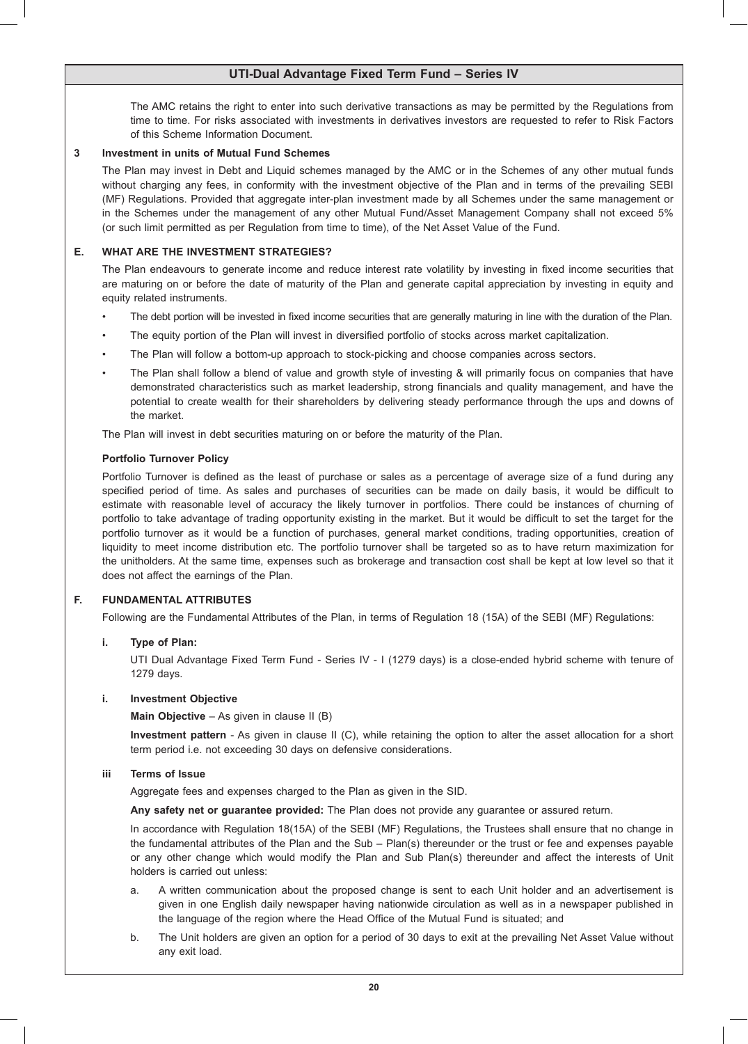The AMC retains the right to enter into such derivative transactions as may be permitted by the Regulations from time to time. For risks associated with investments in derivatives investors are requested to refer to Risk Factors of this Scheme Information Document.

### **3 Investment in units of Mutual Fund Schemes**

 The Plan may invest in Debt and Liquid schemes managed by the AMC or in the Schemes of any other mutual funds without charging any fees, in conformity with the investment objective of the Plan and in terms of the prevailing SEBI (MF) Regulations. Provided that aggregate inter-plan investment made by all Schemes under the same management or in the Schemes under the management of any other Mutual Fund/Asset Management Company shall not exceed 5% (or such limit permitted as per Regulation from time to time), of the Net Asset Value of the Fund.

## **E. WHAT ARE THE INVESTMENT STRATEGIES?**

 The Plan endeavours to generate income and reduce interest rate volatility by investing in fixed income securities that are maturing on or before the date of maturity of the Plan and generate capital appreciation by investing in equity and equity related instruments.

- The debt portion will be invested in fixed income securities that are generally maturing in line with the duration of the Plan.
- The equity portion of the Plan will invest in diversified portfolio of stocks across market capitalization.
- The Plan will follow a bottom-up approach to stock-picking and choose companies across sectors.
- The Plan shall follow a blend of value and growth style of investing & will primarily focus on companies that have demonstrated characteristics such as market leadership, strong financials and quality management, and have the potential to create wealth for their shareholders by delivering steady performance through the ups and downs of the market.

 The Plan will invest in debt securities maturing on or before the maturity of the Plan.

### **Portfolio Turnover Policy**

 Portfolio Turnover is defined as the least of purchase or sales as a percentage of average size of a fund during any specified period of time. As sales and purchases of securities can be made on daily basis, it would be difficult to estimate with reasonable level of accuracy the likely turnover in portfolios. There could be instances of churning of portfolio to take advantage of trading opportunity existing in the market. But it would be difficult to set the target for the portfolio turnover as it would be a function of purchases, general market conditions, trading opportunities, creation of liquidity to meet income distribution etc. The portfolio turnover shall be targeted so as to have return maximization for the unitholders. At the same time, expenses such as brokerage and transaction cost shall be kept at low level so that it does not affect the earnings of the Plan.

## **F. FUNDAMENTAL ATTRIBUTES**

 Following are the Fundamental Attributes of the Plan, in terms of Regulation 18 (15A) of the SEBI (MF) Regulations:

## **i. Type of Plan:**

 UTI Dual Advantage Fixed Term Fund - Series IV - I (1279 days) is a close-ended hybrid scheme with tenure of 1279 days.

### **i. Investment Objective**

**Main Objective** – As given in clause II (B)

 **Investment pattern** - As given in clause II (C), while retaining the option to alter the asset allocation for a short term period i.e. not exceeding 30 days on defensive considerations.

### **iii Terms of Issue**

 Aggregate fees and expenses charged to the Plan as given in the SID.

**Any safety net or guarantee provided:** The Plan does not provide any guarantee or assured return.

 In accordance with Regulation 18(15A) of the SEBI (MF) Regulations, the Trustees shall ensure that no change in the fundamental attributes of the Plan and the Sub – Plan(s) thereunder or the trust or fee and expenses payable or any other change which would modify the Plan and Sub Plan(s) thereunder and affect the interests of Unit holders is carried out unless:

- a. A written communication about the proposed change is sent to each Unit holder and an advertisement is given in one English daily newspaper having nationwide circulation as well as in a newspaper published in the language of the region where the Head Office of the Mutual Fund is situated; and
- b. The Unit holders are given an option for a period of 30 days to exit at the prevailing Net Asset Value without any exit load.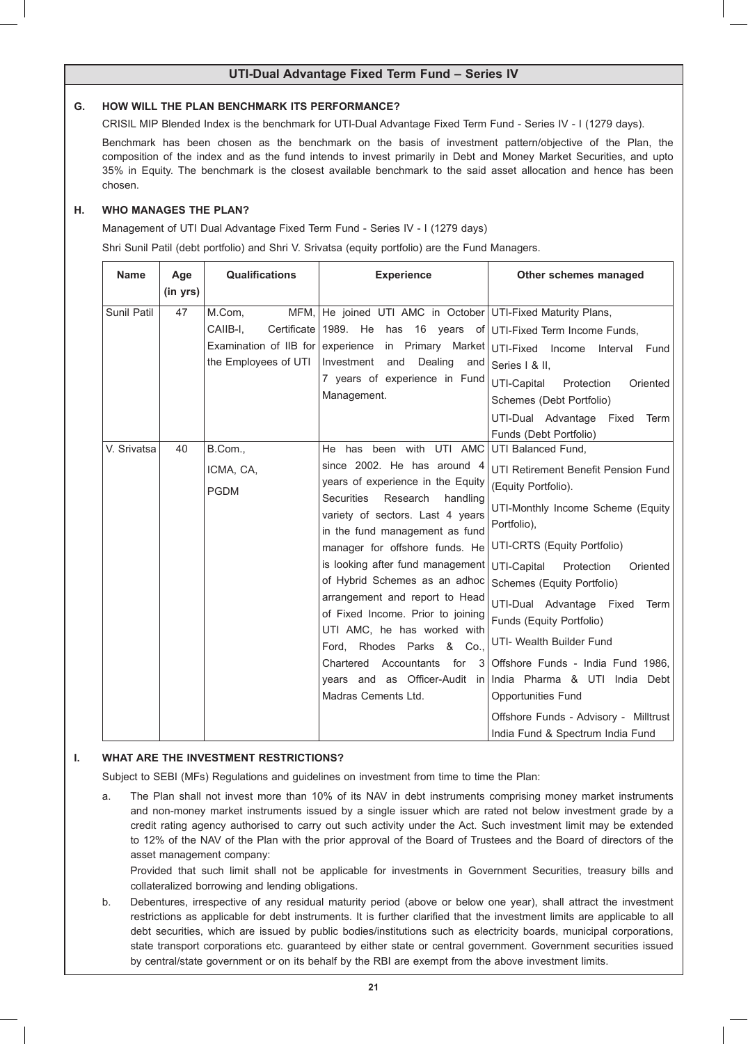### **G. HOW WILL THE PLAN BENCHMARK ITS PERFORMANCE?**

 CRISIL MIP Blended Index is the benchmark for UTI-Dual Advantage Fixed Term Fund - Series IV - I (1279 days).

 Benchmark has been chosen as the benchmark on the basis of investment pattern/objective of the Plan, the composition of the index and as the fund intends to invest primarily in Debt and Money Market Securities, and upto 35% in Equity. The benchmark is the closest available benchmark to the said asset allocation and hence has been chosen.

# **H. WHO MANAGES THE PLAN?**

 Management of UTI Dual Advantage Fixed Term Fund - Series IV - I (1279 days)

 Shri Sunil Patil (debt portfolio) and Shri V. Srivatsa (equity portfolio) are the Fund Managers.

| <b>Name</b><br>Age            | <b>Qualifications</b>                                                          | <b>Experience</b>                                                                                                                                                                                                                                                                                                                                                                                                                                                                                                                                            | Other schemes managed                                                                                                                                                                                                                                                                                                                                                                                                                                                                                                     |
|-------------------------------|--------------------------------------------------------------------------------|--------------------------------------------------------------------------------------------------------------------------------------------------------------------------------------------------------------------------------------------------------------------------------------------------------------------------------------------------------------------------------------------------------------------------------------------------------------------------------------------------------------------------------------------------------------|---------------------------------------------------------------------------------------------------------------------------------------------------------------------------------------------------------------------------------------------------------------------------------------------------------------------------------------------------------------------------------------------------------------------------------------------------------------------------------------------------------------------------|
| (in yrs)<br>Sunil Patil<br>47 | MFM.<br>M.Com,<br>Certificate<br>CAIIB-I.<br>Examination of IIB for experience | He joined UTI AMC in October UTI-Fixed Maturity Plans,<br>1989. He has 16 years of UTI-Fixed Term Income Funds,                                                                                                                                                                                                                                                                                                                                                                                                                                              |                                                                                                                                                                                                                                                                                                                                                                                                                                                                                                                           |
|                               | the Employees of UTI                                                           | Dealing<br>Investment<br>and<br>and<br>7 years of experience in Fund<br>Management.                                                                                                                                                                                                                                                                                                                                                                                                                                                                          | in Primary Market UTI-Fixed Income<br>Interval<br>Fund<br>Series   & II.<br>UTI-Capital<br>Protection<br>Oriented<br>Schemes (Debt Portfolio)                                                                                                                                                                                                                                                                                                                                                                             |
|                               |                                                                                |                                                                                                                                                                                                                                                                                                                                                                                                                                                                                                                                                              | UTI-Dual Advantage<br>Fixed<br>Term<br>Funds (Debt Portfolio)                                                                                                                                                                                                                                                                                                                                                                                                                                                             |
| V. Srivatsa<br>40             | B.Com.,<br>ICMA, CA,<br><b>PGDM</b>                                            | been with UTI AMC<br>He<br>has<br>since 2002. He has around 4<br>years of experience in the Equity<br><b>Securities</b><br>Research<br>handling<br>variety of sectors. Last 4 years<br>in the fund management as fund<br>manager for offshore funds. He<br>is looking after fund management<br>of Hybrid Schemes as an adhoc<br>arrangement and report to Head<br>of Fixed Income. Prior to joining<br>UTI AMC, he has worked with<br>Ford, Rhodes Parks & Co.,<br>Chartered<br>Accountants<br>for<br>3<br>years and as Officer-Audit<br>Madras Cements Ltd. | UTI Balanced Fund,<br>UTI Retirement Benefit Pension Fund<br>(Equity Portfolio).<br>UTI-Monthly Income Scheme (Equity<br>Portfolio),<br>UTI-CRTS (Equity Portfolio)<br>UTI-Capital<br>Protection<br>Oriented<br>Schemes (Equity Portfolio)<br>UTI-Dual Advantage Fixed<br>Term<br>Funds (Equity Portfolio)<br>UTI- Wealth Builder Fund<br>Offshore Funds - India Fund 1986.<br>in India Pharma & UTI India Debt<br><b>Opportunities Fund</b><br>Offshore Funds - Advisory - Milltrust<br>India Fund & Spectrum India Fund |

## **I. WHAT ARE THE INVESTMENT RESTRICTIONS?**

 Subject to SEBI (MFs) Regulations and guidelines on investment from time to time the Plan:

a. The Plan shall not invest more than 10% of its NAV in debt instruments comprising money market instruments and non-money market instruments issued by a single issuer which are rated not below investment grade by a credit rating agency authorised to carry out such activity under the Act. Such investment limit may be extended to 12% of the NAV of the Plan with the prior approval of the Board of Trustees and the Board of directors of the asset management company:

 Provided that such limit shall not be applicable for investments in Government Securities, treasury bills and collateralized borrowing and lending obligations.

b. Debentures, irrespective of any residual maturity period (above or below one year), shall attract the investment restrictions as applicable for debt instruments. It is further clarified that the investment limits are applicable to all debt securities, which are issued by public bodies/institutions such as electricity boards, municipal corporations, state transport corporations etc. guaranteed by either state or central government. Government securities issued by central/state government or on its behalf by the RBI are exempt from the above investment limits.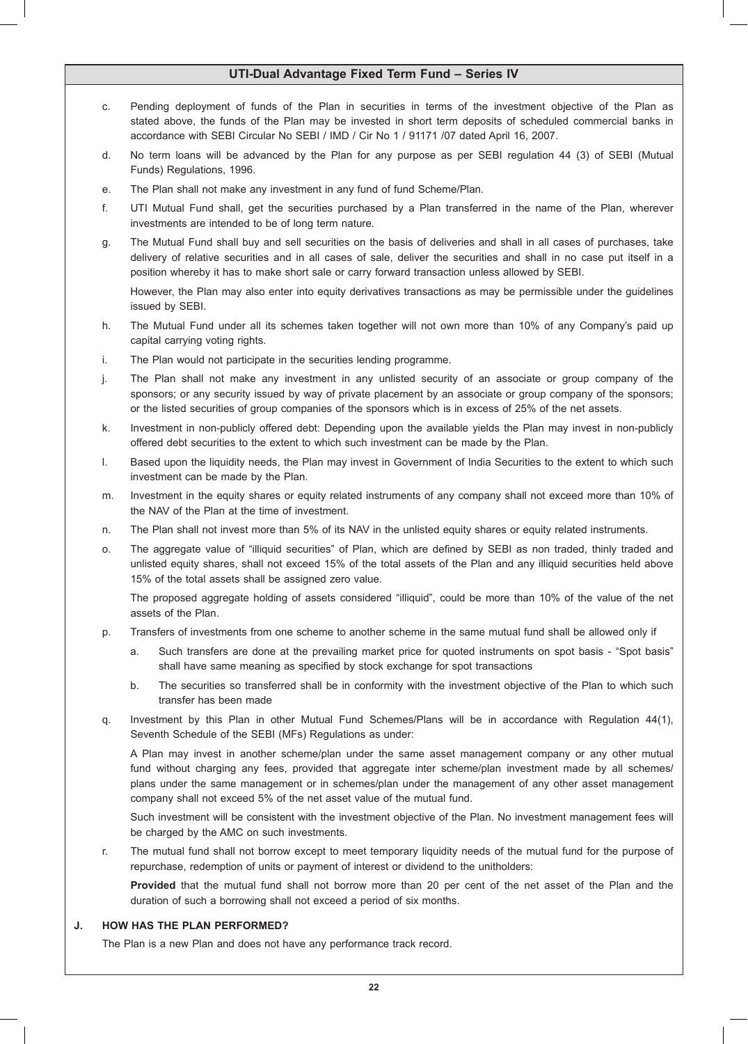- c. Pending deployment of funds of the Plan in securities in terms of the investment objective of the Plan as stated above, the funds of the Plan may be invested in short term deposits of scheduled commercial banks in accordance with SEBI Circular No SEBI / IMD / Cir No 1 / 91171 /07 dated April 16, 2007.
- d. No term loans will be advanced by the Plan for any purpose as per SEBI regulation 44 (3) of SEBI (Mutual Funds) Regulations, 1996.
- e. The Plan shall not make any investment in any fund of fund Scheme/Plan.
- f. UTI Mutual Fund shall, get the securities purchased by a Plan transferred in the name of the Plan, wherever investments are intended to be of long term nature.
- g. The Mutual Fund shall buy and sell securities on the basis of deliveries and shall in all cases of purchases, take delivery of relative securities and in all cases of sale, deliver the securities and shall in no case put itself in a position whereby it has to make short sale or carry forward transaction unless allowed by SEBI.

 However, the Plan may also enter into equity derivatives transactions as may be permissible under the guidelines issued by SEBI.

- h. The Mutual Fund under all its schemes taken together will not own more than 10% of any Company's paid up capital carrying voting rights.
- i. The Plan would not participate in the securities lending programme.
- j. The Plan shall not make any investment in any unlisted security of an associate or group company of the sponsors; or any security issued by way of private placement by an associate or group company of the sponsors; or the listed securities of group companies of the sponsors which is in excess of 25% of the net assets.
- k. Investment in non-publicly offered debt: Depending upon the available yields the Plan may invest in non-publicly offered debt securities to the extent to which such investment can be made by the Plan.
- I. Based upon the liquidity needs, the Plan may invest in Government of India Securities to the extent to which such investment can be made by the Plan.
- m. Investment in the equity shares or equity related instruments of any company shall not exceed more than 10% of the NAV of the Plan at the time of investment.
- n. The Plan shall not invest more than 5% of its NAV in the unlisted equity shares or equity related instruments.
- o. The aggregate value of "illiquid securities" of Plan, which are defined by SEBI as non traded, thinly traded and unlisted equity shares, shall not exceed 15% of the total assets of the Plan and any illiquid securities held above 15% of the total assets shall be assigned zero value.

 The proposed aggregate holding of assets considered "illiquid", could be more than 10% of the value of the net assets of the Plan.

- p. Transfers of investments from one scheme to another scheme in the same mutual fund shall be allowed only if
	- a. Such transfers are done at the prevailing market price for quoted instruments on spot basis "Spot basis" shall have same meaning as specified by stock exchange for spot transactions
	- b. The securities so transferred shall be in conformity with the investment objective of the Plan to which such transfer has been made
- q. Investment by this Plan in other Mutual Fund Schemes/Plans will be in accordance with Regulation 44(1), Seventh Schedule of the SEBI (MFs) Regulations as under:

 A Plan may invest in another scheme/plan under the same asset management company or any other mutual fund without charging any fees, provided that aggregate inter scheme/plan investment made by all schemes/ plans under the same management or in schemes/plan under the management of any other asset management company shall not exceed 5% of the net asset value of the mutual fund.

 Such investment will be consistent with the investment objective of the Plan. No investment management fees will be charged by the AMC on such investments.

r. The mutual fund shall not borrow except to meet temporary liquidity needs of the mutual fund for the purpose of repurchase, redemption of units or payment of interest or dividend to the unitholders:

 **Provided** that the mutual fund shall not borrow more than 20 per cent of the net asset of the Plan and the duration of such a borrowing shall not exceed a period of six months.

### **J. HOW HAS THE PLAN PERFORMED?**

 The Plan is a new Plan and does not have any performance track record.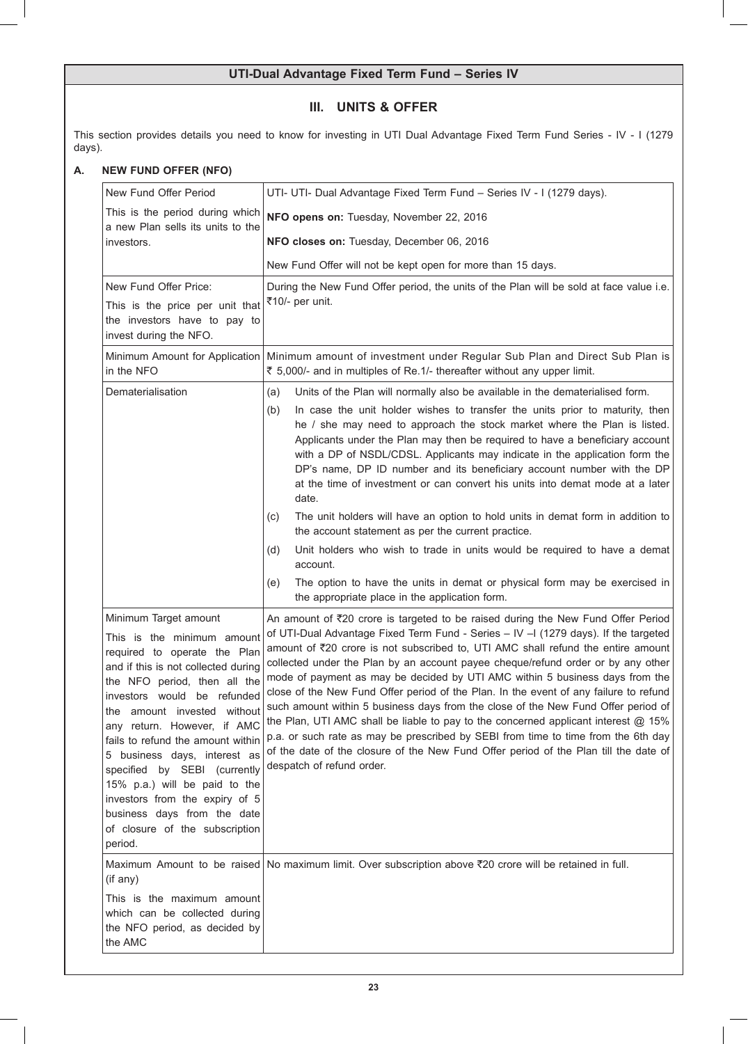# **III. UNITS & OFFER**

This section provides details you need to know for investing in UTI Dual Advantage Fixed Term Fund Series - IV - I (1279 days).

# **A. NEW FUND OFFER (NFO)**

| New Fund Offer Period                                                                                                                                                                                                                                                                                                                                                                                                                                                                                       | UTI- UTI- Dual Advantage Fixed Term Fund - Series IV - I (1279 days).                                                                                                                                                                                                                                                                                                                                                                                                                                                                                                                                                                                                                                                                                                                                                                                                                                                      |
|-------------------------------------------------------------------------------------------------------------------------------------------------------------------------------------------------------------------------------------------------------------------------------------------------------------------------------------------------------------------------------------------------------------------------------------------------------------------------------------------------------------|----------------------------------------------------------------------------------------------------------------------------------------------------------------------------------------------------------------------------------------------------------------------------------------------------------------------------------------------------------------------------------------------------------------------------------------------------------------------------------------------------------------------------------------------------------------------------------------------------------------------------------------------------------------------------------------------------------------------------------------------------------------------------------------------------------------------------------------------------------------------------------------------------------------------------|
| This is the period during which                                                                                                                                                                                                                                                                                                                                                                                                                                                                             | NFO opens on: Tuesday, November 22, 2016                                                                                                                                                                                                                                                                                                                                                                                                                                                                                                                                                                                                                                                                                                                                                                                                                                                                                   |
| a new Plan sells its units to the<br>investors.                                                                                                                                                                                                                                                                                                                                                                                                                                                             | NFO closes on: Tuesday, December 06, 2016                                                                                                                                                                                                                                                                                                                                                                                                                                                                                                                                                                                                                                                                                                                                                                                                                                                                                  |
|                                                                                                                                                                                                                                                                                                                                                                                                                                                                                                             | New Fund Offer will not be kept open for more than 15 days.                                                                                                                                                                                                                                                                                                                                                                                                                                                                                                                                                                                                                                                                                                                                                                                                                                                                |
| New Fund Offer Price:<br>This is the price per unit that<br>the investors have to pay to<br>invest during the NFO.                                                                                                                                                                                                                                                                                                                                                                                          | During the New Fund Offer period, the units of the Plan will be sold at face value i.e.<br>₹10/- per unit.                                                                                                                                                                                                                                                                                                                                                                                                                                                                                                                                                                                                                                                                                                                                                                                                                 |
| in the NFO                                                                                                                                                                                                                                                                                                                                                                                                                                                                                                  | Minimum Amount for Application   Minimum amount of investment under Regular Sub Plan and Direct Sub Plan is<br>₹ 5,000/- and in multiples of Re.1/- thereafter without any upper limit.                                                                                                                                                                                                                                                                                                                                                                                                                                                                                                                                                                                                                                                                                                                                    |
| Dematerialisation                                                                                                                                                                                                                                                                                                                                                                                                                                                                                           | Units of the Plan will normally also be available in the dematerialised form.<br>(a)                                                                                                                                                                                                                                                                                                                                                                                                                                                                                                                                                                                                                                                                                                                                                                                                                                       |
|                                                                                                                                                                                                                                                                                                                                                                                                                                                                                                             | In case the unit holder wishes to transfer the units prior to maturity, then<br>(b)<br>he / she may need to approach the stock market where the Plan is listed.<br>Applicants under the Plan may then be required to have a beneficiary account<br>with a DP of NSDL/CDSL. Applicants may indicate in the application form the<br>DP's name, DP ID number and its beneficiary account number with the DP<br>at the time of investment or can convert his units into demat mode at a later<br>date.                                                                                                                                                                                                                                                                                                                                                                                                                         |
|                                                                                                                                                                                                                                                                                                                                                                                                                                                                                                             | The unit holders will have an option to hold units in demat form in addition to<br>(c)<br>the account statement as per the current practice.                                                                                                                                                                                                                                                                                                                                                                                                                                                                                                                                                                                                                                                                                                                                                                               |
|                                                                                                                                                                                                                                                                                                                                                                                                                                                                                                             | Unit holders who wish to trade in units would be required to have a demat<br>(d)<br>account.                                                                                                                                                                                                                                                                                                                                                                                                                                                                                                                                                                                                                                                                                                                                                                                                                               |
|                                                                                                                                                                                                                                                                                                                                                                                                                                                                                                             | The option to have the units in demat or physical form may be exercised in<br>(e)<br>the appropriate place in the application form.                                                                                                                                                                                                                                                                                                                                                                                                                                                                                                                                                                                                                                                                                                                                                                                        |
| Minimum Target amount<br>This is the minimum amount<br>required to operate the Plan<br>and if this is not collected during<br>the NFO period, then all the<br>investors would be refunded<br>the amount invested without<br>any return. However, if AMC<br>fails to refund the amount within<br>5 business days, interest as<br>specified by SEBI (currently<br>15% p.a.) will be paid to the<br>investors from the expiry of 5<br>business days from the date<br>of closure of the subscription<br>period. | An amount of $\overline{z}20$ crore is targeted to be raised during the New Fund Offer Period<br>of UTI-Dual Advantage Fixed Term Fund - Series - IV - 1(1279 days). If the targeted<br>amount of ₹20 crore is not subscribed to, UTI AMC shall refund the entire amount<br>collected under the Plan by an account payee cheque/refund order or by any other<br>mode of payment as may be decided by UTI AMC within 5 business days from the<br>close of the New Fund Offer period of the Plan. In the event of any failure to refund<br>such amount within 5 business days from the close of the New Fund Offer period of<br>the Plan, UTI AMC shall be liable to pay to the concerned applicant interest @ 15%<br>p.a. or such rate as may be prescribed by SEBI from time to time from the 6th day<br>of the date of the closure of the New Fund Offer period of the Plan till the date of<br>despatch of refund order. |
| (if any)                                                                                                                                                                                                                                                                                                                                                                                                                                                                                                    | Maximum Amount to be raised   No maximum limit. Over subscription above ₹20 crore will be retained in full.                                                                                                                                                                                                                                                                                                                                                                                                                                                                                                                                                                                                                                                                                                                                                                                                                |
| This is the maximum amount<br>which can be collected during<br>the NFO period, as decided by<br>the AMC                                                                                                                                                                                                                                                                                                                                                                                                     |                                                                                                                                                                                                                                                                                                                                                                                                                                                                                                                                                                                                                                                                                                                                                                                                                                                                                                                            |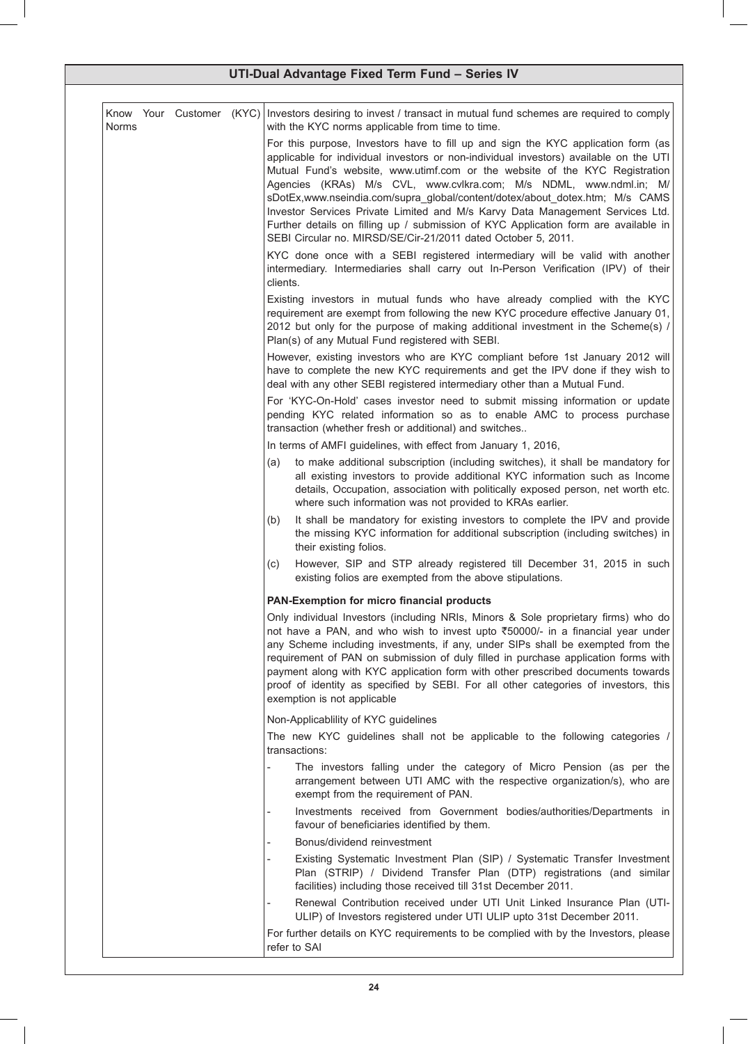| <b>Norms</b> |  | Know Your Customer (KYC) Investors desiring to invest / transact in mutual fund schemes are required to comply<br>with the KYC norms applicable from time to time.                                                                                                                                                                                                                                                                                                                                                                                                                                                                                       |
|--------------|--|----------------------------------------------------------------------------------------------------------------------------------------------------------------------------------------------------------------------------------------------------------------------------------------------------------------------------------------------------------------------------------------------------------------------------------------------------------------------------------------------------------------------------------------------------------------------------------------------------------------------------------------------------------|
|              |  | For this purpose, Investors have to fill up and sign the KYC application form (as<br>applicable for individual investors or non-individual investors) available on the UTI<br>Mutual Fund's website, www.utimf.com or the website of the KYC Registration<br>Agencies (KRAs) M/s CVL, www.cvlkra.com; M/s NDML, www.ndml.in; M/<br>sDotEx,www.nseindia.com/supra_global/content/dotex/about_dotex.htm; M/s CAMS<br>Investor Services Private Limited and M/s Karvy Data Management Services Ltd.<br>Further details on filling up / submission of KYC Application form are available in<br>SEBI Circular no. MIRSD/SE/Cir-21/2011 dated October 5, 2011. |
|              |  | KYC done once with a SEBI registered intermediary will be valid with another<br>intermediary. Intermediaries shall carry out In-Person Verification (IPV) of their<br>clients.                                                                                                                                                                                                                                                                                                                                                                                                                                                                           |
|              |  | Existing investors in mutual funds who have already complied with the KYC<br>requirement are exempt from following the new KYC procedure effective January 01,<br>2012 but only for the purpose of making additional investment in the Scheme(s) /<br>Plan(s) of any Mutual Fund registered with SEBI.                                                                                                                                                                                                                                                                                                                                                   |
|              |  | However, existing investors who are KYC compliant before 1st January 2012 will<br>have to complete the new KYC requirements and get the IPV done if they wish to<br>deal with any other SEBI registered intermediary other than a Mutual Fund.                                                                                                                                                                                                                                                                                                                                                                                                           |
|              |  | For 'KYC-On-Hold' cases investor need to submit missing information or update<br>pending KYC related information so as to enable AMC to process purchase<br>transaction (whether fresh or additional) and switches                                                                                                                                                                                                                                                                                                                                                                                                                                       |
|              |  | In terms of AMFI guidelines, with effect from January 1, 2016,                                                                                                                                                                                                                                                                                                                                                                                                                                                                                                                                                                                           |
|              |  | to make additional subscription (including switches), it shall be mandatory for<br>(a)<br>all existing investors to provide additional KYC information such as Income<br>details, Occupation, association with politically exposed person, net worth etc.<br>where such information was not provided to KRAs earlier.                                                                                                                                                                                                                                                                                                                                    |
|              |  | It shall be mandatory for existing investors to complete the IPV and provide<br>(b)<br>the missing KYC information for additional subscription (including switches) in<br>their existing folios.                                                                                                                                                                                                                                                                                                                                                                                                                                                         |
|              |  | However, SIP and STP already registered till December 31, 2015 in such<br>(C)<br>existing folios are exempted from the above stipulations.                                                                                                                                                                                                                                                                                                                                                                                                                                                                                                               |
|              |  | PAN-Exemption for micro financial products                                                                                                                                                                                                                                                                                                                                                                                                                                                                                                                                                                                                               |
|              |  | Only individual Investors (including NRIs, Minors & Sole proprietary firms) who do<br>not have a PAN, and who wish to invest upto ₹50000/- in a financial year under<br>any Scheme including investments, if any, under SIPs shall be exempted from the<br>requirement of PAN on submission of duly filled in purchase application forms with<br>payment along with KYC application form with other prescribed documents towards<br>proof of identity as specified by SEBI. For all other categories of investors, this<br>exemption is not applicable                                                                                                   |
|              |  | Non-Applicability of KYC guidelines                                                                                                                                                                                                                                                                                                                                                                                                                                                                                                                                                                                                                      |
|              |  | The new KYC guidelines shall not be applicable to the following categories /<br>transactions:                                                                                                                                                                                                                                                                                                                                                                                                                                                                                                                                                            |
|              |  | The investors falling under the category of Micro Pension (as per the<br>arrangement between UTI AMC with the respective organization/s), who are<br>exempt from the requirement of PAN.                                                                                                                                                                                                                                                                                                                                                                                                                                                                 |
|              |  | Investments received from Government bodies/authorities/Departments in<br>favour of beneficiaries identified by them.                                                                                                                                                                                                                                                                                                                                                                                                                                                                                                                                    |
|              |  | Bonus/dividend reinvestment                                                                                                                                                                                                                                                                                                                                                                                                                                                                                                                                                                                                                              |
|              |  | Existing Systematic Investment Plan (SIP) / Systematic Transfer Investment<br>Plan (STRIP) / Dividend Transfer Plan (DTP) registrations (and similar<br>facilities) including those received till 31st December 2011.                                                                                                                                                                                                                                                                                                                                                                                                                                    |
|              |  | Renewal Contribution received under UTI Unit Linked Insurance Plan (UTI-<br>ULIP) of Investors registered under UTI ULIP upto 31st December 2011.                                                                                                                                                                                                                                                                                                                                                                                                                                                                                                        |
|              |  | For further details on KYC requirements to be complied with by the Investors, please<br>refer to SAI                                                                                                                                                                                                                                                                                                                                                                                                                                                                                                                                                     |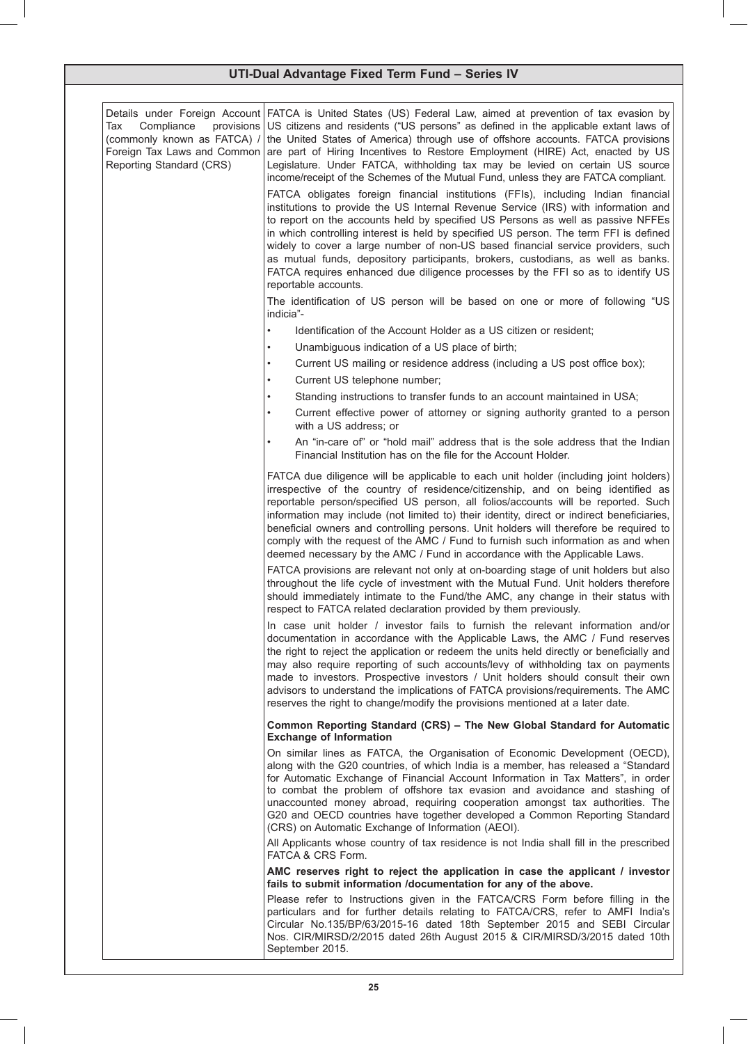| Compliance<br>provisions<br>Tax<br>(commonly known as FATCA) /<br>Foreign Tax Laws and Common<br>Reporting Standard (CRS) | Details under Foreign Account FATCA is United States (US) Federal Law, aimed at prevention of tax evasion by<br>US citizens and residents ("US persons" as defined in the applicable extant laws of<br>the United States of America) through use of offshore accounts. FATCA provisions<br>are part of Hiring Incentives to Restore Employment (HIRE) Act, enacted by US<br>Legislature. Under FATCA, withholding tax may be levied on certain US source<br>income/receipt of the Schemes of the Mutual Fund, unless they are FATCA compliant.<br>FATCA obligates foreign financial institutions (FFIs), including Indian financial<br>institutions to provide the US Internal Revenue Service (IRS) with information and<br>to report on the accounts held by specified US Persons as well as passive NFFEs<br>in which controlling interest is held by specified US person. The term FFI is defined<br>widely to cover a large number of non-US based financial service providers, such<br>as mutual funds, depository participants, brokers, custodians, as well as banks.<br>FATCA requires enhanced due diligence processes by the FFI so as to identify US<br>reportable accounts.<br>The identification of US person will be based on one or more of following "US |
|---------------------------------------------------------------------------------------------------------------------------|---------------------------------------------------------------------------------------------------------------------------------------------------------------------------------------------------------------------------------------------------------------------------------------------------------------------------------------------------------------------------------------------------------------------------------------------------------------------------------------------------------------------------------------------------------------------------------------------------------------------------------------------------------------------------------------------------------------------------------------------------------------------------------------------------------------------------------------------------------------------------------------------------------------------------------------------------------------------------------------------------------------------------------------------------------------------------------------------------------------------------------------------------------------------------------------------------------------------------------------------------------------------------|
|                                                                                                                           | indicia"-                                                                                                                                                                                                                                                                                                                                                                                                                                                                                                                                                                                                                                                                                                                                                                                                                                                                                                                                                                                                                                                                                                                                                                                                                                                                 |
|                                                                                                                           | Identification of the Account Holder as a US citizen or resident;                                                                                                                                                                                                                                                                                                                                                                                                                                                                                                                                                                                                                                                                                                                                                                                                                                                                                                                                                                                                                                                                                                                                                                                                         |
|                                                                                                                           | Unambiguous indication of a US place of birth;<br>$\bullet$                                                                                                                                                                                                                                                                                                                                                                                                                                                                                                                                                                                                                                                                                                                                                                                                                                                                                                                                                                                                                                                                                                                                                                                                               |
|                                                                                                                           | Current US mailing or residence address (including a US post office box);                                                                                                                                                                                                                                                                                                                                                                                                                                                                                                                                                                                                                                                                                                                                                                                                                                                                                                                                                                                                                                                                                                                                                                                                 |
|                                                                                                                           | Current US telephone number;<br>$\bullet$                                                                                                                                                                                                                                                                                                                                                                                                                                                                                                                                                                                                                                                                                                                                                                                                                                                                                                                                                                                                                                                                                                                                                                                                                                 |
|                                                                                                                           | Standing instructions to transfer funds to an account maintained in USA;<br>Current effective power of attorney or signing authority granted to a person                                                                                                                                                                                                                                                                                                                                                                                                                                                                                                                                                                                                                                                                                                                                                                                                                                                                                                                                                                                                                                                                                                                  |
|                                                                                                                           | with a US address; or                                                                                                                                                                                                                                                                                                                                                                                                                                                                                                                                                                                                                                                                                                                                                                                                                                                                                                                                                                                                                                                                                                                                                                                                                                                     |
|                                                                                                                           | An "in-care of" or "hold mail" address that is the sole address that the Indian<br>Financial Institution has on the file for the Account Holder.                                                                                                                                                                                                                                                                                                                                                                                                                                                                                                                                                                                                                                                                                                                                                                                                                                                                                                                                                                                                                                                                                                                          |
|                                                                                                                           | FATCA due diligence will be applicable to each unit holder (including joint holders)<br>irrespective of the country of residence/citizenship, and on being identified as<br>reportable person/specified US person, all folios/accounts will be reported. Such<br>information may include (not limited to) their identity, direct or indirect beneficiaries,<br>beneficial owners and controlling persons. Unit holders will therefore be required to<br>comply with the request of the AMC / Fund to furnish such information as and when<br>deemed necessary by the AMC / Fund in accordance with the Applicable Laws.                                                                                                                                                                                                                                                                                                                                                                                                                                                                                                                                                                                                                                                   |
|                                                                                                                           | FATCA provisions are relevant not only at on-boarding stage of unit holders but also<br>throughout the life cycle of investment with the Mutual Fund. Unit holders therefore<br>should immediately intimate to the Fund/the AMC, any change in their status with<br>respect to FATCA related declaration provided by them previously.                                                                                                                                                                                                                                                                                                                                                                                                                                                                                                                                                                                                                                                                                                                                                                                                                                                                                                                                     |
|                                                                                                                           | In case unit holder / investor fails to furnish the relevant information and/or<br>documentation in accordance with the Applicable Laws, the AMC / Fund reserves<br>the right to reject the application or redeem the units held directly or beneficially and<br>may also require reporting of such accounts/levy of withholding tax on payments<br>made to investors. Prospective investors / Unit holders should consult their own<br>advisors to understand the implications of FATCA provisions/requirements. The AMC<br>reserves the right to change/modify the provisions mentioned at a later date.                                                                                                                                                                                                                                                                                                                                                                                                                                                                                                                                                                                                                                                                |
|                                                                                                                           | Common Reporting Standard (CRS) – The New Global Standard for Automatic<br><b>Exchange of Information</b>                                                                                                                                                                                                                                                                                                                                                                                                                                                                                                                                                                                                                                                                                                                                                                                                                                                                                                                                                                                                                                                                                                                                                                 |
|                                                                                                                           | On similar lines as FATCA, the Organisation of Economic Development (OECD),<br>along with the G20 countries, of which India is a member, has released a "Standard"<br>for Automatic Exchange of Financial Account Information in Tax Matters", in order<br>to combat the problem of offshore tax evasion and avoidance and stashing of<br>unaccounted money abroad, requiring cooperation amongst tax authorities. The<br>G20 and OECD countries have together developed a Common Reporting Standard<br>(CRS) on Automatic Exchange of Information (AEOI).                                                                                                                                                                                                                                                                                                                                                                                                                                                                                                                                                                                                                                                                                                                |
|                                                                                                                           | All Applicants whose country of tax residence is not India shall fill in the prescribed<br>FATCA & CRS Form.                                                                                                                                                                                                                                                                                                                                                                                                                                                                                                                                                                                                                                                                                                                                                                                                                                                                                                                                                                                                                                                                                                                                                              |
|                                                                                                                           | AMC reserves right to reject the application in case the applicant / investor<br>fails to submit information /documentation for any of the above.                                                                                                                                                                                                                                                                                                                                                                                                                                                                                                                                                                                                                                                                                                                                                                                                                                                                                                                                                                                                                                                                                                                         |
|                                                                                                                           | Please refer to Instructions given in the FATCA/CRS Form before filling in the<br>particulars and for further details relating to FATCA/CRS, refer to AMFI India's<br>Circular No.135/BP/63/2015-16 dated 18th September 2015 and SEBI Circular<br>Nos. CIR/MIRSD/2/2015 dated 26th August 2015 & CIR/MIRSD/3/2015 dated 10th<br>September 2015.                                                                                                                                                                                                                                                                                                                                                                                                                                                                                                                                                                                                                                                                                                                                                                                                                                                                                                                          |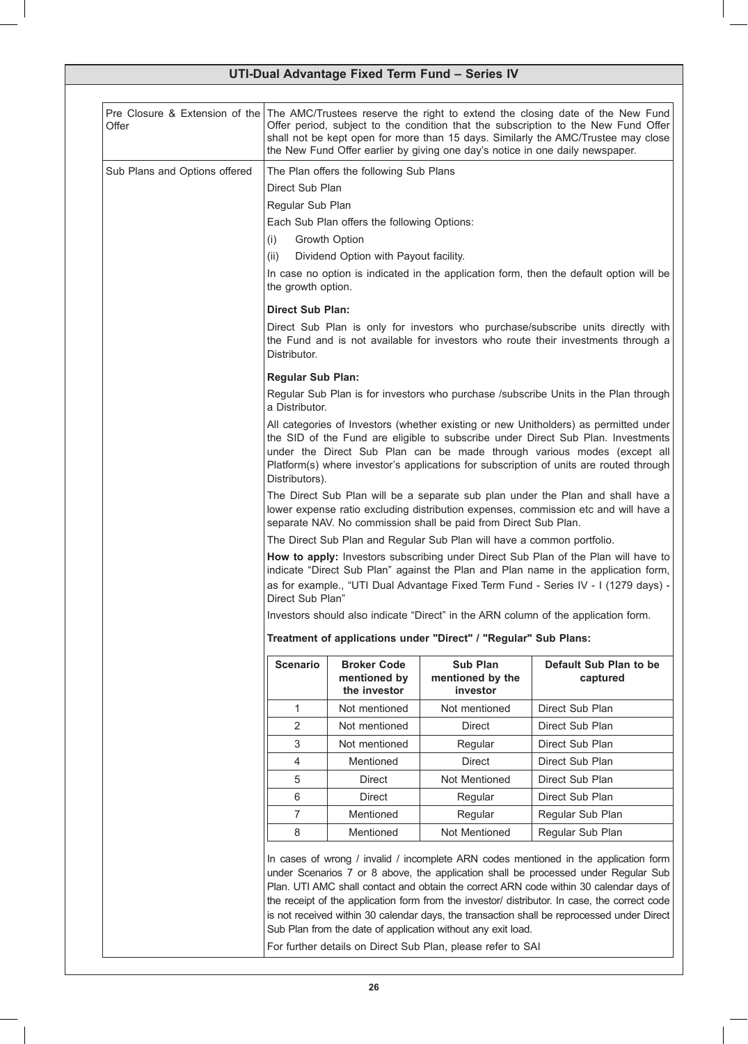| Pre Closure & Extension of the The AMC/Trustees reserve the right to extend the closing date of the New Fund<br>Offer period, subject to the condition that the subscription to the New Fund Offer<br>shall not be kept open for more than 15 days. Similarly the AMC/Trustee may close<br>the New Fund Offer earlier by giving one day's notice in one daily newspaper. |                                                    |                                                                                                                                                                         |                                                                                                                                                                                                                                                                                                                                                                                                                                                                                                                                                                                                                                                                                                                                                                                                                                                                                                                                                                                                                                             |  |
|--------------------------------------------------------------------------------------------------------------------------------------------------------------------------------------------------------------------------------------------------------------------------------------------------------------------------------------------------------------------------|----------------------------------------------------|-------------------------------------------------------------------------------------------------------------------------------------------------------------------------|---------------------------------------------------------------------------------------------------------------------------------------------------------------------------------------------------------------------------------------------------------------------------------------------------------------------------------------------------------------------------------------------------------------------------------------------------------------------------------------------------------------------------------------------------------------------------------------------------------------------------------------------------------------------------------------------------------------------------------------------------------------------------------------------------------------------------------------------------------------------------------------------------------------------------------------------------------------------------------------------------------------------------------------------|--|
|                                                                                                                                                                                                                                                                                                                                                                          |                                                    |                                                                                                                                                                         |                                                                                                                                                                                                                                                                                                                                                                                                                                                                                                                                                                                                                                                                                                                                                                                                                                                                                                                                                                                                                                             |  |
|                                                                                                                                                                                                                                                                                                                                                                          |                                                    |                                                                                                                                                                         |                                                                                                                                                                                                                                                                                                                                                                                                                                                                                                                                                                                                                                                                                                                                                                                                                                                                                                                                                                                                                                             |  |
|                                                                                                                                                                                                                                                                                                                                                                          |                                                    |                                                                                                                                                                         |                                                                                                                                                                                                                                                                                                                                                                                                                                                                                                                                                                                                                                                                                                                                                                                                                                                                                                                                                                                                                                             |  |
|                                                                                                                                                                                                                                                                                                                                                                          |                                                    |                                                                                                                                                                         |                                                                                                                                                                                                                                                                                                                                                                                                                                                                                                                                                                                                                                                                                                                                                                                                                                                                                                                                                                                                                                             |  |
| (i)                                                                                                                                                                                                                                                                                                                                                                      |                                                    |                                                                                                                                                                         |                                                                                                                                                                                                                                                                                                                                                                                                                                                                                                                                                                                                                                                                                                                                                                                                                                                                                                                                                                                                                                             |  |
| (ii)                                                                                                                                                                                                                                                                                                                                                                     |                                                    |                                                                                                                                                                         |                                                                                                                                                                                                                                                                                                                                                                                                                                                                                                                                                                                                                                                                                                                                                                                                                                                                                                                                                                                                                                             |  |
|                                                                                                                                                                                                                                                                                                                                                                          |                                                    |                                                                                                                                                                         |                                                                                                                                                                                                                                                                                                                                                                                                                                                                                                                                                                                                                                                                                                                                                                                                                                                                                                                                                                                                                                             |  |
|                                                                                                                                                                                                                                                                                                                                                                          |                                                    |                                                                                                                                                                         |                                                                                                                                                                                                                                                                                                                                                                                                                                                                                                                                                                                                                                                                                                                                                                                                                                                                                                                                                                                                                                             |  |
| Distributor.                                                                                                                                                                                                                                                                                                                                                             |                                                    |                                                                                                                                                                         |                                                                                                                                                                                                                                                                                                                                                                                                                                                                                                                                                                                                                                                                                                                                                                                                                                                                                                                                                                                                                                             |  |
|                                                                                                                                                                                                                                                                                                                                                                          |                                                    |                                                                                                                                                                         |                                                                                                                                                                                                                                                                                                                                                                                                                                                                                                                                                                                                                                                                                                                                                                                                                                                                                                                                                                                                                                             |  |
|                                                                                                                                                                                                                                                                                                                                                                          |                                                    |                                                                                                                                                                         |                                                                                                                                                                                                                                                                                                                                                                                                                                                                                                                                                                                                                                                                                                                                                                                                                                                                                                                                                                                                                                             |  |
| All categories of Investors (whether existing or new Unitholders) as permitted under<br>the SID of the Fund are eligible to subscribe under Direct Sub Plan. Investments<br>under the Direct Sub Plan can be made through various modes (except all<br>Platform(s) where investor's applications for subscription of units are routed through<br>Distributors).          |                                                    |                                                                                                                                                                         |                                                                                                                                                                                                                                                                                                                                                                                                                                                                                                                                                                                                                                                                                                                                                                                                                                                                                                                                                                                                                                             |  |
| The Direct Sub Plan will be a separate sub plan under the Plan and shall have a<br>lower expense ratio excluding distribution expenses, commission etc and will have a<br>separate NAV. No commission shall be paid from Direct Sub Plan.                                                                                                                                |                                                    |                                                                                                                                                                         |                                                                                                                                                                                                                                                                                                                                                                                                                                                                                                                                                                                                                                                                                                                                                                                                                                                                                                                                                                                                                                             |  |
| The Direct Sub Plan and Regular Sub Plan will have a common portfolio.                                                                                                                                                                                                                                                                                                   |                                                    |                                                                                                                                                                         |                                                                                                                                                                                                                                                                                                                                                                                                                                                                                                                                                                                                                                                                                                                                                                                                                                                                                                                                                                                                                                             |  |
|                                                                                                                                                                                                                                                                                                                                                                          |                                                    |                                                                                                                                                                         |                                                                                                                                                                                                                                                                                                                                                                                                                                                                                                                                                                                                                                                                                                                                                                                                                                                                                                                                                                                                                                             |  |
|                                                                                                                                                                                                                                                                                                                                                                          |                                                    |                                                                                                                                                                         |                                                                                                                                                                                                                                                                                                                                                                                                                                                                                                                                                                                                                                                                                                                                                                                                                                                                                                                                                                                                                                             |  |
| Treatment of applications under "Direct" / "Regular" Sub Plans:                                                                                                                                                                                                                                                                                                          |                                                    |                                                                                                                                                                         |                                                                                                                                                                                                                                                                                                                                                                                                                                                                                                                                                                                                                                                                                                                                                                                                                                                                                                                                                                                                                                             |  |
| <b>Scenario</b>                                                                                                                                                                                                                                                                                                                                                          | <b>Broker Code</b><br>mentioned by<br>the investor | <b>Sub Plan</b><br>mentioned by the<br>investor                                                                                                                         | Default Sub Plan to be<br>captured                                                                                                                                                                                                                                                                                                                                                                                                                                                                                                                                                                                                                                                                                                                                                                                                                                                                                                                                                                                                          |  |
| 1                                                                                                                                                                                                                                                                                                                                                                        | Not mentioned                                      | Not mentioned                                                                                                                                                           | Direct Sub Plan                                                                                                                                                                                                                                                                                                                                                                                                                                                                                                                                                                                                                                                                                                                                                                                                                                                                                                                                                                                                                             |  |
| $\overline{2}$                                                                                                                                                                                                                                                                                                                                                           | Not mentioned                                      | <b>Direct</b>                                                                                                                                                           | Direct Sub Plan                                                                                                                                                                                                                                                                                                                                                                                                                                                                                                                                                                                                                                                                                                                                                                                                                                                                                                                                                                                                                             |  |
| 3                                                                                                                                                                                                                                                                                                                                                                        | Not mentioned                                      | Regular                                                                                                                                                                 | Direct Sub Plan                                                                                                                                                                                                                                                                                                                                                                                                                                                                                                                                                                                                                                                                                                                                                                                                                                                                                                                                                                                                                             |  |
| 4                                                                                                                                                                                                                                                                                                                                                                        | Mentioned                                          | <b>Direct</b>                                                                                                                                                           | Direct Sub Plan                                                                                                                                                                                                                                                                                                                                                                                                                                                                                                                                                                                                                                                                                                                                                                                                                                                                                                                                                                                                                             |  |
| 5                                                                                                                                                                                                                                                                                                                                                                        | <b>Direct</b>                                      | Not Mentioned                                                                                                                                                           | Direct Sub Plan                                                                                                                                                                                                                                                                                                                                                                                                                                                                                                                                                                                                                                                                                                                                                                                                                                                                                                                                                                                                                             |  |
| 6                                                                                                                                                                                                                                                                                                                                                                        | Direct                                             | Regular                                                                                                                                                                 | Direct Sub Plan                                                                                                                                                                                                                                                                                                                                                                                                                                                                                                                                                                                                                                                                                                                                                                                                                                                                                                                                                                                                                             |  |
| $\overline{7}$                                                                                                                                                                                                                                                                                                                                                           | Mentioned                                          |                                                                                                                                                                         | Regular Sub Plan                                                                                                                                                                                                                                                                                                                                                                                                                                                                                                                                                                                                                                                                                                                                                                                                                                                                                                                                                                                                                            |  |
| 8                                                                                                                                                                                                                                                                                                                                                                        | Mentioned                                          | Not Mentioned                                                                                                                                                           | Regular Sub Plan                                                                                                                                                                                                                                                                                                                                                                                                                                                                                                                                                                                                                                                                                                                                                                                                                                                                                                                                                                                                                            |  |
|                                                                                                                                                                                                                                                                                                                                                                          |                                                    |                                                                                                                                                                         | Plan. UTI AMC shall contact and obtain the correct ARN code within 30 calendar days of                                                                                                                                                                                                                                                                                                                                                                                                                                                                                                                                                                                                                                                                                                                                                                                                                                                                                                                                                      |  |
|                                                                                                                                                                                                                                                                                                                                                                          |                                                    | Direct Sub Plan<br>Regular Sub Plan<br>Growth Option<br>the growth option.<br><b>Direct Sub Plan:</b><br><b>Regular Sub Plan:</b><br>a Distributor.<br>Direct Sub Plan" | The Plan offers the following Sub Plans<br>Each Sub Plan offers the following Options:<br>Dividend Option with Payout facility.<br>In case no option is indicated in the application form, then the default option will be<br>Direct Sub Plan is only for investors who purchase/subscribe units directly with<br>the Fund and is not available for investors who route their investments through a<br>Regular Sub Plan is for investors who purchase /subscribe Units in the Plan through<br>How to apply: Investors subscribing under Direct Sub Plan of the Plan will have to<br>indicate "Direct Sub Plan" against the Plan and Plan name in the application form,<br>as for example., "UTI Dual Advantage Fixed Term Fund - Series IV - I (1279 days) -<br>Investors should also indicate "Direct" in the ARN column of the application form.<br>Regular<br>In cases of wrong / invalid / incomplete ARN codes mentioned in the application form<br>under Scenarios 7 or 8 above, the application shall be processed under Regular Sub |  |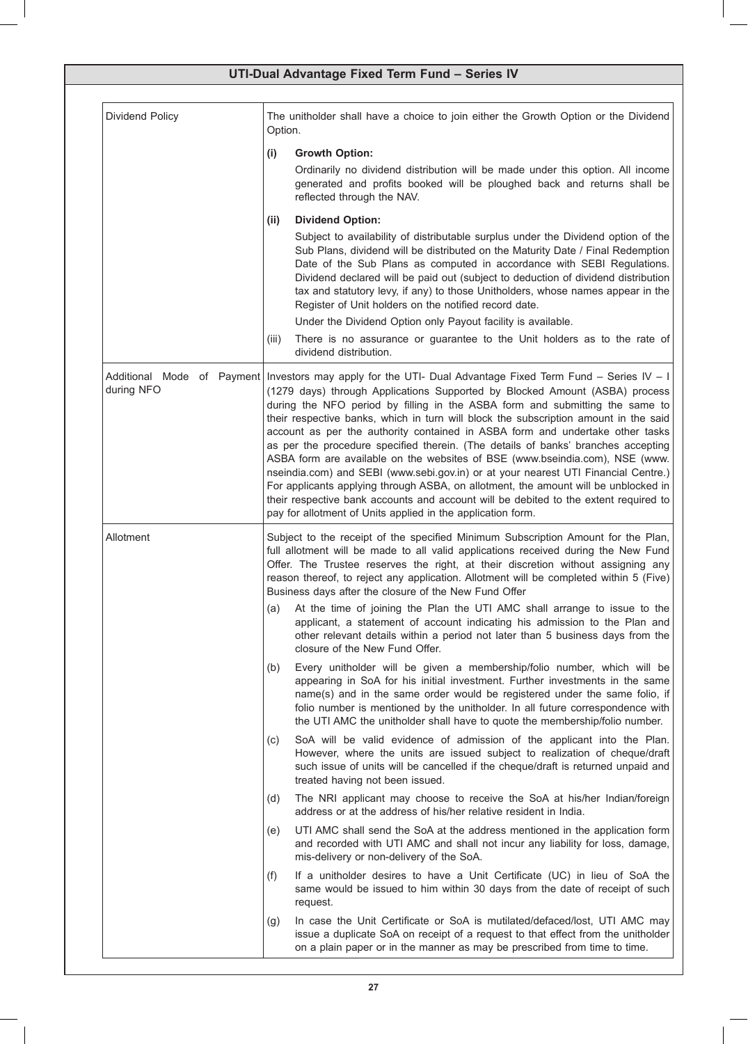|                 | UTI-Dual Advantage Fixed Term Fund - Series IV                                                                                                                                                                                                                                                                                                                                                                                                                                                                                                                                                                                                                                                                                                                                                                                                                                                                                                                |
|-----------------|---------------------------------------------------------------------------------------------------------------------------------------------------------------------------------------------------------------------------------------------------------------------------------------------------------------------------------------------------------------------------------------------------------------------------------------------------------------------------------------------------------------------------------------------------------------------------------------------------------------------------------------------------------------------------------------------------------------------------------------------------------------------------------------------------------------------------------------------------------------------------------------------------------------------------------------------------------------|
| Dividend Policy | The unitholder shall have a choice to join either the Growth Option or the Dividend<br>Option.                                                                                                                                                                                                                                                                                                                                                                                                                                                                                                                                                                                                                                                                                                                                                                                                                                                                |
|                 | <b>Growth Option:</b><br>(i)<br>Ordinarily no dividend distribution will be made under this option. All income<br>generated and profits booked will be ploughed back and returns shall be<br>reflected through the NAV.                                                                                                                                                                                                                                                                                                                                                                                                                                                                                                                                                                                                                                                                                                                                       |
|                 | <b>Dividend Option:</b><br>(ii)<br>Subject to availability of distributable surplus under the Dividend option of the<br>Sub Plans, dividend will be distributed on the Maturity Date / Final Redemption<br>Date of the Sub Plans as computed in accordance with SEBI Regulations.<br>Dividend declared will be paid out (subject to deduction of dividend distribution<br>tax and statutory levy, if any) to those Unitholders, whose names appear in the<br>Register of Unit holders on the notified record date.                                                                                                                                                                                                                                                                                                                                                                                                                                            |
|                 | Under the Dividend Option only Payout facility is available.<br>There is no assurance or guarantee to the Unit holders as to the rate of<br>(iii)<br>dividend distribution.                                                                                                                                                                                                                                                                                                                                                                                                                                                                                                                                                                                                                                                                                                                                                                                   |
| during NFO      | Additional Mode of Payment   Investors may apply for the UTI- Dual Advantage Fixed Term Fund - Series IV - I<br>(1279 days) through Applications Supported by Blocked Amount (ASBA) process<br>during the NFO period by filling in the ASBA form and submitting the same to<br>their respective banks, which in turn will block the subscription amount in the said<br>account as per the authority contained in ASBA form and undertake other tasks<br>as per the procedure specified therein. (The details of banks' branches accepting<br>ASBA form are available on the websites of BSE (www.bseindia.com), NSE (www.<br>nseindia.com) and SEBI (www.sebi.gov.in) or at your nearest UTI Financial Centre.)<br>For applicants applying through ASBA, on allotment, the amount will be unblocked in<br>their respective bank accounts and account will be debited to the extent required to<br>pay for allotment of Units applied in the application form. |
| Allotment       | Subject to the receipt of the specified Minimum Subscription Amount for the Plan,<br>full allotment will be made to all valid applications received during the New Fund<br>Offer. The Trustee reserves the right, at their discretion without assigning any<br>reason thereof, to reject any application. Allotment will be completed within 5 (Five)<br>Business days after the closure of the New Fund Offer                                                                                                                                                                                                                                                                                                                                                                                                                                                                                                                                                |
|                 | At the time of joining the Plan the UTI AMC shall arrange to issue to the<br>(a)<br>applicant, a statement of account indicating his admission to the Plan and<br>other relevant details within a period not later than 5 business days from the<br>closure of the New Fund Offer.                                                                                                                                                                                                                                                                                                                                                                                                                                                                                                                                                                                                                                                                            |
|                 | Every unitholder will be given a membership/folio number, which will be<br>(b)<br>appearing in SoA for his initial investment. Further investments in the same<br>name(s) and in the same order would be registered under the same folio, if<br>folio number is mentioned by the unitholder. In all future correspondence with<br>the UTI AMC the unitholder shall have to quote the membership/folio number.                                                                                                                                                                                                                                                                                                                                                                                                                                                                                                                                                 |
|                 | SoA will be valid evidence of admission of the applicant into the Plan.<br>(C)<br>However, where the units are issued subject to realization of cheque/draft<br>such issue of units will be cancelled if the cheque/draft is returned unpaid and<br>treated having not been issued.                                                                                                                                                                                                                                                                                                                                                                                                                                                                                                                                                                                                                                                                           |
|                 | The NRI applicant may choose to receive the SoA at his/her Indian/foreign<br>(d)<br>address or at the address of his/her relative resident in India.                                                                                                                                                                                                                                                                                                                                                                                                                                                                                                                                                                                                                                                                                                                                                                                                          |
|                 | UTI AMC shall send the SoA at the address mentioned in the application form<br>(e)<br>and recorded with UTI AMC and shall not incur any liability for loss, damage,<br>mis-delivery or non-delivery of the SoA.                                                                                                                                                                                                                                                                                                                                                                                                                                                                                                                                                                                                                                                                                                                                               |
|                 | If a unitholder desires to have a Unit Certificate (UC) in lieu of SoA the<br>(f)<br>same would be issued to him within 30 days from the date of receipt of such<br>request.                                                                                                                                                                                                                                                                                                                                                                                                                                                                                                                                                                                                                                                                                                                                                                                  |
|                 | In case the Unit Certificate or SoA is mutilated/defaced/lost, UTI AMC may<br>(g)<br>issue a duplicate SoA on receipt of a request to that effect from the unitholder<br>on a plain paper or in the manner as may be prescribed from time to time.                                                                                                                                                                                                                                                                                                                                                                                                                                                                                                                                                                                                                                                                                                            |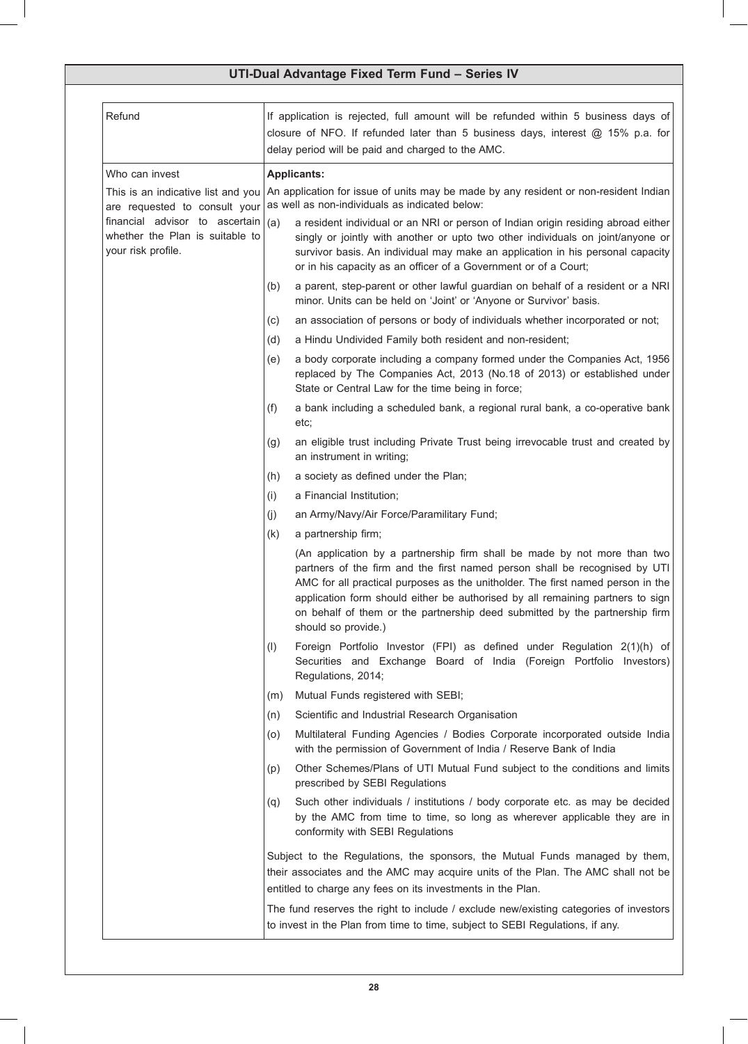| Refund                                                                                  | If application is rejected, full amount will be refunded within 5 business days of<br>closure of NFO. If refunded later than 5 business days, interest @ 15% p.a. for<br>delay period will be paid and charged to the AMC.                                                                                                                                                                                                        |
|-----------------------------------------------------------------------------------------|-----------------------------------------------------------------------------------------------------------------------------------------------------------------------------------------------------------------------------------------------------------------------------------------------------------------------------------------------------------------------------------------------------------------------------------|
| Who can invest                                                                          | <b>Applicants:</b>                                                                                                                                                                                                                                                                                                                                                                                                                |
| This is an indicative list and you<br>are requested to consult your                     | An application for issue of units may be made by any resident or non-resident Indian<br>as well as non-individuals as indicated below:                                                                                                                                                                                                                                                                                            |
| financial advisor to ascertain<br>whether the Plan is suitable to<br>your risk profile. | a resident individual or an NRI or person of Indian origin residing abroad either<br>(a)<br>singly or jointly with another or upto two other individuals on joint/anyone or<br>survivor basis. An individual may make an application in his personal capacity<br>or in his capacity as an officer of a Government or of a Court;                                                                                                  |
|                                                                                         | a parent, step-parent or other lawful guardian on behalf of a resident or a NRI<br>(b)<br>minor. Units can be held on 'Joint' or 'Anyone or Survivor' basis.                                                                                                                                                                                                                                                                      |
|                                                                                         | an association of persons or body of individuals whether incorporated or not;<br>(C)                                                                                                                                                                                                                                                                                                                                              |
|                                                                                         | a Hindu Undivided Family both resident and non-resident;<br>(d)                                                                                                                                                                                                                                                                                                                                                                   |
|                                                                                         | a body corporate including a company formed under the Companies Act, 1956<br>(e)<br>replaced by The Companies Act, 2013 (No.18 of 2013) or established under<br>State or Central Law for the time being in force;                                                                                                                                                                                                                 |
|                                                                                         | a bank including a scheduled bank, a regional rural bank, a co-operative bank<br>(f)<br>etc;                                                                                                                                                                                                                                                                                                                                      |
|                                                                                         | an eligible trust including Private Trust being irrevocable trust and created by<br>(g)<br>an instrument in writing;                                                                                                                                                                                                                                                                                                              |
|                                                                                         | a society as defined under the Plan;<br>(h)                                                                                                                                                                                                                                                                                                                                                                                       |
|                                                                                         | a Financial Institution;<br>(i)                                                                                                                                                                                                                                                                                                                                                                                                   |
|                                                                                         | an Army/Navy/Air Force/Paramilitary Fund;<br>(j)                                                                                                                                                                                                                                                                                                                                                                                  |
|                                                                                         | a partnership firm;<br>(k)                                                                                                                                                                                                                                                                                                                                                                                                        |
|                                                                                         | (An application by a partnership firm shall be made by not more than two<br>partners of the firm and the first named person shall be recognised by UTI<br>AMC for all practical purposes as the unitholder. The first named person in the<br>application form should either be authorised by all remaining partners to sign<br>on behalf of them or the partnership deed submitted by the partnership firm<br>should so provide.) |
|                                                                                         | Foreign Portfolio Investor (FPI) as defined under Regulation 2(1)(h) of<br>(1)<br>Securities and Exchange Board of India (Foreign Portfolio Investors)<br>Regulations, 2014;                                                                                                                                                                                                                                                      |
|                                                                                         | Mutual Funds registered with SEBI;<br>(m)                                                                                                                                                                                                                                                                                                                                                                                         |
|                                                                                         | Scientific and Industrial Research Organisation<br>(n)                                                                                                                                                                                                                                                                                                                                                                            |
|                                                                                         | Multilateral Funding Agencies / Bodies Corporate incorporated outside India<br>(O)<br>with the permission of Government of India / Reserve Bank of India                                                                                                                                                                                                                                                                          |
|                                                                                         | Other Schemes/Plans of UTI Mutual Fund subject to the conditions and limits<br>(p)<br>prescribed by SEBI Regulations                                                                                                                                                                                                                                                                                                              |
|                                                                                         | Such other individuals / institutions / body corporate etc. as may be decided<br>(q)<br>by the AMC from time to time, so long as wherever applicable they are in<br>conformity with SEBI Regulations                                                                                                                                                                                                                              |
|                                                                                         | Subject to the Regulations, the sponsors, the Mutual Funds managed by them,<br>their associates and the AMC may acquire units of the Plan. The AMC shall not be<br>entitled to charge any fees on its investments in the Plan.                                                                                                                                                                                                    |
|                                                                                         | The fund reserves the right to include / exclude new/existing categories of investors<br>to invest in the Plan from time to time, subject to SEBI Regulations, if any.                                                                                                                                                                                                                                                            |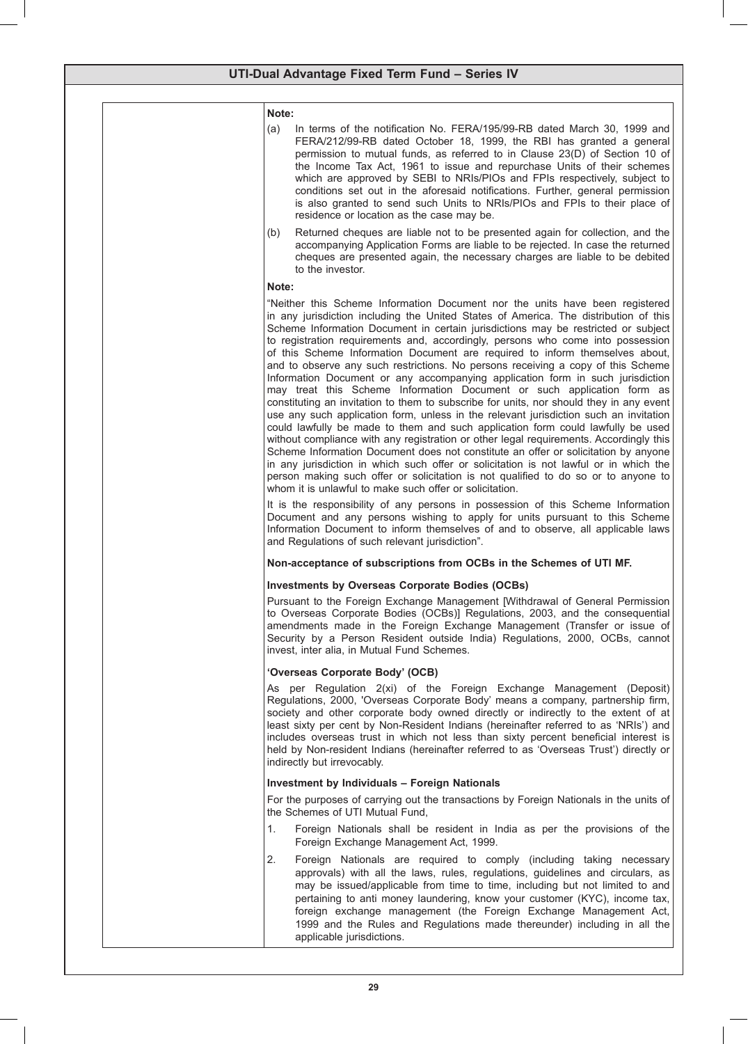| I<br>I                         |  |
|--------------------------------|--|
| ×<br>.,<br>۰.<br>۰.<br>×<br>۰, |  |

| (a) | In terms of the notification No. FERA/195/99-RB dated March 30, 1999 and       |
|-----|--------------------------------------------------------------------------------|
|     | FERA/212/99-RB dated October 18, 1999, the RBI has granted a general           |
|     | permission to mutual funds, as referred to in Clause 23(D) of Section 10 of    |
|     | the Income Tax Act, 1961 to issue and repurchase Units of their schemes        |
|     | which are approved by SEBI to NRIs/PIOs and FPIs respectively, subject to      |
|     | conditions set out in the aforesaid notifications. Further, general permission |
|     | is also granted to send such Units to NRIs/PIOs and FPIs to their place of     |
|     | residence or location as the case may be.                                      |
|     |                                                                                |

(b) Returned cheques are liable not to be presented again for collection, and the accompanying Application Forms are liable to be rejected. In case the returned cheques are presented again, the necessary charges are liable to be debited to the investor.

### **Note:**

"Neither this Scheme Information Document nor the units have been registered in any jurisdiction including the United States of America. The distribution of this Scheme Information Document in certain jurisdictions may be restricted or subject to registration requirements and, accordingly, persons who come into possession of this Scheme Information Document are required to inform themselves about, and to observe any such restrictions. No persons receiving a copy of this Scheme Information Document or any accompanying application form in such jurisdiction may treat this Scheme Information Document or such application form as constituting an invitation to them to subscribe for units, nor should they in any event use any such application form, unless in the relevant jurisdiction such an invitation could lawfully be made to them and such application form could lawfully be used without compliance with any registration or other legal requirements. Accordingly this Scheme Information Document does not constitute an offer or solicitation by anyone in any jurisdiction in which such offer or solicitation is not lawful or in which the person making such offer or solicitation is not qualified to do so or to anyone to whom it is unlawful to make such offer or solicitation.

It is the responsibility of any persons in possession of this Scheme Information Document and any persons wishing to apply for units pursuant to this Scheme Information Document to inform themselves of and to observe, all applicable laws and Regulations of such relevant jurisdiction".

### **Non-acceptance of subscriptions from OCBs in the Schemes of UTI MF.**

### **Investments by Overseas Corporate Bodies (OCBs)**

Pursuant to the Foreign Exchange Management [Withdrawal of General Permission to Overseas Corporate Bodies (OCBs)] Regulations, 2003, and the consequential amendments made in the Foreign Exchange Management (Transfer or issue of Security by a Person Resident outside India) Regulations, 2000, OCBs, cannot invest, inter alia, in Mutual Fund Schemes.

### **'Overseas Corporate Body' (OCB)**

As per Regulation 2(xi) of the Foreign Exchange Management (Deposit) Regulations, 2000, 'Overseas Corporate Body' means a company, partnership firm, society and other corporate body owned directly or indirectly to the extent of at least sixty per cent by Non-Resident Indians (hereinafter referred to as 'NRIs') and includes overseas trust in which not less than sixty percent beneficial interest is held by Non-resident Indians (hereinafter referred to as 'Overseas Trust') directly or indirectly but irrevocably.

### **Investment by Individuals – Foreign Nationals**

For the purposes of carrying out the transactions by Foreign Nationals in the units of the Schemes of UTI Mutual Fund,

- 1. Foreign Nationals shall be resident in India as per the provisions of the Foreign Exchange Management Act, 1999.
- 2. Foreign Nationals are required to comply (including taking necessary approvals) with all the laws, rules, regulations, guidelines and circulars, as may be issued/applicable from time to time, including but not limited to and pertaining to anti money laundering, know your customer (KYC), income tax, foreign exchange management (the Foreign Exchange Management Act, 1999 and the Rules and Regulations made thereunder) including in all the applicable jurisdictions.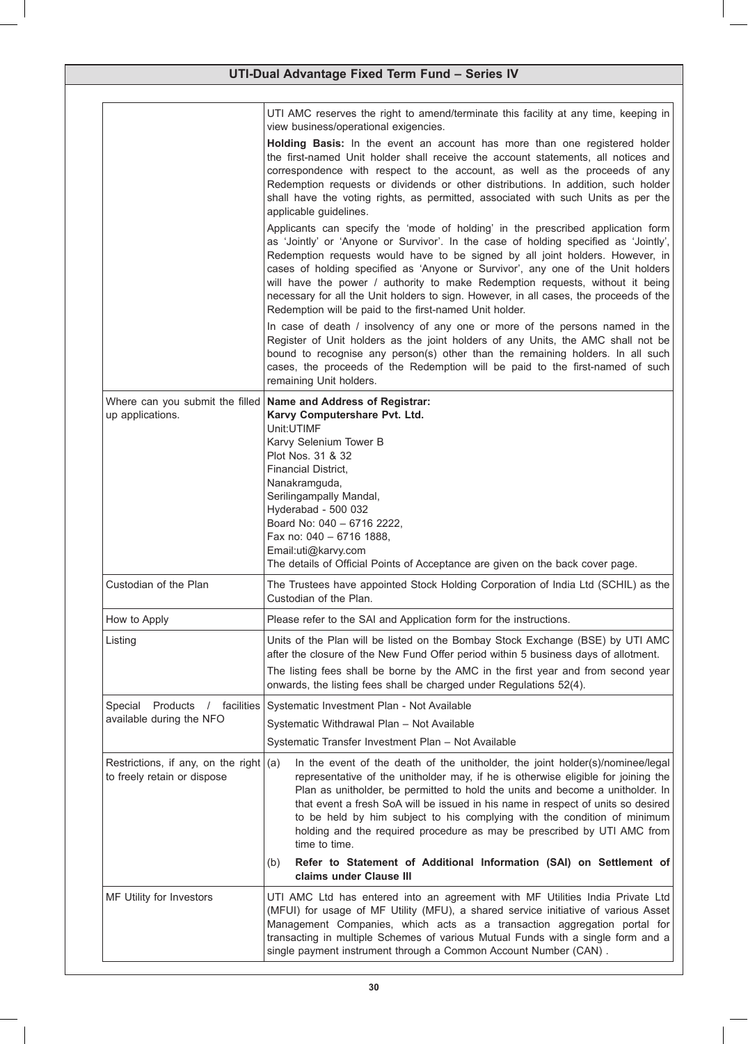| UTI-Dual Advantage Fixed Term Fund - Series IV                                                                                                                                                               |                                                                                                                                                                                                                                                                                                                                                                                                                                                                                                                                                                                   |  |
|--------------------------------------------------------------------------------------------------------------------------------------------------------------------------------------------------------------|-----------------------------------------------------------------------------------------------------------------------------------------------------------------------------------------------------------------------------------------------------------------------------------------------------------------------------------------------------------------------------------------------------------------------------------------------------------------------------------------------------------------------------------------------------------------------------------|--|
|                                                                                                                                                                                                              | UTI AMC reserves the right to amend/terminate this facility at any time, keeping in<br>view business/operational exigencies.                                                                                                                                                                                                                                                                                                                                                                                                                                                      |  |
|                                                                                                                                                                                                              | Holding Basis: In the event an account has more than one registered holder<br>the first-named Unit holder shall receive the account statements, all notices and<br>correspondence with respect to the account, as well as the proceeds of any<br>Redemption requests or dividends or other distributions. In addition, such holder<br>shall have the voting rights, as permitted, associated with such Units as per the<br>applicable guidelines.                                                                                                                                 |  |
|                                                                                                                                                                                                              | Applicants can specify the 'mode of holding' in the prescribed application form<br>as 'Jointly' or 'Anyone or Survivor'. In the case of holding specified as 'Jointly',<br>Redemption requests would have to be signed by all joint holders. However, in<br>cases of holding specified as 'Anyone or Survivor', any one of the Unit holders<br>will have the power / authority to make Redemption requests, without it being<br>necessary for all the Unit holders to sign. However, in all cases, the proceeds of the<br>Redemption will be paid to the first-named Unit holder. |  |
|                                                                                                                                                                                                              | In case of death / insolvency of any one or more of the persons named in the<br>Register of Unit holders as the joint holders of any Units, the AMC shall not be<br>bound to recognise any person(s) other than the remaining holders. In all such<br>cases, the proceeds of the Redemption will be paid to the first-named of such<br>remaining Unit holders.                                                                                                                                                                                                                    |  |
| Where can you submit the filled<br>up applications.                                                                                                                                                          | Name and Address of Registrar:<br>Karvy Computershare Pvt. Ltd.<br>Unit:UTIMF<br>Karvy Selenium Tower B<br>Plot Nos. 31 & 32<br>Financial District,<br>Nanakramguda,<br>Serilingampally Mandal,<br>Hyderabad - 500 032<br>Board No: 040 - 6716 2222,<br>Fax no: 040 - 6716 1888,<br>Email:uti@karvy.com<br>The details of Official Points of Acceptance are given on the back cover page.                                                                                                                                                                                         |  |
| Custodian of the Plan                                                                                                                                                                                        | The Trustees have appointed Stock Holding Corporation of India Ltd (SCHIL) as the<br>Custodian of the Plan.                                                                                                                                                                                                                                                                                                                                                                                                                                                                       |  |
| How to Apply                                                                                                                                                                                                 | Please refer to the SAI and Application form for the instructions.                                                                                                                                                                                                                                                                                                                                                                                                                                                                                                                |  |
| Listing                                                                                                                                                                                                      | Units of the Plan will be listed on the Bombay Stock Exchange (BSE) by UTI AMC<br>after the closure of the New Fund Offer period within 5 business days of allotment.<br>The listing fees shall be borne by the AMC in the first year and from second year                                                                                                                                                                                                                                                                                                                        |  |
|                                                                                                                                                                                                              | onwards, the listing fees shall be charged under Regulations 52(4).                                                                                                                                                                                                                                                                                                                                                                                                                                                                                                               |  |
| Special Products / facilities<br>Systematic Investment Plan - Not Available<br>available during the NFO<br>Systematic Withdrawal Plan - Not Available<br>Systematic Transfer Investment Plan - Not Available |                                                                                                                                                                                                                                                                                                                                                                                                                                                                                                                                                                                   |  |
| Restrictions, if any, on the right $(a)$<br>to freely retain or dispose                                                                                                                                      | In the event of the death of the unitholder, the joint holder(s)/nominee/legal<br>representative of the unitholder may, if he is otherwise eligible for joining the<br>Plan as unitholder, be permitted to hold the units and become a unitholder. In<br>that event a fresh SoA will be issued in his name in respect of units so desired<br>to be held by him subject to his complying with the condition of minimum<br>holding and the required procedure as may be prescribed by UTI AMC from<br>time to time.                                                                 |  |
|                                                                                                                                                                                                              | Refer to Statement of Additional Information (SAI) on Settlement of<br>(b)<br>claims under Clause III                                                                                                                                                                                                                                                                                                                                                                                                                                                                             |  |
| MF Utility for Investors                                                                                                                                                                                     | UTI AMC Ltd has entered into an agreement with MF Utilities India Private Ltd<br>(MFUI) for usage of MF Utility (MFU), a shared service initiative of various Asset<br>Management Companies, which acts as a transaction aggregation portal for<br>transacting in multiple Schemes of various Mutual Funds with a single form and a<br>single payment instrument through a Common Account Number (CAN).                                                                                                                                                                           |  |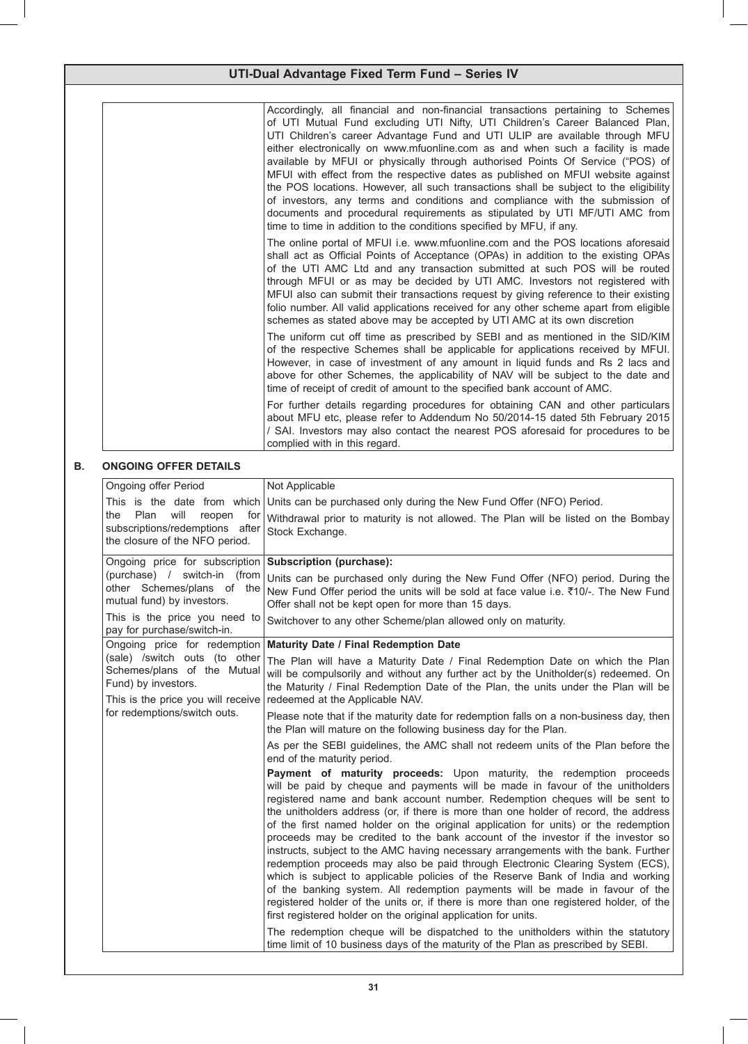| UTI-Dual Advantage Fixed Term Fund - Series IV                                                                                           |                                                                                                                                                                                                                                                                                                                                                                                                                                                                                                                                                                                                                                                                                                                                                                                                                                                                                                                                                                                                               |  |  |
|------------------------------------------------------------------------------------------------------------------------------------------|---------------------------------------------------------------------------------------------------------------------------------------------------------------------------------------------------------------------------------------------------------------------------------------------------------------------------------------------------------------------------------------------------------------------------------------------------------------------------------------------------------------------------------------------------------------------------------------------------------------------------------------------------------------------------------------------------------------------------------------------------------------------------------------------------------------------------------------------------------------------------------------------------------------------------------------------------------------------------------------------------------------|--|--|
|                                                                                                                                          |                                                                                                                                                                                                                                                                                                                                                                                                                                                                                                                                                                                                                                                                                                                                                                                                                                                                                                                                                                                                               |  |  |
|                                                                                                                                          | Accordingly, all financial and non-financial transactions pertaining to Schemes<br>of UTI Mutual Fund excluding UTI Nifty, UTI Children's Career Balanced Plan,<br>UTI Children's career Advantage Fund and UTI ULIP are available through MFU<br>either electronically on www.mfuonline.com as and when such a facility is made<br>available by MFUI or physically through authorised Points Of Service ("POS) of<br>MFUI with effect from the respective dates as published on MFUI website against<br>the POS locations. However, all such transactions shall be subject to the eligibility<br>of investors, any terms and conditions and compliance with the submission of<br>documents and procedural requirements as stipulated by UTI MF/UTI AMC from<br>time to time in addition to the conditions specified by MFU, if any.                                                                                                                                                                          |  |  |
|                                                                                                                                          | The online portal of MFUI i.e. www.mfuonline.com and the POS locations aforesaid<br>shall act as Official Points of Acceptance (OPAs) in addition to the existing OPAs<br>of the UTI AMC Ltd and any transaction submitted at such POS will be routed<br>through MFUI or as may be decided by UTI AMC. Investors not registered with<br>MFUI also can submit their transactions request by giving reference to their existing<br>folio number. All valid applications received for any other scheme apart from eligible<br>schemes as stated above may be accepted by UTI AMC at its own discretion                                                                                                                                                                                                                                                                                                                                                                                                           |  |  |
|                                                                                                                                          | The uniform cut off time as prescribed by SEBI and as mentioned in the SID/KIM<br>of the respective Schemes shall be applicable for applications received by MFUI.<br>However, in case of investment of any amount in liquid funds and Rs 2 lacs and<br>above for other Schemes, the applicability of NAV will be subject to the date and<br>time of receipt of credit of amount to the specified bank account of AMC.                                                                                                                                                                                                                                                                                                                                                                                                                                                                                                                                                                                        |  |  |
|                                                                                                                                          | For further details regarding procedures for obtaining CAN and other particulars<br>about MFU etc, please refer to Addendum No 50/2014-15 dated 5th February 2015<br>/ SAI. Investors may also contact the nearest POS aforesaid for procedures to be<br>complied with in this regard.                                                                                                                                                                                                                                                                                                                                                                                                                                                                                                                                                                                                                                                                                                                        |  |  |
| <b>ONGOING OFFER DETAILS</b>                                                                                                             |                                                                                                                                                                                                                                                                                                                                                                                                                                                                                                                                                                                                                                                                                                                                                                                                                                                                                                                                                                                                               |  |  |
| Ongoing offer Period                                                                                                                     | Not Applicable                                                                                                                                                                                                                                                                                                                                                                                                                                                                                                                                                                                                                                                                                                                                                                                                                                                                                                                                                                                                |  |  |
| This is the date from which<br>Plan<br>the<br>will<br>reopen<br>for<br>subscriptions/redemptions after<br>the closure of the NFO period. | Units can be purchased only during the New Fund Offer (NFO) Period.<br>Withdrawal prior to maturity is not allowed. The Plan will be listed on the Bombay<br>Stock Exchange.                                                                                                                                                                                                                                                                                                                                                                                                                                                                                                                                                                                                                                                                                                                                                                                                                                  |  |  |
| Ongoing price for subscription Subscription (purchase):                                                                                  |                                                                                                                                                                                                                                                                                                                                                                                                                                                                                                                                                                                                                                                                                                                                                                                                                                                                                                                                                                                                               |  |  |
| mutual fund) by investors.                                                                                                               | (purchase) / switch-in (from Units can be purchased only during the New Fund Offer (NFO) period. During the<br>other Schemes/plans of the New Fund Offer period the units will be sold at face value i.e. ₹10/-. The New Fund<br>Offer shall not be kept open for more than 15 days.                                                                                                                                                                                                                                                                                                                                                                                                                                                                                                                                                                                                                                                                                                                          |  |  |
| This is the price you need to<br>pay for purchase/switch-in.                                                                             | Switchover to any other Scheme/plan allowed only on maturity.                                                                                                                                                                                                                                                                                                                                                                                                                                                                                                                                                                                                                                                                                                                                                                                                                                                                                                                                                 |  |  |
|                                                                                                                                          | Ongoing price for redemption Maturity Date / Final Redemption Date                                                                                                                                                                                                                                                                                                                                                                                                                                                                                                                                                                                                                                                                                                                                                                                                                                                                                                                                            |  |  |
| (sale) /switch outs (to other<br>Schemes/plans of the Mutual<br>Fund) by investors.<br>This is the price you will receive                | The Plan will have a Maturity Date / Final Redemption Date on which the Plan<br>will be compulsorily and without any further act by the Unitholder(s) redeemed. On<br>the Maturity / Final Redemption Date of the Plan, the units under the Plan will be<br>redeemed at the Applicable NAV.                                                                                                                                                                                                                                                                                                                                                                                                                                                                                                                                                                                                                                                                                                                   |  |  |
| for redemptions/switch outs.                                                                                                             | Please note that if the maturity date for redemption falls on a non-business day, then<br>the Plan will mature on the following business day for the Plan.                                                                                                                                                                                                                                                                                                                                                                                                                                                                                                                                                                                                                                                                                                                                                                                                                                                    |  |  |
|                                                                                                                                          | As per the SEBI guidelines, the AMC shall not redeem units of the Plan before the<br>end of the maturity period.                                                                                                                                                                                                                                                                                                                                                                                                                                                                                                                                                                                                                                                                                                                                                                                                                                                                                              |  |  |
|                                                                                                                                          | Payment of maturity proceeds: Upon maturity, the redemption proceeds<br>will be paid by cheque and payments will be made in favour of the unitholders<br>registered name and bank account number. Redemption cheques will be sent to<br>the unitholders address (or, if there is more than one holder of record, the address<br>of the first named holder on the original application for units) or the redemption<br>proceeds may be credited to the bank account of the investor if the investor so<br>instructs, subject to the AMC having necessary arrangements with the bank. Further<br>redemption proceeds may also be paid through Electronic Clearing System (ECS),<br>which is subject to applicable policies of the Reserve Bank of India and working<br>of the banking system. All redemption payments will be made in favour of the<br>registered holder of the units or, if there is more than one registered holder, of the<br>first registered holder on the original application for units. |  |  |
|                                                                                                                                          | The redemption cheque will be dispatched to the unitholders within the statutory<br>time limit of 10 business days of the maturity of the Plan as prescribed by SEBI.                                                                                                                                                                                                                                                                                                                                                                                                                                                                                                                                                                                                                                                                                                                                                                                                                                         |  |  |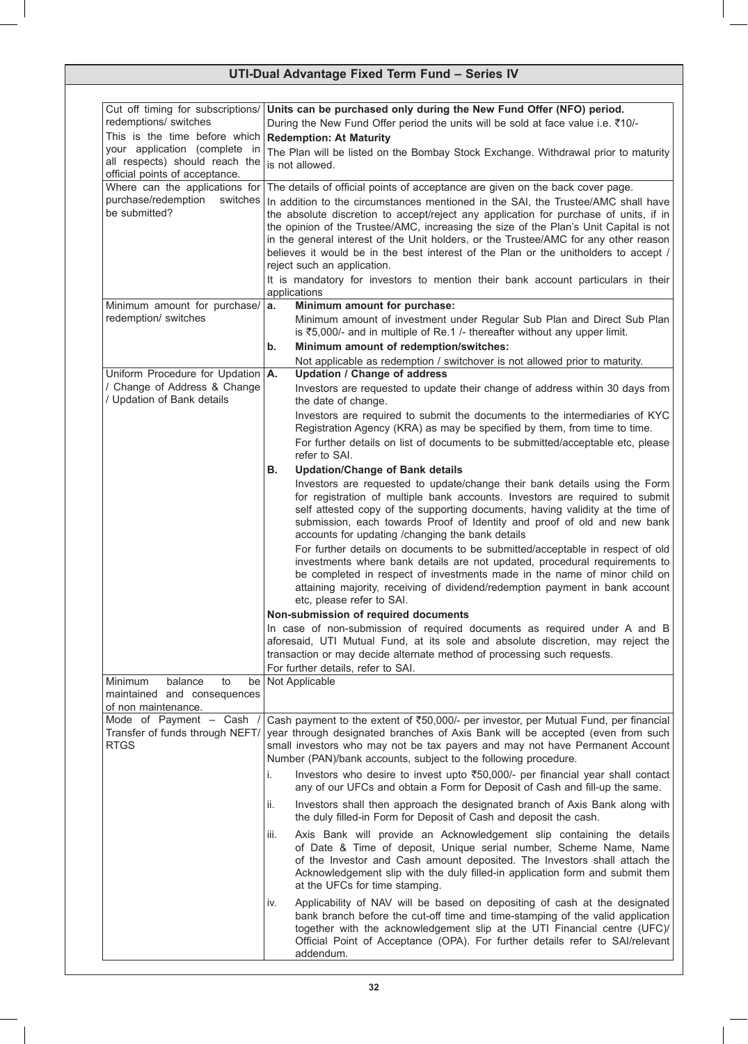| Cut off timing for subscriptions/                                   | Units can be purchased only during the New Fund Offer (NFO) period.                                                                                                            |
|---------------------------------------------------------------------|--------------------------------------------------------------------------------------------------------------------------------------------------------------------------------|
| redemptions/ switches                                               | During the New Fund Offer period the units will be sold at face value i.e. ₹10/-                                                                                               |
| This is the time before which<br>your application (complete in      | <b>Redemption: At Maturity</b>                                                                                                                                                 |
| all respects) should reach the                                      | The Plan will be listed on the Bombay Stock Exchange. Withdrawal prior to maturity<br>is not allowed.                                                                          |
| official points of acceptance.                                      |                                                                                                                                                                                |
| Where can the applications for                                      | The details of official points of acceptance are given on the back cover page.                                                                                                 |
| purchase/redemption<br>switches<br>be submitted?                    | In addition to the circumstances mentioned in the SAI, the Trustee/AMC shall have                                                                                              |
|                                                                     | the absolute discretion to accept/reject any application for purchase of units, if in<br>the opinion of the Trustee/AMC, increasing the size of the Plan's Unit Capital is not |
|                                                                     | in the general interest of the Unit holders, or the Trustee/AMC for any other reason                                                                                           |
|                                                                     | believes it would be in the best interest of the Plan or the unitholders to accept /                                                                                           |
|                                                                     | reject such an application.                                                                                                                                                    |
|                                                                     | It is mandatory for investors to mention their bank account particulars in their<br>applications                                                                               |
| Minimum amount for purchase/                                        | Minimum amount for purchase:<br>а.                                                                                                                                             |
| redemption/ switches                                                | Minimum amount of investment under Regular Sub Plan and Direct Sub Plan                                                                                                        |
|                                                                     | is ₹5,000/- and in multiple of Re.1 /- thereafter without any upper limit.                                                                                                     |
|                                                                     | Minimum amount of redemption/switches:<br>b.                                                                                                                                   |
|                                                                     | Not applicable as redemption / switchover is not allowed prior to maturity.                                                                                                    |
| Uniform Procedure for Updation   A.<br>/ Change of Address & Change | <b>Updation / Change of address</b>                                                                                                                                            |
| / Updation of Bank details                                          | Investors are requested to update their change of address within 30 days from<br>the date of change.                                                                           |
|                                                                     | Investors are required to submit the documents to the intermediaries of KYC                                                                                                    |
|                                                                     | Registration Agency (KRA) as may be specified by them, from time to time.                                                                                                      |
|                                                                     | For further details on list of documents to be submitted/acceptable etc, please                                                                                                |
|                                                                     | refer to SAI.                                                                                                                                                                  |
|                                                                     | <b>Updation/Change of Bank details</b><br>В.<br>Investors are requested to update/change their bank details using the Form                                                     |
|                                                                     | for registration of multiple bank accounts. Investors are required to submit                                                                                                   |
|                                                                     | self attested copy of the supporting documents, having validity at the time of                                                                                                 |
|                                                                     | submission, each towards Proof of Identity and proof of old and new bank                                                                                                       |
|                                                                     | accounts for updating /changing the bank details                                                                                                                               |
|                                                                     | For further details on documents to be submitted/acceptable in respect of old<br>investments where bank details are not updated, procedural requirements to                    |
|                                                                     | be completed in respect of investments made in the name of minor child on                                                                                                      |
|                                                                     | attaining majority, receiving of dividend/redemption payment in bank account                                                                                                   |
|                                                                     | etc, please refer to SAI.                                                                                                                                                      |
|                                                                     | Non-submission of required documents                                                                                                                                           |
|                                                                     | In case of non-submission of required documents as required under A and B<br>aforesaid, UTI Mutual Fund, at its sole and absolute discretion, may reject the                   |
|                                                                     | transaction or may decide alternate method of processing such requests.                                                                                                        |
|                                                                     | For further details, refer to SAI.                                                                                                                                             |
| balance<br><b>Minimum</b><br>to<br>be                               | Not Applicable                                                                                                                                                                 |
| maintained and consequences<br>of non maintenance.                  |                                                                                                                                                                                |
| Mode of Payment - Cash /                                            | Cash payment to the extent of ₹50,000/- per investor, per Mutual Fund, per financial                                                                                           |
| Transfer of funds through NEFT/                                     | year through designated branches of Axis Bank will be accepted (even from such                                                                                                 |
| <b>RTGS</b>                                                         | small investors who may not be tax payers and may not have Permanent Account                                                                                                   |
|                                                                     | Number (PAN)/bank accounts, subject to the following procedure.                                                                                                                |
|                                                                     | Investors who desire to invest upto ₹50,000/- per financial year shall contact<br>i.<br>any of our UFCs and obtain a Form for Deposit of Cash and fill-up the same.            |
|                                                                     |                                                                                                                                                                                |
|                                                                     | Investors shall then approach the designated branch of Axis Bank along with<br>Ш.<br>the duly filled-in Form for Deposit of Cash and deposit the cash.                         |
|                                                                     | Axis Bank will provide an Acknowledgement slip containing the details<br>iii.<br>of Date & Time of deposit, Unique serial number, Scheme Name, Name                            |
|                                                                     | of the Investor and Cash amount deposited. The Investors shall attach the                                                                                                      |
|                                                                     | Acknowledgement slip with the duly filled-in application form and submit them                                                                                                  |
|                                                                     | at the UFCs for time stamping.                                                                                                                                                 |
|                                                                     | Applicability of NAV will be based on depositing of cash at the designated<br>İV.                                                                                              |
|                                                                     | bank branch before the cut-off time and time-stamping of the valid application<br>together with the acknowledgement slip at the UTI Financial centre (UFC)/                    |
|                                                                     | Official Point of Acceptance (OPA). For further details refer to SAI/relevant                                                                                                  |
|                                                                     | addendum.                                                                                                                                                                      |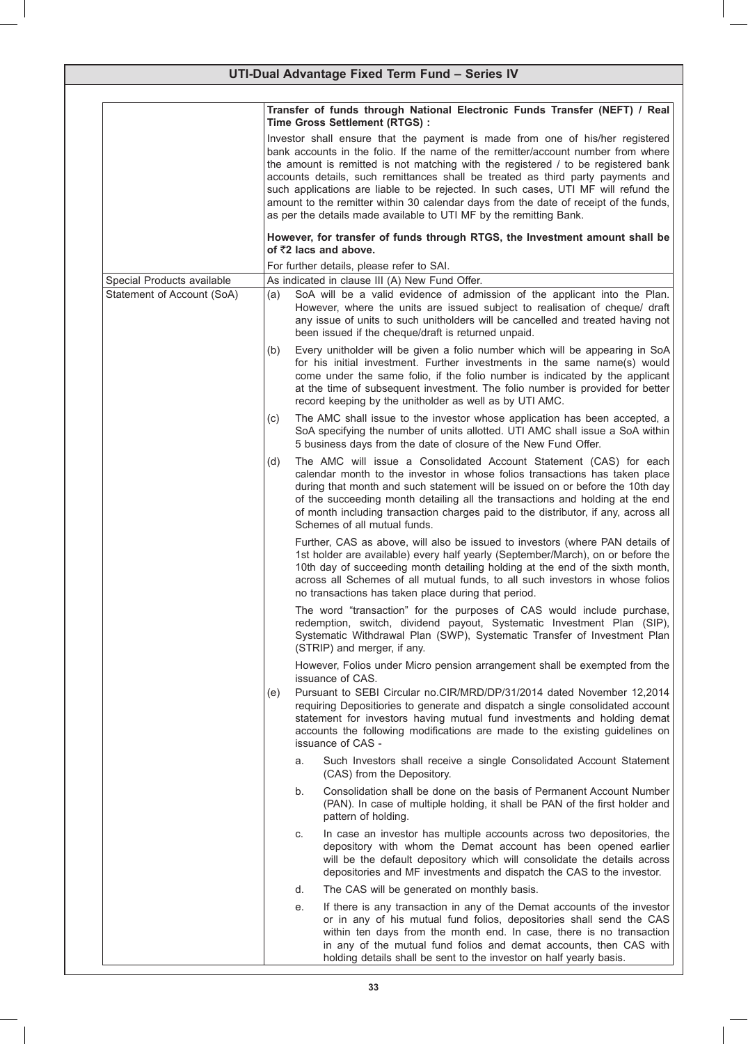| UTI-Dual Advantage Fixed Term Fund - Series IV           |     |                                                                                                                                                                                                                                                                                                                                                                                                                                                                                                                                                                                                                                                                                                                  |  |  |
|----------------------------------------------------------|-----|------------------------------------------------------------------------------------------------------------------------------------------------------------------------------------------------------------------------------------------------------------------------------------------------------------------------------------------------------------------------------------------------------------------------------------------------------------------------------------------------------------------------------------------------------------------------------------------------------------------------------------------------------------------------------------------------------------------|--|--|
|                                                          |     | Transfer of funds through National Electronic Funds Transfer (NEFT) / Real<br>Time Gross Settlement (RTGS) :<br>Investor shall ensure that the payment is made from one of his/her registered<br>bank accounts in the folio. If the name of the remitter/account number from where<br>the amount is remitted is not matching with the registered / to be registered bank<br>accounts details, such remittances shall be treated as third party payments and<br>such applications are liable to be rejected. In such cases, UTI MF will refund the<br>amount to the remitter within 30 calendar days from the date of receipt of the funds,<br>as per the details made available to UTI MF by the remitting Bank. |  |  |
|                                                          |     | However, for transfer of funds through RTGS, the Investment amount shall be<br>of ₹2 lacs and above.                                                                                                                                                                                                                                                                                                                                                                                                                                                                                                                                                                                                             |  |  |
|                                                          |     | For further details, please refer to SAI.                                                                                                                                                                                                                                                                                                                                                                                                                                                                                                                                                                                                                                                                        |  |  |
| Special Products available<br>Statement of Account (SoA) | (a) | As indicated in clause III (A) New Fund Offer.<br>SoA will be a valid evidence of admission of the applicant into the Plan.<br>However, where the units are issued subject to realisation of cheque/ draft<br>any issue of units to such unitholders will be cancelled and treated having not<br>been issued if the cheque/draft is returned unpaid.                                                                                                                                                                                                                                                                                                                                                             |  |  |
|                                                          | (b) | Every unitholder will be given a folio number which will be appearing in SoA<br>for his initial investment. Further investments in the same name(s) would<br>come under the same folio, if the folio number is indicated by the applicant<br>at the time of subsequent investment. The folio number is provided for better<br>record keeping by the unitholder as well as by UTI AMC.                                                                                                                                                                                                                                                                                                                            |  |  |
|                                                          | (c) | The AMC shall issue to the investor whose application has been accepted, a<br>SoA specifying the number of units allotted. UTI AMC shall issue a SoA within<br>5 business days from the date of closure of the New Fund Offer.                                                                                                                                                                                                                                                                                                                                                                                                                                                                                   |  |  |
|                                                          | (d) | The AMC will issue a Consolidated Account Statement (CAS) for each<br>calendar month to the investor in whose folios transactions has taken place<br>during that month and such statement will be issued on or before the 10th day<br>of the succeeding month detailing all the transactions and holding at the end<br>of month including transaction charges paid to the distributor, if any, across all<br>Schemes of all mutual funds.                                                                                                                                                                                                                                                                        |  |  |
|                                                          |     | Further, CAS as above, will also be issued to investors (where PAN details of<br>1st holder are available) every half yearly (September/March), on or before the<br>10th day of succeeding month detailing holding at the end of the sixth month,<br>across all Schemes of all mutual funds, to all such investors in whose folios<br>no transactions has taken place during that period.                                                                                                                                                                                                                                                                                                                        |  |  |
|                                                          |     | The word "transaction" for the purposes of CAS would include purchase,<br>redemption, switch, dividend payout, Systematic Investment Plan (SIP),<br>Systematic Withdrawal Plan (SWP), Systematic Transfer of Investment Plan<br>(STRIP) and merger, if any.                                                                                                                                                                                                                                                                                                                                                                                                                                                      |  |  |
|                                                          |     | However, Folios under Micro pension arrangement shall be exempted from the<br>issuance of CAS.                                                                                                                                                                                                                                                                                                                                                                                                                                                                                                                                                                                                                   |  |  |
|                                                          | (e) | Pursuant to SEBI Circular no.CIR/MRD/DP/31/2014 dated November 12,2014<br>requiring Depositiories to generate and dispatch a single consolidated account<br>statement for investors having mutual fund investments and holding demat<br>accounts the following modifications are made to the existing guidelines on<br>issuance of CAS -                                                                                                                                                                                                                                                                                                                                                                         |  |  |
|                                                          |     | Such Investors shall receive a single Consolidated Account Statement<br>a.<br>(CAS) from the Depository.                                                                                                                                                                                                                                                                                                                                                                                                                                                                                                                                                                                                         |  |  |
|                                                          |     | Consolidation shall be done on the basis of Permanent Account Number<br>b.<br>(PAN). In case of multiple holding, it shall be PAN of the first holder and<br>pattern of holding.                                                                                                                                                                                                                                                                                                                                                                                                                                                                                                                                 |  |  |
|                                                          |     | In case an investor has multiple accounts across two depositories, the<br>C.<br>depository with whom the Demat account has been opened earlier<br>will be the default depository which will consolidate the details across<br>depositories and MF investments and dispatch the CAS to the investor.                                                                                                                                                                                                                                                                                                                                                                                                              |  |  |
|                                                          |     | The CAS will be generated on monthly basis.<br>d.                                                                                                                                                                                                                                                                                                                                                                                                                                                                                                                                                                                                                                                                |  |  |
|                                                          |     | If there is any transaction in any of the Demat accounts of the investor<br>е.<br>or in any of his mutual fund folios, depositories shall send the CAS<br>within ten days from the month end. In case, there is no transaction<br>in any of the mutual fund folios and demat accounts, then CAS with<br>holding details shall be sent to the investor on half yearly basis.                                                                                                                                                                                                                                                                                                                                      |  |  |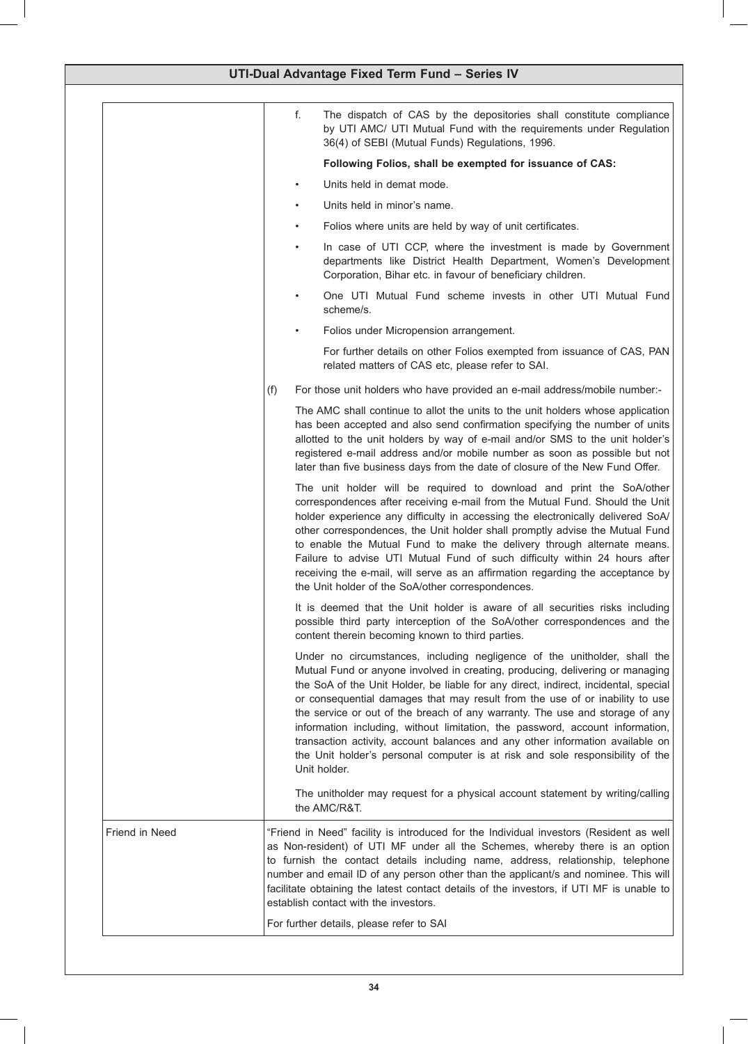| UTI-Dual Advantage Fixed Term Fund - Series IV |                                                                                                                                                                                                                                                                                                                                                                                                                                                                                                                                                                                                                                                                                      |  |
|------------------------------------------------|--------------------------------------------------------------------------------------------------------------------------------------------------------------------------------------------------------------------------------------------------------------------------------------------------------------------------------------------------------------------------------------------------------------------------------------------------------------------------------------------------------------------------------------------------------------------------------------------------------------------------------------------------------------------------------------|--|
|                                                | The dispatch of CAS by the depositories shall constitute compliance<br>f.<br>by UTI AMC/ UTI Mutual Fund with the requirements under Regulation<br>36(4) of SEBI (Mutual Funds) Regulations, 1996.                                                                                                                                                                                                                                                                                                                                                                                                                                                                                   |  |
|                                                | Following Folios, shall be exempted for issuance of CAS:                                                                                                                                                                                                                                                                                                                                                                                                                                                                                                                                                                                                                             |  |
|                                                | Units held in demat mode.                                                                                                                                                                                                                                                                                                                                                                                                                                                                                                                                                                                                                                                            |  |
|                                                | Units held in minor's name.                                                                                                                                                                                                                                                                                                                                                                                                                                                                                                                                                                                                                                                          |  |
|                                                | Folios where units are held by way of unit certificates.                                                                                                                                                                                                                                                                                                                                                                                                                                                                                                                                                                                                                             |  |
|                                                | In case of UTI CCP, where the investment is made by Government<br>departments like District Health Department, Women's Development<br>Corporation, Bihar etc. in favour of beneficiary children.                                                                                                                                                                                                                                                                                                                                                                                                                                                                                     |  |
|                                                | One UTI Mutual Fund scheme invests in other UTI Mutual Fund<br>scheme/s.                                                                                                                                                                                                                                                                                                                                                                                                                                                                                                                                                                                                             |  |
|                                                | Folios under Micropension arrangement.                                                                                                                                                                                                                                                                                                                                                                                                                                                                                                                                                                                                                                               |  |
|                                                | For further details on other Folios exempted from issuance of CAS, PAN<br>related matters of CAS etc, please refer to SAI.                                                                                                                                                                                                                                                                                                                                                                                                                                                                                                                                                           |  |
|                                                | For those unit holders who have provided an e-mail address/mobile number:-<br>(f)                                                                                                                                                                                                                                                                                                                                                                                                                                                                                                                                                                                                    |  |
|                                                | The AMC shall continue to allot the units to the unit holders whose application<br>has been accepted and also send confirmation specifying the number of units<br>allotted to the unit holders by way of e-mail and/or SMS to the unit holder's<br>registered e-mail address and/or mobile number as soon as possible but not<br>later than five business days from the date of closure of the New Fund Offer.                                                                                                                                                                                                                                                                       |  |
|                                                | The unit holder will be required to download and print the SoA/other<br>correspondences after receiving e-mail from the Mutual Fund. Should the Unit<br>holder experience any difficulty in accessing the electronically delivered SoA/<br>other correspondences, the Unit holder shall promptly advise the Mutual Fund<br>to enable the Mutual Fund to make the delivery through alternate means.<br>Failure to advise UTI Mutual Fund of such difficulty within 24 hours after<br>receiving the e-mail, will serve as an affirmation regarding the acceptance by<br>the Unit holder of the SoA/other correspondences.                                                              |  |
|                                                | It is deemed that the Unit holder is aware of all securities risks including<br>possible third party interception of the SoA/other correspondences and the<br>content therein becoming known to third parties.                                                                                                                                                                                                                                                                                                                                                                                                                                                                       |  |
|                                                | Under no circumstances, including negligence of the unitholder, shall the<br>Mutual Fund or anyone involved in creating, producing, delivering or managing<br>the SoA of the Unit Holder, be liable for any direct, indirect, incidental, special<br>or consequential damages that may result from the use of or inability to use<br>the service or out of the breach of any warranty. The use and storage of any<br>information including, without limitation, the password, account information,<br>transaction activity, account balances and any other information available on<br>the Unit holder's personal computer is at risk and sole responsibility of the<br>Unit holder. |  |
|                                                | The unitholder may request for a physical account statement by writing/calling<br>the AMC/R&T.                                                                                                                                                                                                                                                                                                                                                                                                                                                                                                                                                                                       |  |
| Friend in Need                                 | "Friend in Need" facility is introduced for the Individual investors (Resident as well<br>as Non-resident) of UTI MF under all the Schemes, whereby there is an option<br>to furnish the contact details including name, address, relationship, telephone<br>number and email ID of any person other than the applicant/s and nominee. This will<br>facilitate obtaining the latest contact details of the investors, if UTI MF is unable to<br>establish contact with the investors.                                                                                                                                                                                                |  |
|                                                | For further details, please refer to SAI                                                                                                                                                                                                                                                                                                                                                                                                                                                                                                                                                                                                                                             |  |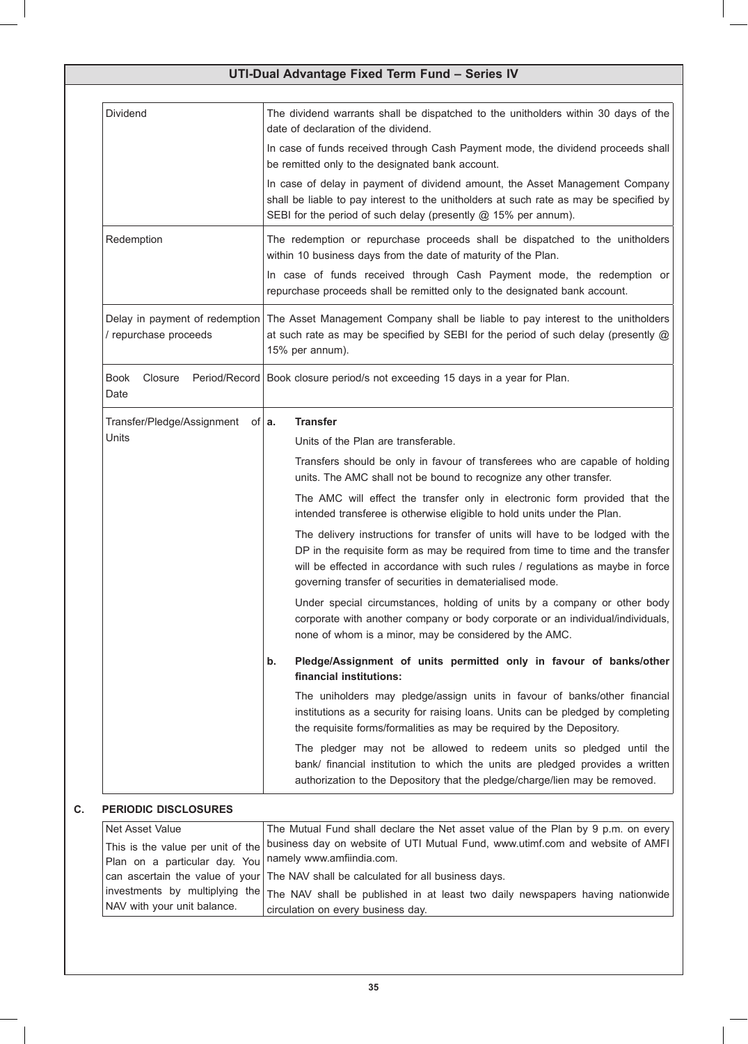| Dividend                                                         | The dividend warrants shall be dispatched to the unitholders within 30 days of the<br>date of declaration of the dividend.                                                                                                                                                                                      |  |  |
|------------------------------------------------------------------|-----------------------------------------------------------------------------------------------------------------------------------------------------------------------------------------------------------------------------------------------------------------------------------------------------------------|--|--|
|                                                                  | In case of funds received through Cash Payment mode, the dividend proceeds shall<br>be remitted only to the designated bank account.                                                                                                                                                                            |  |  |
|                                                                  | In case of delay in payment of dividend amount, the Asset Management Company<br>shall be liable to pay interest to the unitholders at such rate as may be specified by<br>SEBI for the period of such delay (presently @ 15% per annum).                                                                        |  |  |
| Redemption                                                       | The redemption or repurchase proceeds shall be dispatched to the unitholders<br>within 10 business days from the date of maturity of the Plan.                                                                                                                                                                  |  |  |
|                                                                  | In case of funds received through Cash Payment mode, the redemption or<br>repurchase proceeds shall be remitted only to the designated bank account.                                                                                                                                                            |  |  |
| / repurchase proceeds                                            | Delay in payment of redemption The Asset Management Company shall be liable to pay interest to the unitholders<br>at such rate as may be specified by SEBI for the period of such delay (presently @<br>15% per annum).                                                                                         |  |  |
| <b>Book</b><br>Closure<br>Date                                   | Period/Record   Book closure period/s not exceeding 15 days in a year for Plan.                                                                                                                                                                                                                                 |  |  |
| Transfer/Pledge/Assignment of $ a$ .                             | <b>Transfer</b>                                                                                                                                                                                                                                                                                                 |  |  |
| Units                                                            | Units of the Plan are transferable.                                                                                                                                                                                                                                                                             |  |  |
|                                                                  | Transfers should be only in favour of transferees who are capable of holding<br>units. The AMC shall not be bound to recognize any other transfer.                                                                                                                                                              |  |  |
|                                                                  | The AMC will effect the transfer only in electronic form provided that the<br>intended transferee is otherwise eligible to hold units under the Plan.                                                                                                                                                           |  |  |
|                                                                  | The delivery instructions for transfer of units will have to be lodged with the<br>DP in the requisite form as may be required from time to time and the transfer<br>will be effected in accordance with such rules / regulations as maybe in force<br>governing transfer of securities in dematerialised mode. |  |  |
|                                                                  | Under special circumstances, holding of units by a company or other body<br>corporate with another company or body corporate or an individual/individuals,<br>none of whom is a minor, may be considered by the AMC.                                                                                            |  |  |
|                                                                  | Pledge/Assignment of units permitted only in favour of banks/other<br>b.<br>financial institutions:                                                                                                                                                                                                             |  |  |
|                                                                  | The uniholders may pledge/assign units in favour of banks/other financial<br>institutions as a security for raising loans. Units can be pledged by completing<br>the requisite forms/formalities as may be required by the Depository.                                                                          |  |  |
|                                                                  | The pledger may not be allowed to redeem units so pledged until the<br>bank/ financial institution to which the units are pledged provides a written<br>authorization to the Depository that the pledge/charge/lien may be removed.                                                                             |  |  |
| <b>PERIODIC DISCLOSURES</b>                                      |                                                                                                                                                                                                                                                                                                                 |  |  |
| Net Asset Value<br>This is the value per unit of the             | The Mutual Fund shall declare the Net asset value of the Plan by 9 p.m. on every<br>business day on website of UTI Mutual Fund, www.utimf.com and website of AMFI<br>namely www.amfiindia.com.                                                                                                                  |  |  |
| Plan on a particular day. You<br>can ascertain the value of your | The NAV shall be calculated for all business days.                                                                                                                                                                                                                                                              |  |  |
| investments by multiplying the<br>NAV with your unit balance.    | The NAV shall be published in at least two daily newspapers having nationwide<br>circulation on every business day.                                                                                                                                                                                             |  |  |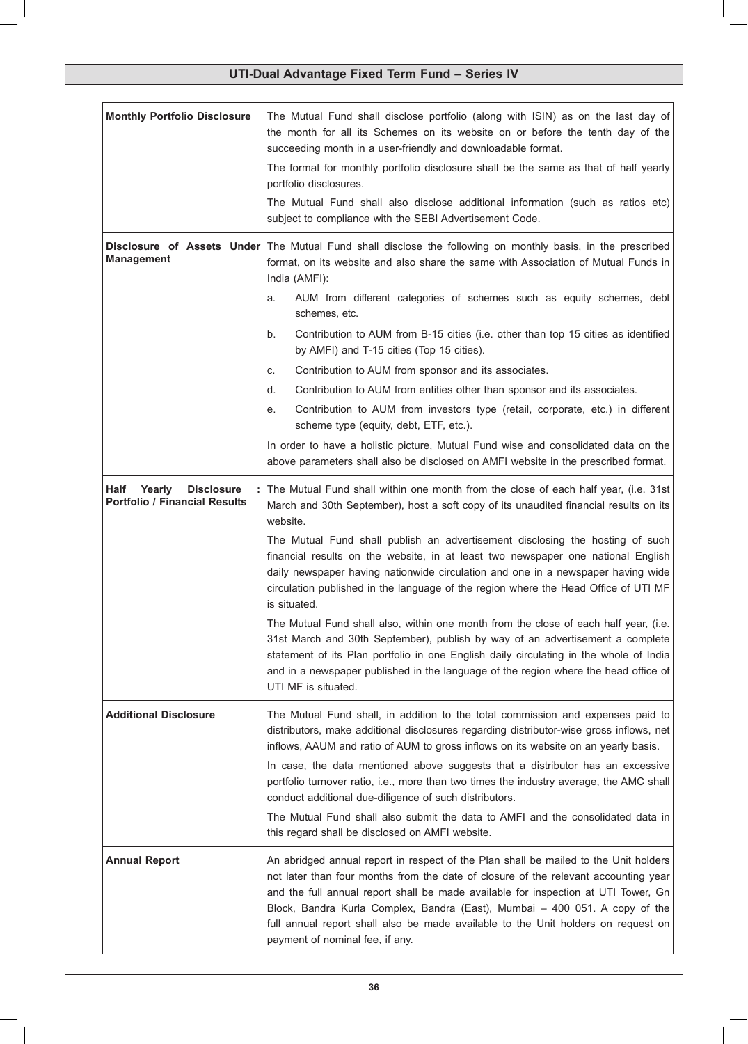| UTI-Dual Advantage Fixed Term Fund - Series IV                              |                                                                                                                                                                                                                                                                                                                                                                                                                                                                                                                                                                                                                                                                                                                                                                                                                                                                                                                                           |  |
|-----------------------------------------------------------------------------|-------------------------------------------------------------------------------------------------------------------------------------------------------------------------------------------------------------------------------------------------------------------------------------------------------------------------------------------------------------------------------------------------------------------------------------------------------------------------------------------------------------------------------------------------------------------------------------------------------------------------------------------------------------------------------------------------------------------------------------------------------------------------------------------------------------------------------------------------------------------------------------------------------------------------------------------|--|
| <b>Monthly Portfolio Disclosure</b>                                         | The Mutual Fund shall disclose portfolio (along with ISIN) as on the last day of<br>the month for all its Schemes on its website on or before the tenth day of the<br>succeeding month in a user-friendly and downloadable format.<br>The format for monthly portfolio disclosure shall be the same as that of half yearly<br>portfolio disclosures.<br>The Mutual Fund shall also disclose additional information (such as ratios etc)<br>subject to compliance with the SEBI Advertisement Code.                                                                                                                                                                                                                                                                                                                                                                                                                                        |  |
| <b>Management</b>                                                           | Disclosure of Assets Under   The Mutual Fund shall disclose the following on monthly basis, in the prescribed<br>format, on its website and also share the same with Association of Mutual Funds in<br>India (AMFI):<br>AUM from different categories of schemes such as equity schemes, debt<br>a.<br>schemes, etc.<br>Contribution to AUM from B-15 cities (i.e. other than top 15 cities as identified<br>b.<br>by AMFI) and T-15 cities (Top 15 cities).<br>Contribution to AUM from sponsor and its associates.<br>C.<br>Contribution to AUM from entities other than sponsor and its associates.<br>d.<br>Contribution to AUM from investors type (retail, corporate, etc.) in different<br>е.<br>scheme type (equity, debt, ETF, etc.).<br>In order to have a holistic picture, Mutual Fund wise and consolidated data on the<br>above parameters shall also be disclosed on AMFI website in the prescribed format.                |  |
| <b>Disclosure</b><br>Yearly<br>Half<br><b>Portfolio / Financial Results</b> | The Mutual Fund shall within one month from the close of each half year, (i.e. 31st<br>March and 30th September), host a soft copy of its unaudited financial results on its<br>website.<br>The Mutual Fund shall publish an advertisement disclosing the hosting of such<br>financial results on the website, in at least two newspaper one national English<br>daily newspaper having nationwide circulation and one in a newspaper having wide<br>circulation published in the language of the region where the Head Office of UTI MF<br>is situated.<br>The Mutual Fund shall also, within one month from the close of each half year, (i.e.<br>31st March and 30th September), publish by way of an advertisement a complete<br>statement of its Plan portfolio in one English daily circulating in the whole of India<br>and in a newspaper published in the language of the region where the head office of<br>UTI MF is situated. |  |
| <b>Additional Disclosure</b>                                                | The Mutual Fund shall, in addition to the total commission and expenses paid to<br>distributors, make additional disclosures regarding distributor-wise gross inflows, net<br>inflows, AAUM and ratio of AUM to gross inflows on its website on an yearly basis.<br>In case, the data mentioned above suggests that a distributor has an excessive<br>portfolio turnover ratio, i.e., more than two times the industry average, the AMC shall<br>conduct additional due-diligence of such distributors.<br>The Mutual Fund shall also submit the data to AMFI and the consolidated data in<br>this regard shall be disclosed on AMFI website.                                                                                                                                                                                                                                                                                             |  |
| <b>Annual Report</b>                                                        | An abridged annual report in respect of the Plan shall be mailed to the Unit holders<br>not later than four months from the date of closure of the relevant accounting year<br>and the full annual report shall be made available for inspection at UTI Tower, Gn<br>Block, Bandra Kurla Complex, Bandra (East), Mumbai - 400 051. A copy of the<br>full annual report shall also be made available to the Unit holders on request on<br>payment of nominal fee, if any.                                                                                                                                                                                                                                                                                                                                                                                                                                                                  |  |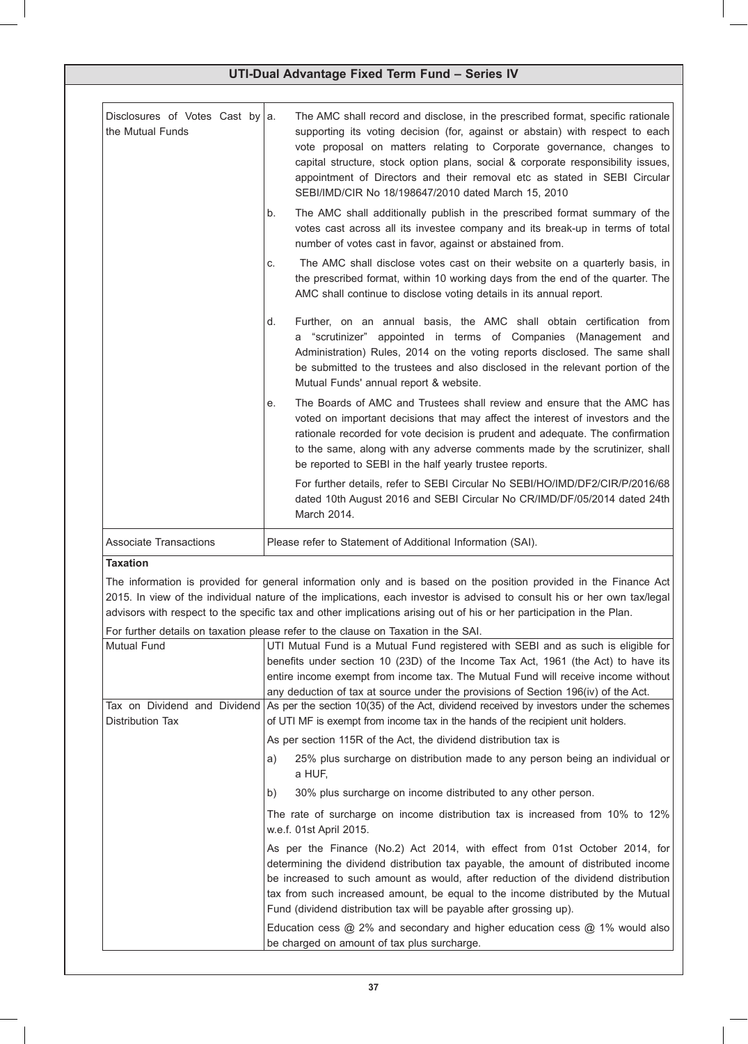| Disclosures of Votes Cast by a.<br>the Mutual Funds | The AMC shall record and disclose, in the prescribed format, specific rationale<br>supporting its voting decision (for, against or abstain) with respect to each<br>vote proposal on matters relating to Corporate governance, changes to<br>capital structure, stock option plans, social & corporate responsibility issues,<br>appointment of Directors and their removal etc as stated in SEBI Circular<br>SEBI/IMD/CIR No 18/198647/2010 dated March 15, 2010 |
|-----------------------------------------------------|-------------------------------------------------------------------------------------------------------------------------------------------------------------------------------------------------------------------------------------------------------------------------------------------------------------------------------------------------------------------------------------------------------------------------------------------------------------------|
|                                                     | The AMC shall additionally publish in the prescribed format summary of the<br>b.<br>votes cast across all its investee company and its break-up in terms of total<br>number of votes cast in favor, against or abstained from.                                                                                                                                                                                                                                    |
|                                                     | The AMC shall disclose votes cast on their website on a quarterly basis, in<br>C.<br>the prescribed format, within 10 working days from the end of the quarter. The<br>AMC shall continue to disclose voting details in its annual report.                                                                                                                                                                                                                        |
|                                                     | Further, on an annual basis, the AMC shall obtain certification from<br>d.<br>a "scrutinizer" appointed in terms of Companies (Management and<br>Administration) Rules, 2014 on the voting reports disclosed. The same shall<br>be submitted to the trustees and also disclosed in the relevant portion of the<br>Mutual Funds' annual report & website.                                                                                                          |
|                                                     | The Boards of AMC and Trustees shall review and ensure that the AMC has<br>е.<br>voted on important decisions that may affect the interest of investors and the<br>rationale recorded for vote decision is prudent and adequate. The confirmation<br>to the same, along with any adverse comments made by the scrutinizer, shall<br>be reported to SEBI in the half yearly trustee reports.                                                                       |
|                                                     | For further details, refer to SEBI Circular No SEBI/HO/IMD/DF2/CIR/P/2016/68<br>dated 10th August 2016 and SEBI Circular No CR/IMD/DF/05/2014 dated 24th<br>March 2014.                                                                                                                                                                                                                                                                                           |
| <b>Associate Transactions</b>                       | Please refer to Statement of Additional Information (SAI).                                                                                                                                                                                                                                                                                                                                                                                                        |

# **Taxation**

The information is provided for general information only and is based on the position provided in the Finance Act 2015. In view of the individual nature of the implications, each investor is advised to consult his or her own tax/legal advisors with respect to the specific tax and other implications arising out of his or her participation in the Plan.

For further details on taxation please refer to the clause on Taxation in the SAI.

| <b>Mutual Fund</b> | UTI Mutual Fund is a Mutual Fund registered with SEBI and as such is eligible for                                                                                                                                                                                                                                                                                                                                   |  |  |  |
|--------------------|---------------------------------------------------------------------------------------------------------------------------------------------------------------------------------------------------------------------------------------------------------------------------------------------------------------------------------------------------------------------------------------------------------------------|--|--|--|
|                    | benefits under section 10 (23D) of the Income Tax Act, 1961 (the Act) to have its                                                                                                                                                                                                                                                                                                                                   |  |  |  |
|                    | entire income exempt from income tax. The Mutual Fund will receive income without                                                                                                                                                                                                                                                                                                                                   |  |  |  |
|                    | any deduction of tax at source under the provisions of Section 196(iv) of the Act.                                                                                                                                                                                                                                                                                                                                  |  |  |  |
|                    | Tax on Dividend and Dividend As per the section 10(35) of the Act, dividend received by investors under the schemes                                                                                                                                                                                                                                                                                                 |  |  |  |
| Distribution Tax   | of UTI MF is exempt from income tax in the hands of the recipient unit holders.                                                                                                                                                                                                                                                                                                                                     |  |  |  |
|                    | As per section 115R of the Act, the dividend distribution tax is                                                                                                                                                                                                                                                                                                                                                    |  |  |  |
|                    | 25% plus surcharge on distribution made to any person being an individual or<br>a)<br>a HUF,                                                                                                                                                                                                                                                                                                                        |  |  |  |
|                    | b)<br>30% plus surcharge on income distributed to any other person.                                                                                                                                                                                                                                                                                                                                                 |  |  |  |
|                    | The rate of surcharge on income distribution tax is increased from 10% to 12%<br>w.e.f. 01st April 2015.                                                                                                                                                                                                                                                                                                            |  |  |  |
|                    | As per the Finance (No.2) Act 2014, with effect from 01st October 2014, for<br>determining the dividend distribution tax payable, the amount of distributed income<br>be increased to such amount as would, after reduction of the dividend distribution<br>tax from such increased amount, be equal to the income distributed by the Mutual<br>Fund (dividend distribution tax will be payable after grossing up). |  |  |  |
|                    | Education cess $@$ 2% and secondary and higher education cess $@$ 1% would also<br>be charged on amount of tax plus surcharge.                                                                                                                                                                                                                                                                                      |  |  |  |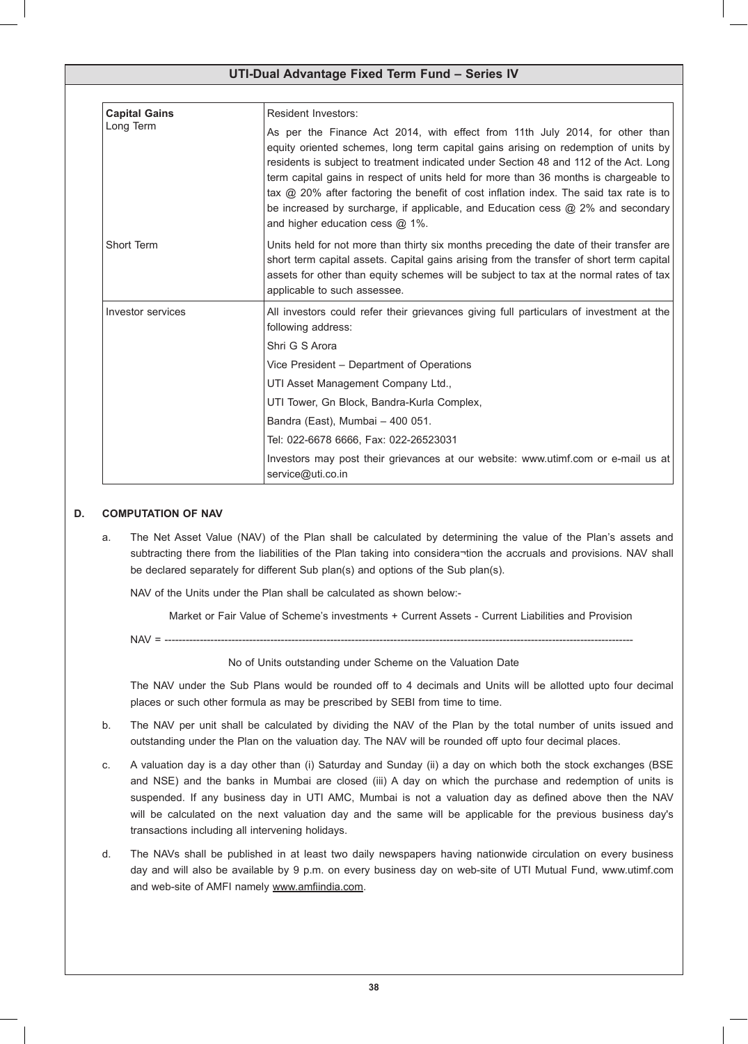| <b>Capital Gains</b> | <b>Resident Investors:</b>                                                                                                                                                                                                                                                                                                                                                                                                                                                                                                                                                   |  |  |
|----------------------|------------------------------------------------------------------------------------------------------------------------------------------------------------------------------------------------------------------------------------------------------------------------------------------------------------------------------------------------------------------------------------------------------------------------------------------------------------------------------------------------------------------------------------------------------------------------------|--|--|
| Long Term            | As per the Finance Act 2014, with effect from 11th July 2014, for other than<br>equity oriented schemes, long term capital gains arising on redemption of units by<br>residents is subject to treatment indicated under Section 48 and 112 of the Act. Long<br>term capital gains in respect of units held for more than 36 months is chargeable to<br>tax $\omega$ 20% after factoring the benefit of cost inflation index. The said tax rate is to<br>be increased by surcharge, if applicable, and Education cess $@2\%$ and secondary<br>and higher education cess @ 1%. |  |  |
| Short Term           | Units held for not more than thirty six months preceding the date of their transfer are<br>short term capital assets. Capital gains arising from the transfer of short term capital<br>assets for other than equity schemes will be subject to tax at the normal rates of tax<br>applicable to such assessee.                                                                                                                                                                                                                                                                |  |  |
| Investor services    | All investors could refer their grievances giving full particulars of investment at the<br>following address:                                                                                                                                                                                                                                                                                                                                                                                                                                                                |  |  |
|                      | Shri G S Arora                                                                                                                                                                                                                                                                                                                                                                                                                                                                                                                                                               |  |  |
|                      | Vice President – Department of Operations                                                                                                                                                                                                                                                                                                                                                                                                                                                                                                                                    |  |  |
|                      | UTI Asset Management Company Ltd.,                                                                                                                                                                                                                                                                                                                                                                                                                                                                                                                                           |  |  |
|                      | UTI Tower, Gn Block, Bandra-Kurla Complex,                                                                                                                                                                                                                                                                                                                                                                                                                                                                                                                                   |  |  |
|                      | Bandra (East), Mumbai - 400 051.                                                                                                                                                                                                                                                                                                                                                                                                                                                                                                                                             |  |  |
|                      | Tel: 022-6678 6666, Fax: 022-26523031                                                                                                                                                                                                                                                                                                                                                                                                                                                                                                                                        |  |  |
|                      | Investors may post their grievances at our website: www.utimf.com or e-mail us at<br>service@uti.co.in                                                                                                                                                                                                                                                                                                                                                                                                                                                                       |  |  |

### **D. COMPUTATION OF NAV**

a. The Net Asset Value (NAV) of the Plan shall be calculated by determining the value of the Plan's assets and subtracting there from the liabilities of the Plan taking into considera¬tion the accruals and provisions. NAV shall be declared separately for different Sub plan(s) and options of the Sub plan(s).

 NAV of the Units under the Plan shall be calculated as shown below:-

 Market or Fair Value of Scheme's investments + Current Assets - Current Liabilities and Provision

 NAV = -------------------------------------------------------------------------------------------------------------------------------------

### No of Units outstanding under Scheme on the Valuation Date

 The NAV under the Sub Plans would be rounded off to 4 decimals and Units will be allotted upto four decimal places or such other formula as may be prescribed by SEBI from time to time.

- b. The NAV per unit shall be calculated by dividing the NAV of the Plan by the total number of units issued and outstanding under the Plan on the valuation day. The NAV will be rounded off upto four decimal places.
- c. A valuation day is a day other than (i) Saturday and Sunday (ii) a day on which both the stock exchanges (BSE and NSE) and the banks in Mumbai are closed (iii) A day on which the purchase and redemption of units is suspended. If any business day in UTI AMC, Mumbai is not a valuation day as defined above then the NAV will be calculated on the next valuation day and the same will be applicable for the previous business day's transactions including all intervening holidays.
- d. The NAVs shall be published in at least two daily newspapers having nationwide circulation on every business day and will also be available by 9 p.m. on every business day on web-site of UTI Mutual Fund, www.utimf.com and web-site of AMFI namely www.amfiindia.com.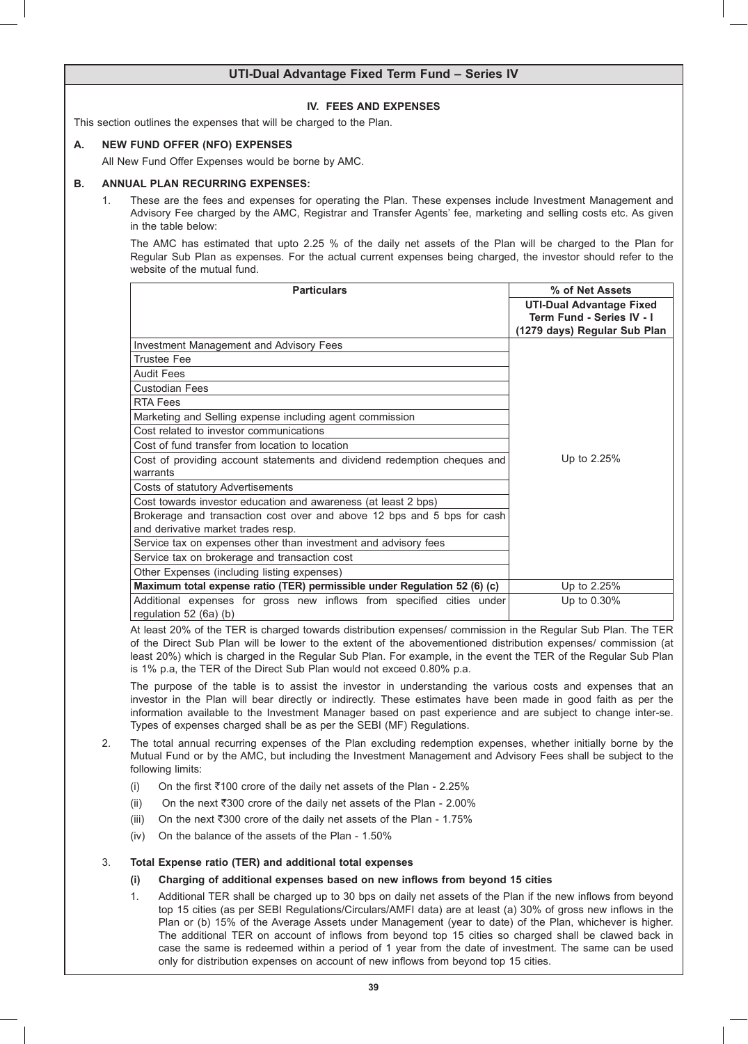### **IV. FEES AND EXPENSES**

This section outlines the expenses that will be charged to the Plan.

### **A. NEW FUND OFFER (NFO) EXPENSES**

 All New Fund Offer Expenses would be borne by AMC.

### **B. ANNUAL PLAN RECURRING EXPENSES:**

1. These are the fees and expenses for operating the Plan. These expenses include Investment Management and Advisory Fee charged by the AMC, Registrar and Transfer Agents' fee, marketing and selling costs etc. As given in the table below:

 The AMC has estimated that upto 2.25 % of the daily net assets of the Plan will be charged to the Plan for Regular Sub Plan as expenses*.* For the actual current expenses being charged, the investor should refer to the website of the mutual fund.

| <b>Particulars</b>                                                        | % of Net Assets                                              |
|---------------------------------------------------------------------------|--------------------------------------------------------------|
|                                                                           | <b>UTI-Dual Advantage Fixed</b><br>Term Fund - Series IV - I |
|                                                                           | (1279 days) Regular Sub Plan                                 |
| Investment Management and Advisory Fees                                   |                                                              |
| <b>Trustee Fee</b>                                                        |                                                              |
| <b>Audit Fees</b>                                                         |                                                              |
| <b>Custodian Fees</b>                                                     |                                                              |
| <b>RTA Fees</b>                                                           |                                                              |
| Marketing and Selling expense including agent commission                  |                                                              |
| Cost related to investor communications                                   |                                                              |
| Cost of fund transfer from location to location                           |                                                              |
| Cost of providing account statements and dividend redemption cheques and  | Up to 2.25%                                                  |
| warrants                                                                  |                                                              |
| Costs of statutory Advertisements                                         |                                                              |
| Cost towards investor education and awareness (at least 2 bps)            |                                                              |
| Brokerage and transaction cost over and above 12 bps and 5 bps for cash   |                                                              |
| and derivative market trades resp.                                        |                                                              |
| Service tax on expenses other than investment and advisory fees           |                                                              |
| Service tax on brokerage and transaction cost                             |                                                              |
| Other Expenses (including listing expenses)                               |                                                              |
| Maximum total expense ratio (TER) permissible under Regulation 52 (6) (c) | Up to 2.25%                                                  |
| Additional expenses for gross new inflows from specified cities under     | Up to 0.30%                                                  |
| regulation $52(6a)(b)$                                                    |                                                              |

 At least 20% of the TER is charged towards distribution expenses/ commission in the Regular Sub Plan. The TER of the Direct Sub Plan will be lower to the extent of the abovementioned distribution expenses/ commission (at least 20%) which is charged in the Regular Sub Plan. For example, in the event the TER of the Regular Sub Plan is 1% p.a, the TER of the Direct Sub Plan would not exceed 0.80% p.a.

 The purpose of the table is to assist the investor in understanding the various costs and expenses that an investor in the Plan will bear directly or indirectly. These estimates have been made in good faith as per the information available to the Investment Manager based on past experience and are subject to change inter-se. Types of expenses charged shall be as per the SEBI (MF) Regulations.

- 2. The total annual recurring expenses of the Plan excluding redemption expenses, whether initially borne by the Mutual Fund or by the AMC, but including the Investment Management and Advisory Fees shall be subject to the following limits:
	- (i) On the first  $\overline{5}100$  crore of the daily net assets of the Plan 2.25%
	- (ii) On the next  $\overline{300}$  crore of the daily net assets of the Plan 2.00%
	- (iii) On the next  $\overline{\text{300}}$  crore of the daily net assets of the Plan 1.75%
	- (iv) On the balance of the assets of the Plan  $1.50\%$

### 3. **Total Expense ratio (TER) and additional total expenses**

- **(i) Charging of additional expenses based on new inflows from beyond 15 cities**
- 1. Additional TER shall be charged up to 30 bps on daily net assets of the Plan if the new inflows from beyond top 15 cities (as per SEBI Regulations/Circulars/AMFI data) are at least (a) 30% of gross new inflows in the Plan or (b) 15% of the Average Assets under Management (year to date) of the Plan, whichever is higher. The additional TER on account of inflows from beyond top 15 cities so charged shall be clawed back in case the same is redeemed within a period of 1 year from the date of investment. The same can be used only for distribution expenses on account of new inflows from beyond top 15 cities.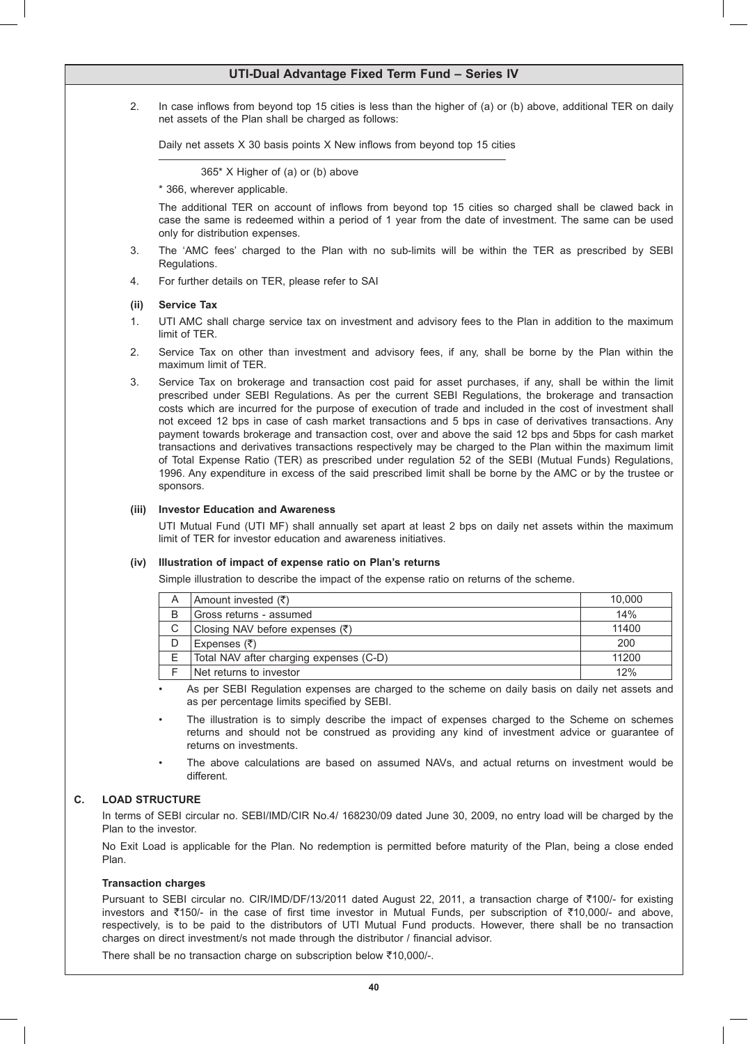2. In case inflows from beyond top 15 cities is less than the higher of (a) or (b) above, additional TER on daily net assets of the Plan shall be charged as follows:

Daily net assets  $X$  30 basis points  $X$  New inflows from beyond top 15 cities

 365\* X Higher of (a) or (b) above

 \* 366, wherever applicable.

 The additional TER on account of inflows from beyond top 15 cities so charged shall be clawed back in case the same is redeemed within a period of 1 year from the date of investment. The same can be used only for distribution expenses.

- 3. The 'AMC fees' charged to the Plan with no sub-limits will be within the TER as prescribed by SEBI Regulations.
- 4. For further details on TER, please refer to SAI

### **(ii) Service Tax**

- 1. UTI AMC shall charge service tax on investment and advisory fees to the Plan in addition to the maximum limit of TER.
- 2. Service Tax on other than investment and advisory fees, if any, shall be borne by the Plan within the maximum limit of TER.
- 3. Service Tax on brokerage and transaction cost paid for asset purchases, if any, shall be within the limit prescribed under SEBI Regulations. As per the current SEBI Regulations, the brokerage and transaction costs which are incurred for the purpose of execution of trade and included in the cost of investment shall not exceed 12 bps in case of cash market transactions and 5 bps in case of derivatives transactions. Any payment towards brokerage and transaction cost, over and above the said 12 bps and 5bps for cash market transactions and derivatives transactions respectively may be charged to the Plan within the maximum limit of Total Expense Ratio (TER) as prescribed under regulation 52 of the SEBI (Mutual Funds) Regulations, 1996. Any expenditure in excess of the said prescribed limit shall be borne by the AMC or by the trustee or sponsors.

### **(iii) Investor Education and Awareness**

 UTI Mutual Fund (UTI MF) shall annually set apart at least 2 bps on daily net assets within the maximum limit of TER for investor education and awareness initiatives.

### **(iv) Illustration of impact of expense ratio on Plan's returns**

 Simple illustration to describe the impact of the expense ratio on returns of the scheme.

| Α | Amount invested $(\bar{\tau})$             | 10,000 |
|---|--------------------------------------------|--------|
| В | Gross returns - assumed                    | 14%    |
| С | Closing NAV before expenses $(\bar{\tau})$ | 11400  |
|   | Expenses $(\bar{\zeta})$                   | 200    |
|   | Total NAV after charging expenses (C-D)    | 11200  |
|   | Net returns to investor                    | 12%    |

As per SEBI Regulation expenses are charged to the scheme on daily basis on daily net assets and as per percentage limits specified by SEBI.

The illustration is to simply describe the impact of expenses charged to the Scheme on schemes returns and should not be construed as providing any kind of investment advice or guarantee of returns on investments.

The above calculations are based on assumed NAVs, and actual returns on investment would be different.

### **C. LOAD STRUCTURE**

 In terms of SEBI circular no. SEBI/IMD/CIR No.4/ 168230/09 dated June 30, 2009, no entry load will be charged by the Plan to the investor.

 No Exit Load is applicable for the Plan. No redemption is permitted before maturity of the Plan, being a close ended Plan.

### **Transaction charges**

Pursuant to SEBI circular no. CIR/IMD/DF/13/2011 dated August 22, 2011, a transaction charge of ₹100/- for existing investors and ₹150/- in the case of first time investor in Mutual Funds, per subscription of ₹10,000/- and above, respectively, is to be paid to the distributors of UTI Mutual Fund products. However, there shall be no transaction charges on direct investment/s not made through the distributor / financial advisor.

There shall be no transaction charge on subscription below  $\bar{\tau}$ 10,000/-.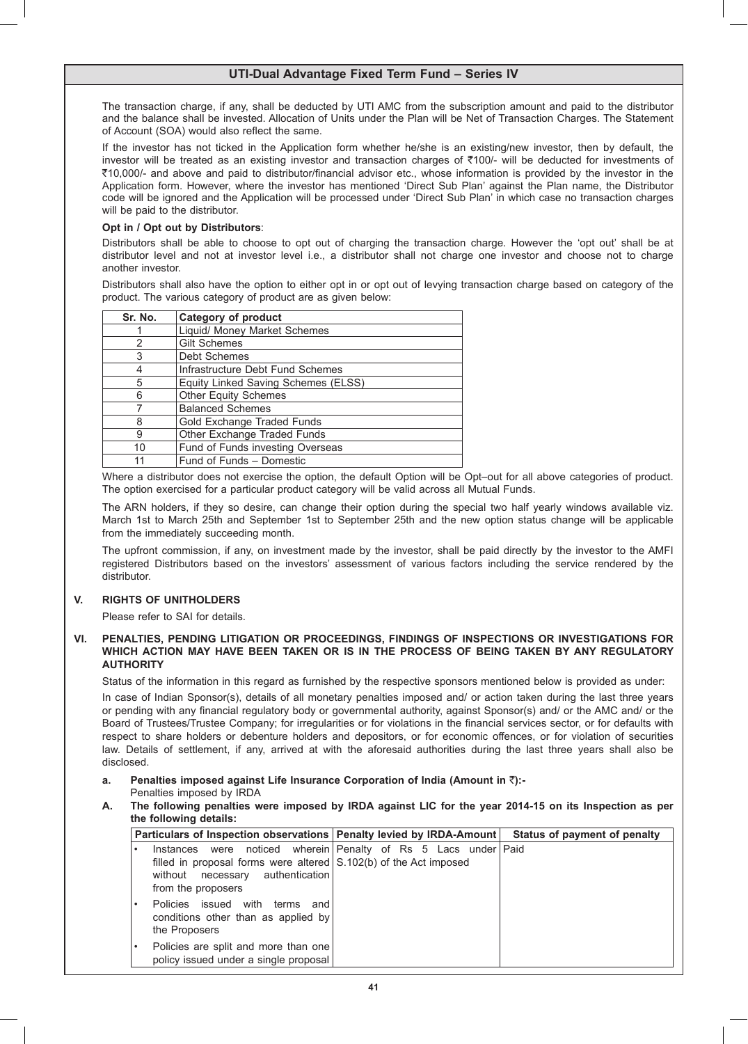The transaction charge, if any, shall be deducted by UTI AMC from the subscription amount and paid to the distributor and the balance shall be invested. Allocation of Units under the Plan will be Net of Transaction Charges. The Statement of Account (SOA) would also reflect the same.

 If the investor has not ticked in the Application form whether he/she is an existing/new investor, then by default, the investor will be treated as an existing investor and transaction charges of  $\bar{\tau}$ 100/- will be deducted for investments of ₹10,000/- and above and paid to distributor/financial advisor etc., whose information is provided by the investor in the Application form. However, where the investor has mentioned 'Direct Sub Plan' against the Plan name, the Distributor code will be ignored and the Application will be processed under 'Direct Sub Plan' in which case no transaction charges will be paid to the distributor.

### **Opt in / Opt out by Distributors**:

 Distributors shall be able to choose to opt out of charging the transaction charge. However the 'opt out' shall be at distributor level and not at investor level i.e., a distributor shall not charge one investor and choose not to charge another investor.

 Distributors shall also have the option to either opt in or opt out of levying transaction charge based on category of the product. The various category of product are as given below:

| Sr. No. | <b>Category of product</b>          |  |
|---------|-------------------------------------|--|
|         | Liquid/ Money Market Schemes        |  |
| 2       | <b>Gilt Schemes</b>                 |  |
| 3       | Debt Schemes                        |  |
|         | Infrastructure Debt Fund Schemes    |  |
| 5       | Equity Linked Saving Schemes (ELSS) |  |
| 6       | <b>Other Equity Schemes</b>         |  |
|         | <b>Balanced Schemes</b>             |  |
| 8       | Gold Exchange Traded Funds          |  |
| 9       | Other Exchange Traded Funds         |  |
| 10      | Fund of Funds investing Overseas    |  |
| 11      | Fund of Funds - Domestic            |  |

Where a distributor does not exercise the option, the default Option will be Opt–out for all above categories of product. The option exercised for a particular product category will be valid across all Mutual Funds.

 The ARN holders, if they so desire, can change their option during the special two half yearly windows available viz. March 1st to March 25th and September 1st to September 25th and the new option status change will be applicable from the immediately succeeding month.

 The upfront commission, if any, on investment made by the investor, shall be paid directly by the investor to the AMFI registered Distributors based on the investors' assessment of various factors including the service rendered by the distributor.

## **V. RIGHTS OF UNITHOLDERS**

 Please refer to SAI for details.

### **VI. PENALTIES, PENDING LITIGATION OR PROCEEDINGS, FINDINGS OF INSPECTIONS OR INVESTIGATIONS FOR WHICH ACTION MAY HAVE BEEN TAKEN OR IS IN THE PROCESS OF BEING TAKEN BY ANY REGULATORY AUTHORITY**

 Status of the information in this regard as furnished by the respective sponsors mentioned below is provided as under:

 In case of Indian Sponsor(s), details of all monetary penalties imposed and/ or action taken during the last three years or pending with any financial regulatory body or governmental authority, against Sponsor(s) and/ or the AMC and/ or the Board of Trustees/Trustee Company; for irregularities or for violations in the financial services sector, or for defaults with respect to share holders or debenture holders and depositors, or for economic offences, or for violation of securities law. Details of settlement, if any, arrived at with the aforesaid authorities during the last three years shall also be disclosed.

- **a. Penalties imposed against Life Insurance Corporation of India (Amount in** `**):-**
	- Penalties imposed by IRDA
- **A. The following penalties were imposed by IRDA against LIC for the year 2014-15 on its Inspection as per the following details:**

| Particulars of Inspection observations   Penalty levied by IRDA-Amount                                                                                  |                                                 | Status of payment of penalty |
|---------------------------------------------------------------------------------------------------------------------------------------------------------|-------------------------------------------------|------------------------------|
| Instances<br>were<br>filled in proposal forms were altered $(S.102(b))$ of the Act imposed<br>authentication<br>without necessary<br>from the proposers | noticed wherein Penalty of Rs 5 Lacs under Paid |                              |
| Policies issued with<br>terms<br>and<br>conditions other than as applied by<br>the Proposers                                                            |                                                 |                              |
| Policies are split and more than one<br>policy issued under a single proposal                                                                           |                                                 |                              |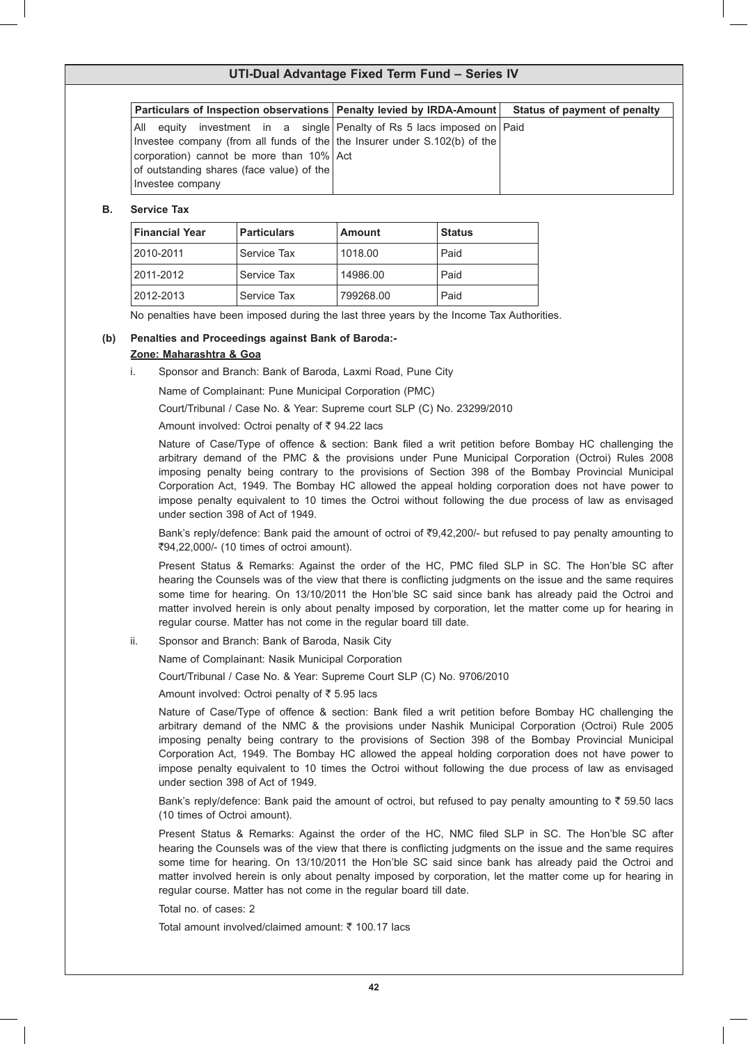| Particulars of Inspection observations   Penalty levied by IRDA-Amount    |                                                             | Status of payment of penalty |
|---------------------------------------------------------------------------|-------------------------------------------------------------|------------------------------|
| All<br>equity                                                             | investment in a single Penalty of Rs 5 lacs imposed on Paid |                              |
| Investee company (from all funds of the the Insurer under S.102(b) of the |                                                             |                              |
| corporation) cannot be more than 10% Act                                  |                                                             |                              |
| of outstanding shares (face value) of the                                 |                                                             |                              |
| Investee company                                                          |                                                             |                              |

### **B. Service Tax**

| <b>Financial Year</b> | <b>Particulars</b> | <b>Amount</b> | <b>Status</b> |
|-----------------------|--------------------|---------------|---------------|
| 2010-2011             | Service Tax        | 1018.00       | Paid          |
| 2011-2012             | Service Tax        | 14986.00      | Paid          |
| 2012-2013             | Service Tax        | 799268.00     | Paid          |

 No penalties have been imposed during the last three years by the Income Tax Authorities.

## **(b) Penalties and Proceedings against Bank of Baroda:- Zone: Maharashtra & Goa**

i. Sponsor and Branch: Bank of Baroda, Laxmi Road, Pune City

 Name of Complainant: Pune Municipal Corporation (PMC)

 Court/Tribunal / Case No. & Year: Supreme court SLP (C) No. 23299/2010

Amount involved: Octroi penalty of  $\bar{\tau}$  94.22 lacs

 Nature of Case/Type of offence & section: Bank filed a writ petition before Bombay HC challenging the arbitrary demand of the PMC & the provisions under Pune Municipal Corporation (Octroi) Rules 2008 imposing penalty being contrary to the provisions of Section 398 of the Bombay Provincial Municipal Corporation Act, 1949. The Bombay HC allowed the appeal holding corporation does not have power to impose penalty equivalent to 10 times the Octroi without following the due process of law as envisaged under section 398 of Act of 1949.

 Bank's reply/defence: Bank paid the amount of octroi of `9,42,200/- but refused to pay penalty amounting to `94,22,000/- (10 times of octroi amount).

 Present Status & Remarks: Against the order of the HC, PMC filed SLP in SC. The Hon'ble SC after hearing the Counsels was of the view that there is conflicting judgments on the issue and the same requires some time for hearing. On 13/10/2011 the Hon'ble SC said since bank has already paid the Octroi and matter involved herein is only about penalty imposed by corporation, let the matter come up for hearing in regular course. Matter has not come in the regular board till date.

ii. Sponsor and Branch: Bank of Baroda, Nasik City

 Name of Complainant: Nasik Municipal Corporation

 Court/Tribunal / Case No. & Year: Supreme Court SLP (C) No. 9706/2010

Amount involved: Octroi penalty of  $\bar{\tau}$  5.95 lacs

 Nature of Case/Type of offence & section: Bank filed a writ petition before Bombay HC challenging the arbitrary demand of the NMC & the provisions under Nashik Municipal Corporation (Octroi) Rule 2005 imposing penalty being contrary to the provisions of Section 398 of the Bombay Provincial Municipal Corporation Act, 1949. The Bombay HC allowed the appeal holding corporation does not have power to impose penalty equivalent to 10 times the Octroi without following the due process of law as envisaged under section 398 of Act of 1949.

Bank's reply/defence: Bank paid the amount of octroi, but refused to pay penalty amounting to  $\bar{z}$  59.50 lacs (10 times of Octroi amount).

 Present Status & Remarks: Against the order of the HC, NMC filed SLP in SC. The Hon'ble SC after hearing the Counsels was of the view that there is conflicting judgments on the issue and the same requires some time for hearing. On 13/10/2011 the Hon'ble SC said since bank has already paid the Octroi and matter involved herein is only about penalty imposed by corporation, let the matter come up for hearing in regular course. Matter has not come in the regular board till date.

 Total no. of cases: 2

Total amount involved/claimed amount:  $\bar{\tau}$  100.17 lacs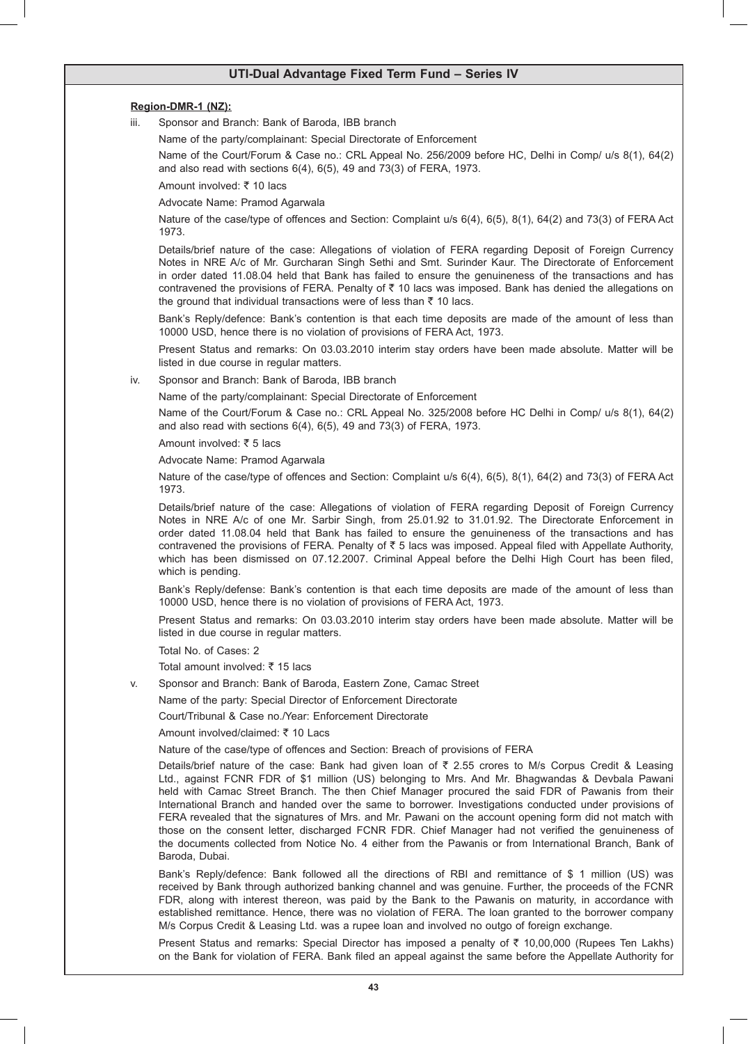### **Region-DMR-1 (NZ):**

iii. Sponsor and Branch: Bank of Baroda, IBB branch

 Name of the party/complainant: Special Directorate of Enforcement

 Name of the Court/Forum & Case no.: CRL Appeal No. 256/2009 before HC, Delhi in Comp/ u/s 8(1), 64(2) and also read with sections 6(4), 6(5), 49 and 73(3) of FERA, 1973.

Amount involved: ₹ 10 lacs

 Advocate Name: Pramod Agarwala

 Nature of the case/type of offences and Section: Complaint u/s 6(4), 6(5), 8(1), 64(2) and 73(3) of FERA Act 1973.

 Details/brief nature of the case: Allegations of violation of FERA regarding Deposit of Foreign Currency Notes in NRE A/c of Mr. Gurcharan Singh Sethi and Smt. Surinder Kaur. The Directorate of Enforcement in order dated 11.08.04 held that Bank has failed to ensure the genuineness of the transactions and has contravened the provisions of FERA. Penalty of  $\bar{z}$  10 lacs was imposed. Bank has denied the allegations on the ground that individual transactions were of less than  $\bar{\tau}$  10 lacs.

 Bank's Reply/defence: Bank's contention is that each time deposits are made of the amount of less than 10000 USD, hence there is no violation of provisions of FERA Act, 1973.

 Present Status and remarks: On 03.03.2010 interim stay orders have been made absolute. Matter will be listed in due course in regular matters.

### iv. Sponsor and Branch: Bank of Baroda, IBB branch

 Name of the party/complainant: Special Directorate of Enforcement

 Name of the Court/Forum & Case no.: CRL Appeal No. 325/2008 before HC Delhi in Comp/ u/s 8(1), 64(2) and also read with sections 6(4), 6(5), 49 and 73(3) of FERA, 1973.

Amount involved:  $\overline{z}$  5 lacs

 Advocate Name: Pramod Agarwala

 Nature of the case/type of offences and Section: Complaint u/s 6(4), 6(5), 8(1), 64(2) and 73(3) of FERA Act 1973.

 Details/brief nature of the case: Allegations of violation of FERA regarding Deposit of Foreign Currency Notes in NRE A/c of one Mr. Sarbir Singh, from 25.01.92 to 31.01.92. The Directorate Enforcement in order dated 11.08.04 held that Bank has failed to ensure the genuineness of the transactions and has contravened the provisions of FERA. Penalty of  $\bar{\tau}$  5 lacs was imposed. Appeal filed with Appellate Authority, which has been dismissed on 07.12.2007. Criminal Appeal before the Delhi High Court has been filed, which is pending.

 Bank's Reply/defense: Bank's contention is that each time deposits are made of the amount of less than 10000 USD, hence there is no violation of provisions of FERA Act, 1973.

 Present Status and remarks: On 03.03.2010 interim stay orders have been made absolute. Matter will be listed in due course in regular matters.

 Total No. of Cases: 2

Total amount involved:  $\bar{z}$  15 lacs

 v. Sponsor and Branch: Bank of Baroda, Eastern Zone, Camac Street

 Name of the party: Special Director of Enforcement Directorate

 Court/Tribunal & Case no./Year: Enforcement Directorate

Amount involved/claimed:  $\overline{z}$  10 Lacs

 Nature of the case/type of offences and Section: Breach of provisions of FERA

Details/brief nature of the case: Bank had given loan of  $\bar{\tau}$  2.55 crores to M/s Corpus Credit & Leasing Ltd., against FCNR FDR of \$1 million (US) belonging to Mrs. And Mr. Bhagwandas & Devbala Pawani held with Camac Street Branch. The then Chief Manager procured the said FDR of Pawanis from their International Branch and handed over the same to borrower. Investigations conducted under provisions of FERA revealed that the signatures of Mrs. and Mr. Pawani on the account opening form did not match with those on the consent letter, discharged FCNR FDR. Chief Manager had not verified the genuineness of the documents collected from Notice No. 4 either from the Pawanis or from International Branch, Bank of Baroda, Dubai.

 Bank's Reply/defence: Bank followed all the directions of RBI and remittance of \$ 1 million (US) was received by Bank through authorized banking channel and was genuine. Further, the proceeds of the FCNR FDR, along with interest thereon, was paid by the Bank to the Pawanis on maturity, in accordance with established remittance. Hence, there was no violation of FERA. The loan granted to the borrower company M/s Corpus Credit & Leasing Ltd. was a rupee loan and involved no outgo of foreign exchange.

Present Status and remarks: Special Director has imposed a penalty of  $\bar{\tau}$  10,00,000 (Rupees Ten Lakhs) on the Bank for violation of FERA. Bank filed an appeal against the same before the Appellate Authority for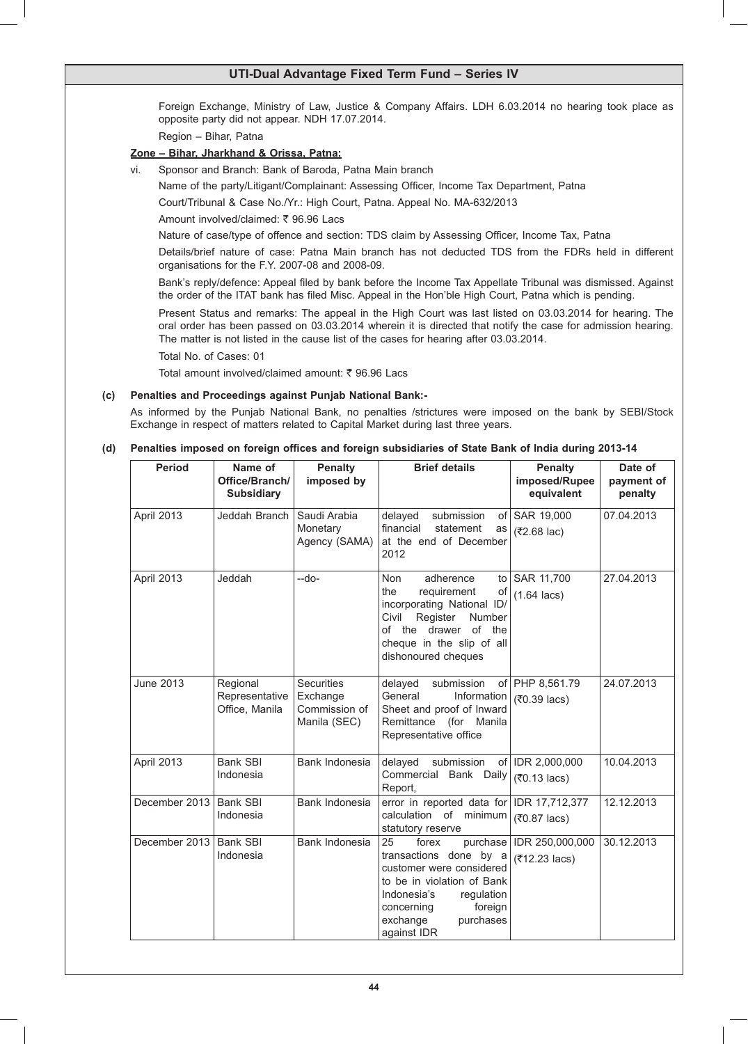Foreign Exchange, Ministry of Law, Justice & Company Affairs. LDH 6.03.2014 no hearing took place as opposite party did not appear. NDH 17.07.2014.

 Region – Bihar, Patna

### **Zone – Bihar, Jharkhand & Orissa, Patna:**

vi. Sponsor and Branch: Bank of Baroda, Patna Main branch

 Name of the party/Litigant/Complainant: Assessing Officer, Income Tax Department, Patna

 Court/Tribunal & Case No./Yr.: High Court, Patna. Appeal No. MA-632/2013

Amount involved/claimed: ₹ 96.96 Lacs

 Nature of case/type of offence and section: TDS claim by Assessing Officer, Income Tax, Patna

 Details/brief nature of case: Patna Main branch has not deducted TDS from the FDRs held in different organisations for the F.Y. 2007-08 and 2008-09.

 Bank's reply/defence: Appeal filed by bank before the Income Tax Appellate Tribunal was dismissed. Against the order of the ITAT bank has filed Misc. Appeal in the Hon'ble High Court, Patna which is pending.

 Present Status and remarks: The appeal in the High Court was last listed on 03.03.2014 for hearing. The oral order has been passed on 03.03.2014 wherein it is directed that notify the case for admission hearing. The matter is not listed in the cause list of the cases for hearing after 03.03.2014.

 Total No. of Cases: 01

Total amount involved/claimed amount: ₹ 96.96 Lacs

### **(c) Penalties and Proceedings against Punjab National Bank:-**

 As informed by the Punjab National Bank, no penalties /strictures were imposed on the bank by SEBI/Stock Exchange in respect of matters related to Capital Market during last three years.

### **(d) Penalties imposed on foreign offices and foreign subsidiaries of State Bank of India during 2013-14**

| <b>Period</b>    | Name of<br>Office/Branch/<br><b>Subsidiary</b> | <b>Penalty</b><br>imposed by  | <b>Brief details</b>                                                                                                                                                 | <b>Penalty</b><br>imposed/Rupee<br>equivalent | Date of<br>payment of<br>penalty |
|------------------|------------------------------------------------|-------------------------------|----------------------------------------------------------------------------------------------------------------------------------------------------------------------|-----------------------------------------------|----------------------------------|
| April 2013       | Jeddah Branch                                  | Saudi Arabia<br>Monetary      | submission<br>delayed<br>of l<br>financial<br>statement<br>as                                                                                                        | SAR 19,000                                    | 07.04.2013                       |
|                  |                                                | Agency (SAMA)                 | at the end of December<br>2012                                                                                                                                       | (₹2.68 lac)                                   |                                  |
| April 2013       | Jeddah                                         | --do-                         | Non<br>adherence<br>to                                                                                                                                               | SAR 11,700                                    | 27.04.2013                       |
|                  |                                                |                               | the<br>requirement<br>of<br>incorporating National ID/<br>Register<br>Number<br>Civil<br>of the drawer<br>of the<br>cheque in the slip of all<br>dishonoured cheques | $(1.64 \text{ lacs})$                         |                                  |
| <b>June 2013</b> | Regional<br>Representative                     | Securities<br>Exchange        | delayed<br>submission<br>General<br>Information                                                                                                                      | of PHP 8,561.79                               | 24.07.2013                       |
|                  | Office, Manila                                 | Commission of<br>Manila (SEC) | Sheet and proof of Inward<br>Remittance (for Manila<br>Representative office                                                                                         | (₹0.39 lacs)                                  |                                  |
| April 2013       | <b>Bank SBI</b>                                | Bank Indonesia                | delayed<br>submission                                                                                                                                                | of   IDR 2,000,000                            | 10.04.2013                       |
|                  | Indonesia                                      |                               | Commercial Bank Daily<br>Report,                                                                                                                                     | (₹0.13 lacs)                                  |                                  |
| December 2013    | <b>Bank SBI</b>                                | Bank Indonesia                | error in reported data for                                                                                                                                           | IDR 17,712,377                                | 12.12.2013                       |
|                  | Indonesia                                      |                               | calculation of minimum<br>statutory reserve                                                                                                                          | (₹0.87 lacs)                                  |                                  |
| December 2013    | Bank SBI                                       | Bank Indonesia                | 25<br>purchase<br>forex                                                                                                                                              | IDR 250,000,000                               | 30.12.2013                       |
|                  | Indonesia                                      |                               | transactions done by a<br>customer were considered                                                                                                                   | (₹12.23 lacs)                                 |                                  |
|                  |                                                |                               | to be in violation of Bank<br>Indonesia's<br>regulation                                                                                                              |                                               |                                  |
|                  |                                                |                               | foreign<br>concerning                                                                                                                                                |                                               |                                  |
|                  |                                                |                               | exchange<br>purchases<br>against IDR                                                                                                                                 |                                               |                                  |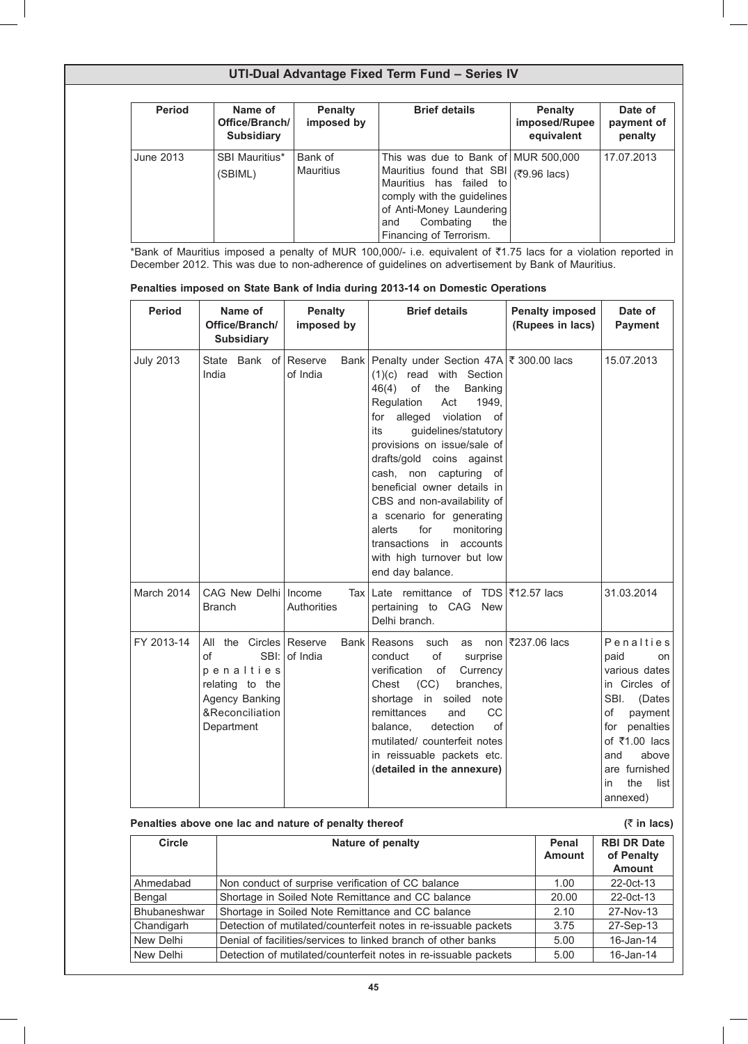| <b>Period</b> | Name of<br>Office/Branch/<br><b>Subsidiary</b> | <b>Penalty</b><br>imposed by | <b>Brief details</b>                                                                                                                                                                                                    | <b>Penalty</b><br>imposed/Rupee<br>equivalent | Date of<br>payment of<br>penalty |
|---------------|------------------------------------------------|------------------------------|-------------------------------------------------------------------------------------------------------------------------------------------------------------------------------------------------------------------------|-----------------------------------------------|----------------------------------|
| June 2013     | <b>SBI Mauritius*</b><br>(SBIML)               | Bank of<br><b>Mauritius</b>  | This was due to Bank of MUR 500,000<br>Mauritius found that SBI (₹9.96 lacs)<br>Mauritius has failed to<br>comply with the guidelines<br>of Anti-Money Laundering<br>Combating<br>the<br>and<br>Financing of Terrorism. |                                               | 17.07.2013                       |

\*Bank of Mauritius imposed a penalty of MUR 100,000/- i.e. equivalent of ₹1.75 lacs for a violation reported in December 2012. This was due to non-adherence of guidelines on advertisement by Bank of Mauritius.

| Penalties imposed on State Bank of India during 2013-14 on Domestic Operations |  |
|--------------------------------------------------------------------------------|--|
|--------------------------------------------------------------------------------|--|

| <b>Period</b>    | Name of<br>Office/Branch/<br><b>Subsidiary</b>                                                                              | <b>Penalty</b><br>imposed by | <b>Brief details</b>                                                                                                                                                                                                                                                                                                                                                                                                                                                                                        | <b>Penalty imposed</b><br>(Rupees in lacs) | Date of<br><b>Payment</b>                                                                                                                                                                           |
|------------------|-----------------------------------------------------------------------------------------------------------------------------|------------------------------|-------------------------------------------------------------------------------------------------------------------------------------------------------------------------------------------------------------------------------------------------------------------------------------------------------------------------------------------------------------------------------------------------------------------------------------------------------------------------------------------------------------|--------------------------------------------|-----------------------------------------------------------------------------------------------------------------------------------------------------------------------------------------------------|
| <b>July 2013</b> | Bank of Reserve<br><b>State</b><br>India                                                                                    | of India                     | Bank Penalty under Section 47A ₹ 300.00 lacs<br>$(1)(c)$ read with Section<br>of<br>46(4)<br>the<br>Banking<br>Regulation<br>Act<br>1949,<br>for alleged<br>violation of<br>guidelines/statutory<br>its<br>provisions on issue/sale of<br>drafts/gold coins against<br>cash, non capturing<br>of<br>beneficial owner details in<br>CBS and non-availability of<br>a scenario for generating<br>for<br>monitoring<br>alerts<br>transactions<br>in accounts<br>with high turnover but low<br>end day balance. |                                            | 15.07.2013                                                                                                                                                                                          |
| March 2014       | CAG New Delhi   Income<br><b>Branch</b>                                                                                     | Tax I<br>Authorities         | Late remittance of TDS ₹12.57 lacs<br>pertaining to CAG New<br>Delhi branch.                                                                                                                                                                                                                                                                                                                                                                                                                                |                                            | 31.03.2014                                                                                                                                                                                          |
| FY 2013-14       | the Circles Reserve<br>All<br>of<br>SBI:<br>penalties<br>relating to the<br>Agency Banking<br>&Reconciliation<br>Department | Bank<br>of India             | Reasons<br>such<br>as<br>of<br>conduct<br>surprise<br>verification<br>of<br>Currency<br>(CC)<br>branches,<br>Chest<br>shortage in soiled<br>note<br>remittances<br>and<br><b>CC</b><br>detection<br>of<br>balance,<br>mutilated/ counterfeit notes<br>in reissuable packets etc.<br>(detailed in the annexure)                                                                                                                                                                                              | non ₹237.06 lacs                           | Penalties<br>paid<br>on<br>various dates<br>in Circles of<br>SBI.<br>(Dates<br>of<br>payment<br>penalties<br>for<br>of ₹1.00 lacs<br>above<br>and<br>are furnished<br>the<br>list<br>in<br>annexed) |

| Penalties above one lac and nature of penalty thereof |                                                                 |                        | $(5 \in \mathsf{In} \mathsf{lacs})$               |  |
|-------------------------------------------------------|-----------------------------------------------------------------|------------------------|---------------------------------------------------|--|
| Circle                                                | Nature of penalty                                               | Penal<br><b>Amount</b> | <b>RBI DR Date</b><br>of Penalty<br><b>Amount</b> |  |
| Ahmedabad                                             | Non conduct of surprise verification of CC balance              | 1.00                   | 22-0ct-13                                         |  |
| Bengal                                                | Shortage in Soiled Note Remittance and CC balance               | 20.00                  | 22-0ct-13                                         |  |
| <b>Bhubaneshwar</b>                                   | Shortage in Soiled Note Remittance and CC balance               | 2.10                   | 27-Nov-13                                         |  |
| Chandigarh                                            | Detection of mutilated/counterfeit notes in re-issuable packets | 3.75                   | 27-Sep-13                                         |  |
| New Delhi                                             | Denial of facilities/services to linked branch of other banks   | 5.00                   | $16$ -Jan-14                                      |  |
| New Delhi                                             | Detection of mutilated/counterfeit notes in re-issuable packets | 5.00                   | 16-Jan-14                                         |  |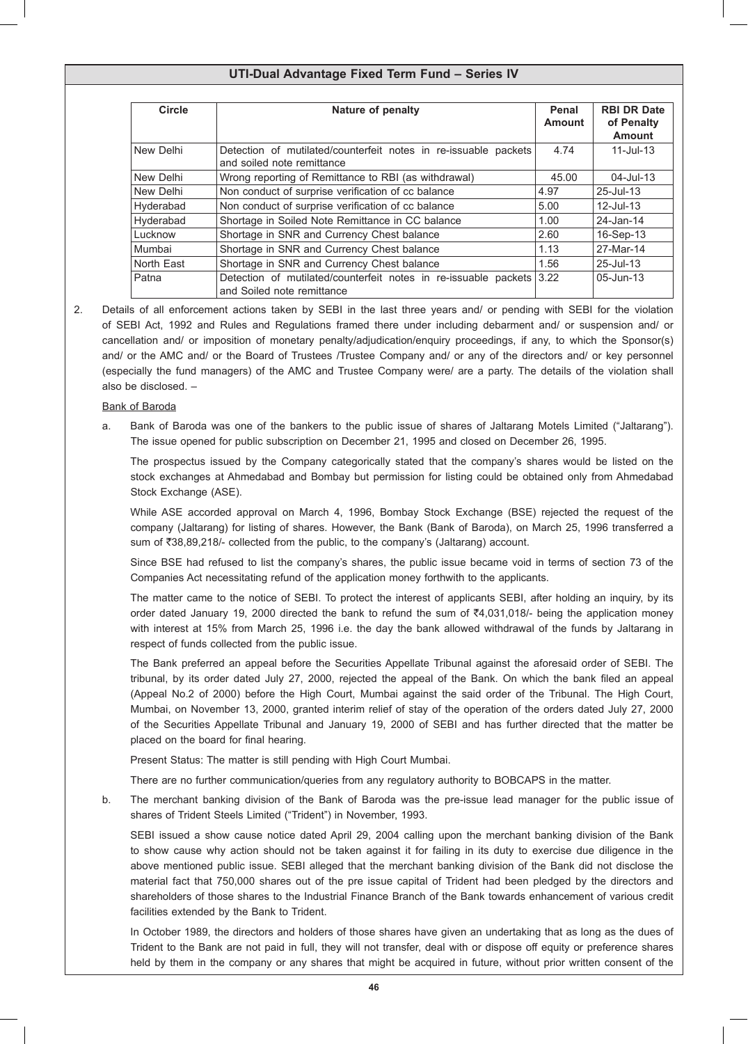| Circle     | <b>Nature of penalty</b>                                                                           | Penal<br><b>Amount</b> | <b>RBI DR Date</b><br>of Penalty<br><b>Amount</b> |
|------------|----------------------------------------------------------------------------------------------------|------------------------|---------------------------------------------------|
| New Delhi  | Detection of mutilated/counterfeit notes in re-issuable packets<br>and soiled note remittance      | 4.74                   | $11 -$ Jul-13                                     |
| New Delhi  | Wrong reporting of Remittance to RBI (as withdrawal)                                               | 45.00                  | $04 -$ Jul-13                                     |
| New Delhi  | Non conduct of surprise verification of cc balance                                                 | 4.97                   | 25-Jul-13                                         |
| Hyderabad  | Non conduct of surprise verification of cc balance                                                 | 5.00                   | $12$ -Jul-13                                      |
| Hyderabad  | Shortage in Soiled Note Remittance in CC balance                                                   | 1.00                   | 24-Jan-14                                         |
| Lucknow    | Shortage in SNR and Currency Chest balance                                                         | 2.60                   | 16-Sep-13                                         |
| Mumbai     | Shortage in SNR and Currency Chest balance                                                         | 1.13                   | 27-Mar-14                                         |
| North East | Shortage in SNR and Currency Chest balance                                                         | 1.56                   | 25-Jul-13                                         |
| Patna      | Detection of mutilated/counterfeit notes in re-issuable packets 3.22<br>and Soiled note remittance |                        | 05-Jun-13                                         |

2. Details of all enforcement actions taken by SEBI in the last three years and/ or pending with SEBI for the violation of SEBI Act, 1992 and Rules and Regulations framed there under including debarment and/ or suspension and/ or cancellation and/ or imposition of monetary penalty/adjudication/enquiry proceedings, if any, to which the Sponsor(s) and/ or the AMC and/ or the Board of Trustees /Trustee Company and/ or any of the directors and/ or key personnel (especially the fund managers) of the AMC and Trustee Company were/ are a party. The details of the violation shall also be disclosed. –

Bank of Baroda

a. Bank of Baroda was one of the bankers to the public issue of shares of Jaltarang Motels Limited ("Jaltarang"). The issue opened for public subscription on December 21, 1995 and closed on December 26, 1995.

 The prospectus issued by the Company categorically stated that the company's shares would be listed on the stock exchanges at Ahmedabad and Bombay but permission for listing could be obtained only from Ahmedabad Stock Exchange (ASE).

 While ASE accorded approval on March 4, 1996, Bombay Stock Exchange (BSE) rejected the request of the company (Jaltarang) for listing of shares. However, the Bank (Bank of Baroda), on March 25, 1996 transferred a sum of ₹38,89,218/- collected from the public, to the company's (Jaltarang) account.

 Since BSE had refused to list the company's shares, the public issue became void in terms of section 73 of the Companies Act necessitating refund of the application money forthwith to the applicants.

 The matter came to the notice of SEBI. To protect the interest of applicants SEBI, after holding an inquiry, by its order dated January 19, 2000 directed the bank to refund the sum of ₹4,031,018/- being the application money with interest at 15% from March 25, 1996 i.e. the day the bank allowed withdrawal of the funds by Jaltarang in respect of funds collected from the public issue.

 The Bank preferred an appeal before the Securities Appellate Tribunal against the aforesaid order of SEBI. The tribunal, by its order dated July 27, 2000, rejected the appeal of the Bank. On which the bank filed an appeal (Appeal No.2 of 2000) before the High Court, Mumbai against the said order of the Tribunal. The High Court, Mumbai, on November 13, 2000, granted interim relief of stay of the operation of the orders dated July 27, 2000 of the Securities Appellate Tribunal and January 19, 2000 of SEBI and has further directed that the matter be placed on the board for final hearing.

 Present Status: The matter is still pending with High Court Mumbai.

 There are no further communication/queries from any regulatory authority to BOBCAPS in the matter.

b. The merchant banking division of the Bank of Baroda was the pre-issue lead manager for the public issue of shares of Trident Steels Limited ("Trident") in November, 1993.

 SEBI issued a show cause notice dated April 29, 2004 calling upon the merchant banking division of the Bank to show cause why action should not be taken against it for failing in its duty to exercise due diligence in the above mentioned public issue. SEBI alleged that the merchant banking division of the Bank did not disclose the material fact that 750,000 shares out of the pre issue capital of Trident had been pledged by the directors and shareholders of those shares to the Industrial Finance Branch of the Bank towards enhancement of various credit facilities extended by the Bank to Trident.

 In October 1989, the directors and holders of those shares have given an undertaking that as long as the dues of Trident to the Bank are not paid in full, they will not transfer, deal with or dispose off equity or preference shares held by them in the company or any shares that might be acquired in future, without prior written consent of the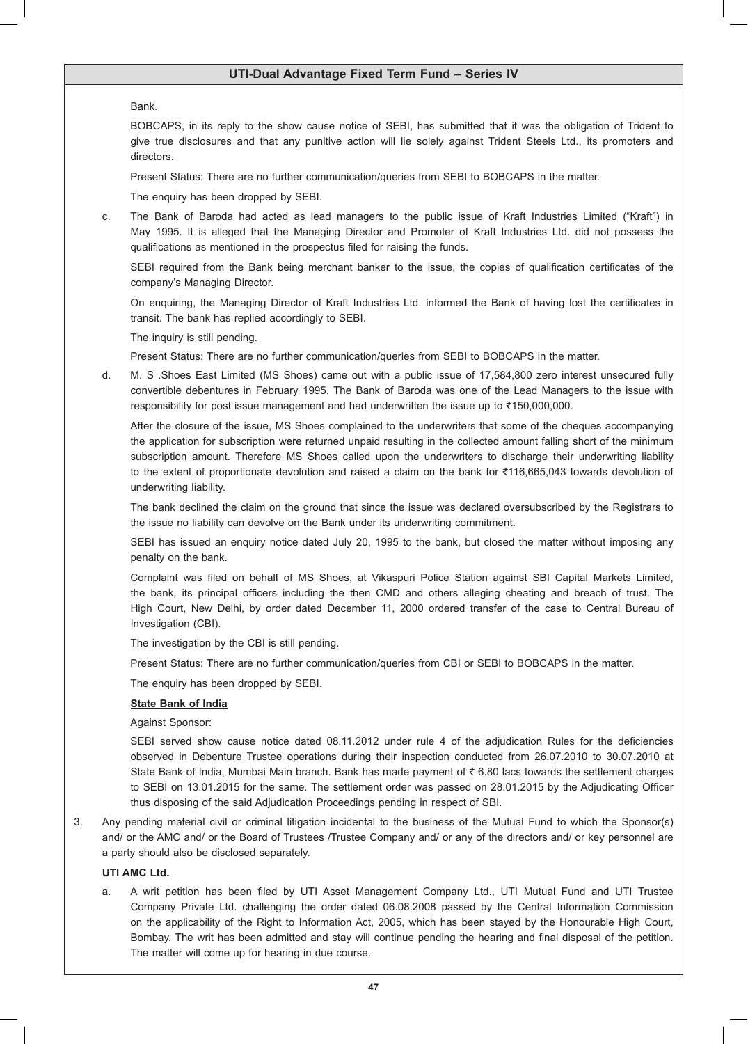### Bank.

 BOBCAPS, in its reply to the show cause notice of SEBI, has submitted that it was the obligation of Trident to give true disclosures and that any punitive action will lie solely against Trident Steels Ltd., its promoters and directors.

 Present Status: There are no further communication/queries from SEBI to BOBCAPS in the matter.

 The enquiry has been dropped by SEBI.

c. The Bank of Baroda had acted as lead managers to the public issue of Kraft Industries Limited ("Kraft") in May 1995. It is alleged that the Managing Director and Promoter of Kraft Industries Ltd. did not possess the qualifications as mentioned in the prospectus filed for raising the funds.

 SEBI required from the Bank being merchant banker to the issue, the copies of qualification certificates of the company's Managing Director.

 On enquiring, the Managing Director of Kraft Industries Ltd. informed the Bank of having lost the certificates in transit. The bank has replied accordingly to SEBI.

 The inquiry is still pending.

 Present Status: There are no further communication/queries from SEBI to BOBCAPS in the matter.

d. M. S .Shoes East Limited (MS Shoes) came out with a public issue of 17,584,800 zero interest unsecured fully convertible debentures in February 1995. The Bank of Baroda was one of the Lead Managers to the issue with responsibility for post issue management and had underwritten the issue up to ₹150,000,000.

 After the closure of the issue, MS Shoes complained to the underwriters that some of the cheques accompanying the application for subscription were returned unpaid resulting in the collected amount falling short of the minimum subscription amount. Therefore MS Shoes called upon the underwriters to discharge their underwriting liability to the extent of proportionate devolution and raised a claim on the bank for  $\overline{5}116,665,043$  towards devolution of underwriting liability.

 The bank declined the claim on the ground that since the issue was declared oversubscribed by the Registrars to the issue no liability can devolve on the Bank under its underwriting commitment.

 SEBI has issued an enquiry notice dated July 20, 1995 to the bank, but closed the matter without imposing any penalty on the bank.

 Complaint was filed on behalf of MS Shoes, at Vikaspuri Police Station against SBI Capital Markets Limited, the bank, its principal officers including the then CMD and others alleging cheating and breach of trust. The High Court, New Delhi, by order dated December 11, 2000 ordered transfer of the case to Central Bureau of Investigation (CBI).

 The investigation by the CBI is still pending.

 Present Status: There are no further communication/queries from CBI or SEBI to BOBCAPS in the matter.

 The enquiry has been dropped by SEBI.

### **State Bank of India**

 Against Sponsor:

 SEBI served show cause notice dated 08.11.2012 under rule 4 of the adjudication Rules for the deficiencies observed in Debenture Trustee operations during their inspection conducted from 26.07.2010 to 30.07.2010 at State Bank of India, Mumbai Main branch. Bank has made payment of  $\bar{\tau}$  6.80 lacs towards the settlement charges to SEBI on 13.01.2015 for the same. The settlement order was passed on 28.01.2015 by the Adjudicating Officer thus disposing of the said Adjudication Proceedings pending in respect of SBI.

3. Any pending material civil or criminal litigation incidental to the business of the Mutual Fund to which the Sponsor(s) and/ or the AMC and/ or the Board of Trustees /Trustee Company and/ or any of the directors and/ or key personnel are a party should also be disclosed separately.

## **UTI AMC Ltd.**

a. A writ petition has been filed by UTI Asset Management Company Ltd., UTI Mutual Fund and UTI Trustee Company Private Ltd. challenging the order dated 06.08.2008 passed by the Central Information Commission on the applicability of the Right to Information Act, 2005, which has been stayed by the Honourable High Court, Bombay. The writ has been admitted and stay will continue pending the hearing and final disposal of the petition. The matter will come up for hearing in due course.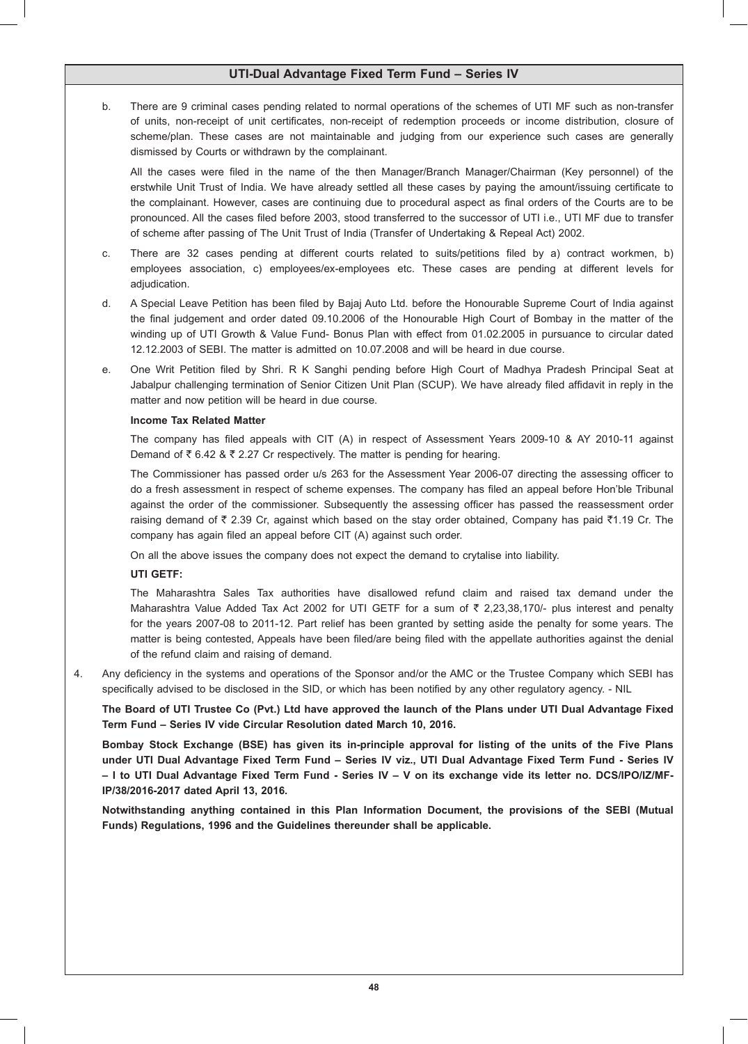b. There are 9 criminal cases pending related to normal operations of the schemes of UTI MF such as non-transfer of units, non-receipt of unit certificates, non-receipt of redemption proceeds or income distribution, closure of scheme/plan. These cases are not maintainable and judging from our experience such cases are generally dismissed by Courts or withdrawn by the complainant.

 All the cases were filed in the name of the then Manager/Branch Manager/Chairman (Key personnel) of the erstwhile Unit Trust of India. We have already settled all these cases by paying the amount/issuing certificate to the complainant. However, cases are continuing due to procedural aspect as final orders of the Courts are to be pronounced. All the cases filed before 2003, stood transferred to the successor of UTI i.e., UTI MF due to transfer of scheme after passing of The Unit Trust of India (Transfer of Undertaking & Repeal Act) 2002.

- c. There are 32 cases pending at different courts related to suits/petitions filed by a) contract workmen, b) employees association, c) employees/ex-employees etc. These cases are pending at different levels for adjudication.
- d. A Special Leave Petition has been filed by Bajaj Auto Ltd. before the Honourable Supreme Court of India against the final judgement and order dated 09.10.2006 of the Honourable High Court of Bombay in the matter of the winding up of UTI Growth & Value Fund- Bonus Plan with effect from 01.02.2005 in pursuance to circular dated 12.12.2003 of SEBI. The matter is admitted on 10.07.2008 and will be heard in due course.
- e. One Writ Petition filed by Shri. R K Sanghi pending before High Court of Madhya Pradesh Principal Seat at Jabalpur challenging termination of Senior Citizen Unit Plan (SCUP). We have already filed affidavit in reply in the matter and now petition will be heard in due course.

### **Income Tax Related Matter**

 The company has filed appeals with CIT (A) in respect of Assessment Years 2009-10 & AY 2010-11 against Demand of  $\bar{\tau}$  6.42 &  $\bar{\tau}$  2.27 Cr respectively. The matter is pending for hearing.

 The Commissioner has passed order u/s 263 for the Assessment Year 2006-07 directing the assessing officer to do a fresh assessment in respect of scheme expenses. The company has filed an appeal before Hon'ble Tribunal against the order of the commissioner. Subsequently the assessing officer has passed the reassessment order raising demand of  $\bar{\tau}$  2.39 Cr, against which based on the stay order obtained, Company has paid  $\bar{\tau}$ 1.19 Cr. The company has again filed an appeal before CIT (A) against such order.

 On all the above issues the company does not expect the demand to crytalise into liability.

### **UTI GETF:**

 The Maharashtra Sales Tax authorities have disallowed refund claim and raised tax demand under the Maharashtra Value Added Tax Act 2002 for UTI GETF for a sum of  $\bar{\tau}$  2,23,38,170/- plus interest and penalty for the years 2007-08 to 2011-12. Part relief has been granted by setting aside the penalty for some years. The matter is being contested, Appeals have been filed/are being filed with the appellate authorities against the denial of the refund claim and raising of demand.

4. Any deficiency in the systems and operations of the Sponsor and/or the AMC or the Trustee Company which SEBI has specifically advised to be disclosed in the SID, or which has been notified by any other regulatory agency. - NIL

**The Board of UTI Trustee Co (Pvt.) Ltd have approved the launch of the Plans under UTI Dual Advantage Fixed Term Fund – Series IV vide Circular Resolution dated March 10, 2016.**

**Bombay Stock Exchange (BSE) has given its in-principle approval for listing of the units of the Five Plans under UTI Dual Advantage Fixed Term Fund – Series IV viz., UTI Dual Advantage Fixed Term Fund - Series IV – I to UTI Dual Advantage Fixed Term Fund - Series IV – V on its exchange vide its letter no. DCS/IPO/IZ/MF-IP/38/2016-2017 dated April 13, 2016.**

**Notwithstanding anything contained in this Plan Information Document, the provisions of the SEBI (Mutual Funds) Regulations, 1996 and the Guidelines thereunder shall be applicable.**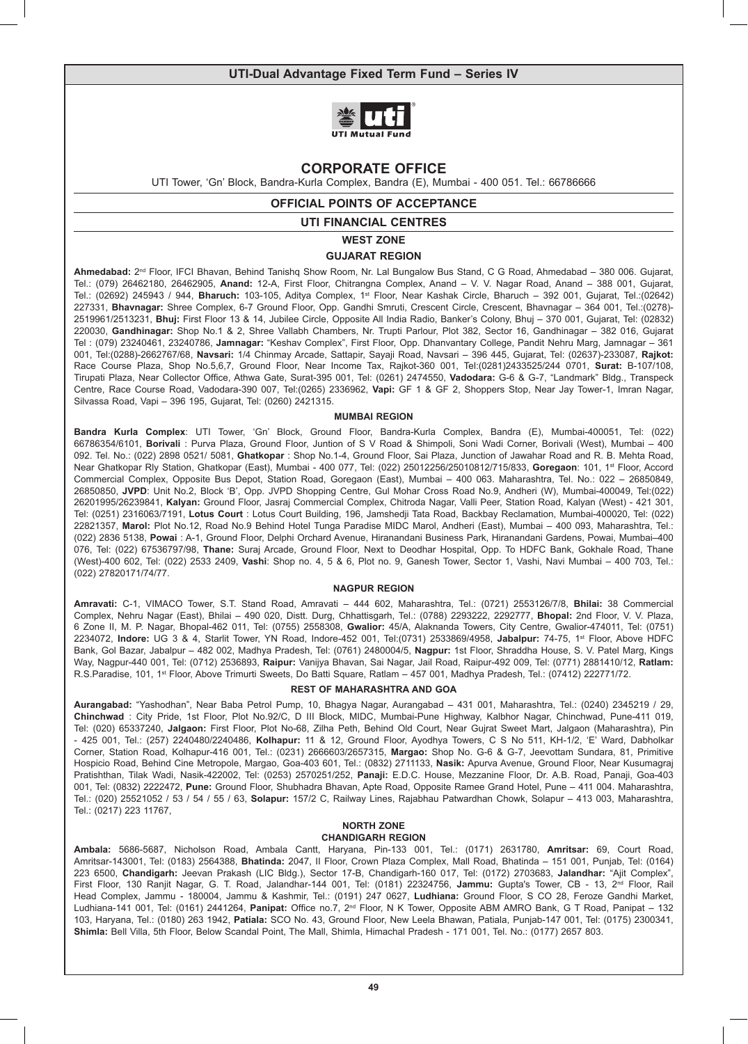

# **CORPORATE OFFICE**

UTI Tower, 'Gn' Block, Bandra-Kurla Complex, Bandra (E), Mumbai - 400 051. Tel.: 66786666

## **OFFICIAL POINTS OF ACCEPTANCE**

### **UTI FINANCIAL CENTRES**

**WEST ZONE**

### **GUJARAT REGION**

**Ahmedabad:** 2nd Floor, IFCI Bhavan, Behind Tanishq Show Room, Nr. Lal Bungalow Bus Stand, C G Road, Ahmedabad – 380 006. Gujarat, Tel.: (079) 26462180, 26462905, **Anand:** 12-A, First Floor, Chitrangna Complex, Anand – V. V. Nagar Road, Anand – 388 001, Gujarat, Tel.: (02692) 245943 / 944, **Bharuch:** 103-105, Aditya Complex, 1st Floor, Near Kashak Circle, Bharuch – 392 001, Gujarat, Tel.:(02642) 227331, **Bhavnagar:** Shree Complex, 6-7 Ground Floor, Opp. Gandhi Smruti, Crescent Circle, Crescent, Bhavnagar – 364 001, Tel.:(0278)- 2519961/2513231, **Bhuj:** First Floor 13 & 14, Jubilee Circle, Opposite All India Radio, Banker's Colony, Bhuj – 370 001, Gujarat, Tel: (02832) 220030, **Gandhinagar:** Shop No.1 & 2, Shree Vallabh Chambers, Nr. Trupti Parlour, Plot 382, Sector 16, Gandhinagar – 382 016, Gujarat Tel : (079) 23240461, 23240786, **Jamnagar:** "Keshav Complex", First Floor, Opp. Dhanvantary College, Pandit Nehru Marg, Jamnagar – 361 001, Tel:(0288)-2662767/68, **Navsari:** 1/4 Chinmay Arcade, Sattapir, Sayaji Road, Navsari – 396 445, Gujarat, Tel: (02637)-233087, **Rajkot:**  Race Course Plaza, Shop No.5,6,7, Ground Floor, Near Income Tax, Rajkot-360 001, Tel:(0281)2433525/244 0701, **Surat:** B-107/108, Tirupati Plaza, Near Collector Office, Athwa Gate, Surat-395 001, Tel: (0261) 2474550, **Vadodara:** G-6 & G-7, "Landmark" Bldg., Transpeck Centre, Race Course Road, Vadodara-390 007, Tel:(0265) 2336962, **Vapi:** GF 1 & GF 2, Shoppers Stop, Near Jay Tower-1, Imran Nagar, Silvassa Road, Vapi – 396 195, Gujarat, Tel: (0260) 2421315.

### **MUMBAI REGION**

**Bandra Kurla Complex**: UTI Tower, 'Gn' Block, Ground Floor, Bandra-Kurla Complex, Bandra (E), Mumbai-400051, Tel: (022) 66786354/6101, **Borivali** : Purva Plaza, Ground Floor, Juntion of S V Road & Shimpoli, Soni Wadi Corner, Borivali (West), Mumbai – 400 092. Tel. No.: (022) 2898 0521/ 5081, **Ghatkopar** : Shop No.1-4, Ground Floor, Sai Plaza, Junction of Jawahar Road and R. B. Mehta Road, Near Ghatkopar Rly Station, Ghatkopar (East), Mumbai - 400 077, Tel: (022) 25012256/25010812/715/833, **Goregaon**: 101, 1st Floor, Accord Commercial Complex, Opposite Bus Depot, Station Road, Goregaon (East), Mumbai – 400 063. Maharashtra, Tel. No.: 022 – 26850849, 26850850, **JVPD**: Unit No.2, Block 'B', Opp. JVPD Shopping Centre, Gul Mohar Cross Road No.9, Andheri (W), Mumbai-400049, Tel:(022) 26201995/26239841, **Kalyan:** Ground Floor, Jasraj Commercial Complex, Chitroda Nagar, Valli Peer, Station Road, Kalyan (West) - 421 301, Tel: (0251) 2316063/7191, **Lotus Court** : Lotus Court Building, 196, Jamshedji Tata Road, Backbay Reclamation, Mumbai-400020, Tel: (022) 22821357, **Marol:** Plot No.12, Road No.9 Behind Hotel Tunga Paradise MIDC Marol, Andheri (East), Mumbai – 400 093, Maharashtra, Tel.: (022) 2836 5138, **Powai** : A-1, Ground Floor, Delphi Orchard Avenue, Hiranandani Business Park, Hiranandani Gardens, Powai, Mumbai–400 076, Tel: (022) 67536797/98, **Thane:** Suraj Arcade, Ground Floor, Next to Deodhar Hospital, Opp. To HDFC Bank, Gokhale Road, Thane (West)-400 602, Tel: (022) 2533 2409, **Vashi**: Shop no. 4, 5 & 6, Plot no. 9, Ganesh Tower, Sector 1, Vashi, Navi Mumbai – 400 703, Tel.: (022) 27820171/74/77.

#### **NAGPUR REGION**

**Amravati:** C-1, VIMACO Tower, S.T. Stand Road, Amravati – 444 602, Maharashtra, Tel.: (0721) 2553126/7/8, **Bhilai:** 38 Commercial Complex, Nehru Nagar (East), Bhilai – 490 020, Distt. Durg, Chhattisgarh, Tel.: (0788) 2293222, 2292777, **Bhopal:** 2nd Floor, V. V. Plaza, 6 Zone II, M. P. Nagar, Bhopal-462 011, Tel: (0755) 2558308, **Gwalior:** 45/A, Alaknanda Towers, City Centre, Gwalior-474011, Tel: (0751) 2234072, **Indore:** UG 3 & 4, Starlit Tower, YN Road, Indore-452 001, Tel:(0731) 2533869/4958, **Jabalpur:** 74-75, 1st Floor, Above HDFC Bank, Gol Bazar, Jabalpur – 482 002, Madhya Pradesh, Tel: (0761) 2480004/5, **Nagpur:** 1st Floor, Shraddha House, S. V. Patel Marg, Kings Way, Nagpur-440 001, Tel: (0712) 2536893, **Raipur:** Vanijya Bhavan, Sai Nagar, Jail Road, Raipur-492 009, Tel: (0771) 2881410/12, **Ratlam:** R.S.Paradise, 101, 1st Floor, Above Trimurti Sweets, Do Batti Square, Ratlam – 457 001, Madhya Pradesh, Tel.: (07412) 222771/72.

### **REST OF MAHARASHTRA AND GOA**

**Aurangabad:** "Yashodhan", Near Baba Petrol Pump, 10, Bhagya Nagar, Aurangabad – 431 001, Maharashtra, Tel.: (0240) 2345219 / 29, **Chinchwad** : City Pride, 1st Floor, Plot No.92/C, D III Block, MIDC, Mumbai-Pune Highway, Kalbhor Nagar, Chinchwad, Pune-411 019, Tel: (020) 65337240, **Jalgaon:** First Floor, Plot No-68, Zilha Peth, Behind Old Court, Near Gujrat Sweet Mart, Jalgaon (Maharashtra), Pin - 425 001, Tel.: (257) 2240480/2240486, **Kolhapur:** 11 & 12, Ground Floor, Ayodhya Towers, C S No 511, KH-1/2, 'E' Ward, Dabholkar Corner, Station Road, Kolhapur-416 001, Tel.: (0231) 2666603/2657315, **Margao:** Shop No. G-6 & G-7, Jeevottam Sundara, 81, Primitive Hospicio Road, Behind Cine Metropole, Margao, Goa-403 601, Tel.: (0832) 2711133, **Nasik:** Apurva Avenue, Ground Floor, Near Kusumagraj Pratishthan, Tilak Wadi, Nasik-422002, Tel: (0253) 2570251/252, **Panaji:** E.D.C. House, Mezzanine Floor, Dr. A.B. Road, Panaji, Goa-403 001, Tel: (0832) 2222472, **Pune:** Ground Floor, Shubhadra Bhavan, Apte Road, Opposite Ramee Grand Hotel, Pune – 411 004. Maharashtra, Tel.: (020) 25521052 / 53 / 54 / 55 / 63, **Solapur:** 157/2 C, Railway Lines, Rajabhau Patwardhan Chowk, Solapur – 413 003, Maharashtra, Tel.: (0217) 223 11767,

### **NORTH ZONE CHANDIGARH REGION**

**Ambala:** 5686-5687, Nicholson Road, Ambala Cantt, Haryana, Pin-133 001, Tel.: (0171) 2631780, **Amritsar:** 69, Court Road, Amritsar-143001, Tel: (0183) 2564388, **Bhatinda:** 2047, II Floor, Crown Plaza Complex, Mall Road, Bhatinda – 151 001, Punjab, Tel: (0164) 223 6500, **Chandigarh:** Jeevan Prakash (LIC Bldg.), Sector 17-B, Chandigarh-160 017, Tel: (0172) 2703683, **Jalandhar:** "Ajit Complex", First Floor, 130 Ranjit Nagar, G. T. Road, Jalandhar-144 001, Tel: (0181) 22324756, **Jammu:** Gupta's Tower, CB - 13, 2nd Floor, Rail Head Complex, Jammu - 180004, Jammu & Kashmir, Tel.: (0191) 247 0627, **Ludhiana:** Ground Floor, S CO 28, Feroze Gandhi Market, Ludhiana-141 001, Tel: (0161) 2441264, **Panipat:** Office no.7, 2nd Floor, N K Tower, Opposite ABM AMRO Bank, G T Road, Panipat – 132 103, Haryana, Tel.: (0180) 263 1942, **Patiala:** SCO No. 43, Ground Floor, New Leela Bhawan, Patiala, Punjab-147 001, Tel: (0175) 2300341, **Shimla:** Bell Villa, 5th Floor, Below Scandal Point, The Mall, Shimla, Himachal Pradesh - 171 001, Tel. No.: (0177) 2657 803.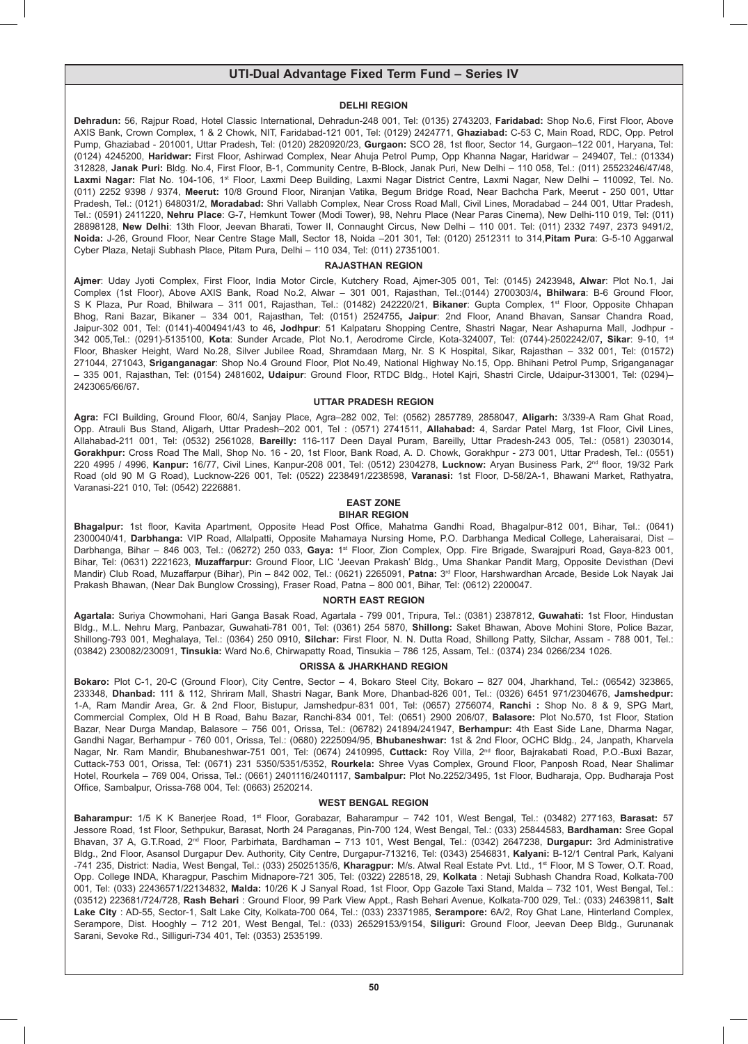### **DELHI REGION**

**Dehradun:** 56, Rajpur Road, Hotel Classic International, Dehradun-248 001, Tel: (0135) 2743203, **Faridabad:** Shop No.6, First Floor, Above AXIS Bank, Crown Complex, 1 & 2 Chowk, NIT, Faridabad-121 001, Tel: (0129) 2424771, **Ghaziabad:** C-53 C, Main Road, RDC, Opp. Petrol Pump, Ghaziabad - 201001, Uttar Pradesh, Tel: (0120) 2820920/23, **Gurgaon:** SCO 28, 1st floor, Sector 14, Gurgaon–122 001, Haryana, Tel: (0124) 4245200, **Haridwar:** First Floor, Ashirwad Complex, Near Ahuja Petrol Pump, Opp Khanna Nagar, Haridwar – 249407, Tel.: (01334) 312828, **Janak Puri:** Bldg. No.4, First Floor, B-1, Community Centre, B-Block, Janak Puri, New Delhi – 110 058, Tel.: (011) 25523246/47/48, Laxmi Nagar: Flat No. 104-106, 1<sup>st</sup> Floor, Laxmi Deep Building, Laxmi Nagar District Centre, Laxmi Nagar, New Delhi – 110092, Tel. No. (011) 2252 9398 / 9374, **Meerut:** 10/8 Ground Floor, Niranjan Vatika, Begum Bridge Road, Near Bachcha Park, Meerut - 250 001, Uttar Pradesh, Tel.: (0121) 648031/2, **Moradabad:** Shri Vallabh Complex, Near Cross Road Mall, Civil Lines, Moradabad – 244 001, Uttar Pradesh, Tel.: (0591) 2411220, **Nehru Place**: G-7, Hemkunt Tower (Modi Tower), 98, Nehru Place (Near Paras Cinema), New Delhi-110 019, Tel: (011) 28898128, **New Delhi**: 13th Floor, Jeevan Bharati, Tower II, Connaught Circus, New Delhi – 110 001. Tel: (011) 2332 7497, 2373 9491/2, **Noida:** J-26, Ground Floor, Near Centre Stage Mall, Sector 18, Noida –201 301, Tel: (0120) 2512311 to 314,**Pitam Pura**: G-5-10 Aggarwal Cyber Plaza, Netaji Subhash Place, Pitam Pura, Delhi – 110 034, Tel: (011) 27351001.

### **RAJASTHAN REGION**

**Ajmer**: Uday Jyoti Complex, First Floor, India Motor Circle, Kutchery Road, Ajmer-305 001, Tel: (0145) 2423948**, Alwar**: Plot No.1, Jai Complex (1st Floor), Above AXIS Bank, Road No.2, Alwar – 301 001, Rajasthan, Tel.:(0144) 2700303/4**, Bhilwara**: B-6 Ground Floor, S K Plaza, Pur Road, Bhilwara – 311 001, Rajasthan, Tel.: (01482) 242220/21, **Bikaner**: Gupta Complex, 1st Floor, Opposite Chhapan Bhog, Rani Bazar, Bikaner – 334 001, Rajasthan, Tel: (0151) 2524755**, Jaipur**: 2nd Floor, Anand Bhavan, Sansar Chandra Road, Jaipur-302 001, Tel: (0141)-4004941/43 to 46**, Jodhpur**: 51 Kalpataru Shopping Centre, Shastri Nagar, Near Ashapurna Mall, Jodhpur - 342 005,Tel.: (0291)-5135100, **Kota**: Sunder Arcade, Plot No.1, Aerodrome Circle, Kota-324007, Tel: (0744)-2502242/07**, Sikar**: 9-10, 1st Floor, Bhasker Height, Ward No.28, Silver Jubilee Road, Shramdaan Marg, Nr. S K Hospital, Sikar, Rajasthan – 332 001, Tel: (01572) 271044, 271043, **Sriganganagar**: Shop No.4 Ground Floor, Plot No.49, National Highway No.15, Opp. Bhihani Petrol Pump, Sriganganagar – 335 001, Rajasthan, Tel: (0154) 2481602**, Udaipur**: Ground Floor, RTDC Bldg., Hotel Kajri, Shastri Circle, Udaipur-313001, Tel: (0294)– 2423065/66/67**.**

#### **UTTAR PRADESH REGION**

**Agra:** FCI Building, Ground Floor, 60/4, Sanjay Place, Agra–282 002, Tel: (0562) 2857789, 2858047, **Aligarh:** 3/339-A Ram Ghat Road, Opp. Atrauli Bus Stand, Aligarh, Uttar Pradesh–202 001, Tel : (0571) 2741511, **Allahabad:** 4, Sardar Patel Marg, 1st Floor, Civil Lines, Allahabad-211 001, Tel: (0532) 2561028, **Bareilly:** 116-117 Deen Dayal Puram, Bareilly, Uttar Pradesh-243 005, Tel.: (0581) 2303014, **Gorakhpur:** Cross Road The Mall, Shop No. 16 - 20, 1st Floor, Bank Road, A. D. Chowk, Gorakhpur - 273 001, Uttar Pradesh, Tel.: (0551) 220 4995 / 4996, **Kanpur:** 16/77, Civil Lines, Kanpur-208 001, Tel: (0512) 2304278, **Lucknow:** Aryan Business Park, 2nd floor, 19/32 Park Road (old 90 M G Road), Lucknow-226 001, Tel: (0522) 2238491/2238598, **Varanasi:** 1st Floor, D-58/2A-1, Bhawani Market, Rathyatra, Varanasi-221 010, Tel: (0542) 2226881.

#### **EAST ZONE BIHAR REGION**

**Bhagalpur:** 1st floor, Kavita Apartment, Opposite Head Post Office, Mahatma Gandhi Road, Bhagalpur-812 001, Bihar, Tel.: (0641) 2300040/41, **Darbhanga:** VIP Road, Allalpatti, Opposite Mahamaya Nursing Home, P.O. Darbhanga Medical College, Laheraisarai, Dist – Darbhanga, Bihar – 846 003, Tel.: (06272) 250 033, Gaya: 1<sup>st</sup> Floor, Zion Complex, Opp. Fire Brigade, Swarajpuri Road, Gaya-823 001, Bihar, Tel: (0631) 2221623, **Muzaffarpur:** Ground Floor, LIC 'Jeevan Prakash' Bldg., Uma Shankar Pandit Marg, Opposite Devisthan (Devi Mandir) Club Road, Muzaffarpur (Bihar), Pin – 842 002, Tel.: (0621) 2265091, **Patna:** 3rd Floor, Harshwardhan Arcade, Beside Lok Nayak Jai Prakash Bhawan, (Near Dak Bunglow Crossing), Fraser Road, Patna – 800 001, Bihar, Tel: (0612) 2200047.

### **NORTH EAST REGION**

**Agartala:** Suriya Chowmohani, Hari Ganga Basak Road, Agartala - 799 001, Tripura, Tel.: (0381) 2387812, **Guwahati:** 1st Floor, Hindustan Bldg., M.L. Nehru Marg, Panbazar, Guwahati-781 001, Tel: (0361) 254 5870, **Shillong:** Saket Bhawan, Above Mohini Store, Police Bazar, Shillong-793 001, Meghalaya, Tel.: (0364) 250 0910, **Silchar:** First Floor, N. N. Dutta Road, Shillong Patty, Silchar, Assam - 788 001, Tel.: (03842) 230082/230091, **Tinsukia:** Ward No.6, Chirwapatty Road, Tinsukia – 786 125, Assam, Tel.: (0374) 234 0266/234 1026.

### **ORISSA & JHARKHAND REGION**

**Bokaro:** Plot C-1, 20-C (Ground Floor), City Centre, Sector – 4, Bokaro Steel City, Bokaro – 827 004, Jharkhand, Tel.: (06542) 323865, 233348, **Dhanbad:** 111 & 112, Shriram Mall, Shastri Nagar, Bank More, Dhanbad-826 001, Tel.: (0326) 6451 971/2304676, **Jamshedpur:**  1-A, Ram Mandir Area, Gr. & 2nd Floor, Bistupur, Jamshedpur-831 001, Tel: (0657) 2756074, **Ranchi :** Shop No. 8 & 9, SPG Mart, Commercial Complex, Old H B Road, Bahu Bazar, Ranchi-834 001, Tel: (0651) 2900 206/07, **Balasore:** Plot No.570, 1st Floor, Station Bazar, Near Durga Mandap, Balasore – 756 001, Orissa, Tel.: (06782) 241894/241947, **Berhampur:** 4th East Side Lane, Dharma Nagar, Gandhi Nagar, Berhampur - 760 001, Orissa, Tel.: (0680) 2225094/95, **Bhubaneshwar:** 1st & 2nd Floor, OCHC Bldg., 24, Janpath, Kharvela Nagar, Nr. Ram Mandir, Bhubaneshwar-751 001, Tel: (0674) 2410995, **Cuttack:** Roy Villa, 2nd floor, Bajrakabati Road, P.O.-Buxi Bazar, Cuttack-753 001, Orissa, Tel: (0671) 231 5350/5351/5352, **Rourkela:** Shree Vyas Complex, Ground Floor, Panposh Road, Near Shalimar Hotel, Rourkela – 769 004, Orissa, Tel.: (0661) 2401116/2401117, **Sambalpur:** Plot No.2252/3495, 1st Floor, Budharaja, Opp. Budharaja Post Office, Sambalpur, Orissa-768 004, Tel: (0663) 2520214.

#### **WEST BENGAL REGION**

**Baharampur:** 1/5 K K Banerjee Road, 1st Floor, Gorabazar, Baharampur – 742 101, West Bengal, Tel.: (03482) 277163, **Barasat:** 57 Jessore Road, 1st Floor, Sethpukur, Barasat, North 24 Paraganas, Pin-700 124, West Bengal, Tel.: (033) 25844583, **Bardhaman:** Sree Gopal Bhavan, 37 A, G.T.Road, 2nd Floor, Parbirhata, Bardhaman – 713 101, West Bengal, Tel.: (0342) 2647238, **Durgapur:** 3rd Administrative Bldg., 2nd Floor, Asansol Durgapur Dev. Authority, City Centre, Durgapur-713216, Tel: (0343) 2546831, **Kalyani:** B-12/1 Central Park, Kalyani -741 235, District: Nadia, West Bengal, Tel.: (033) 25025135/6, **Kharagpur:** M/s. Atwal Real Estate Pvt. Ltd., 1st Floor, M S Tower, O.T. Road, Opp. College INDA, Kharagpur, Paschim Midnapore-721 305, Tel: (0322) 228518, 29, **Kolkata** : Netaji Subhash Chandra Road, Kolkata-700 001, Tel: (033) 22436571/22134832, **Malda:** 10/26 K J Sanyal Road, 1st Floor, Opp Gazole Taxi Stand, Malda – 732 101, West Bengal, Tel.: (03512) 223681/724/728, **Rash Behari** : Ground Floor, 99 Park View Appt., Rash Behari Avenue, Kolkata-700 029, Tel.: (033) 24639811, **Salt Lake City** : AD-55, Sector-1, Salt Lake City, Kolkata-700 064, Tel.: (033) 23371985, **Serampore:** 6A/2, Roy Ghat Lane, Hinterland Complex, Serampore, Dist. Hooghly – 712 201, West Bengal, Tel.: (033) 26529153/9154, **Siliguri:** Ground Floor, Jeevan Deep Bldg., Gurunanak Sarani, Sevoke Rd., Silliguri-734 401, Tel: (0353) 2535199.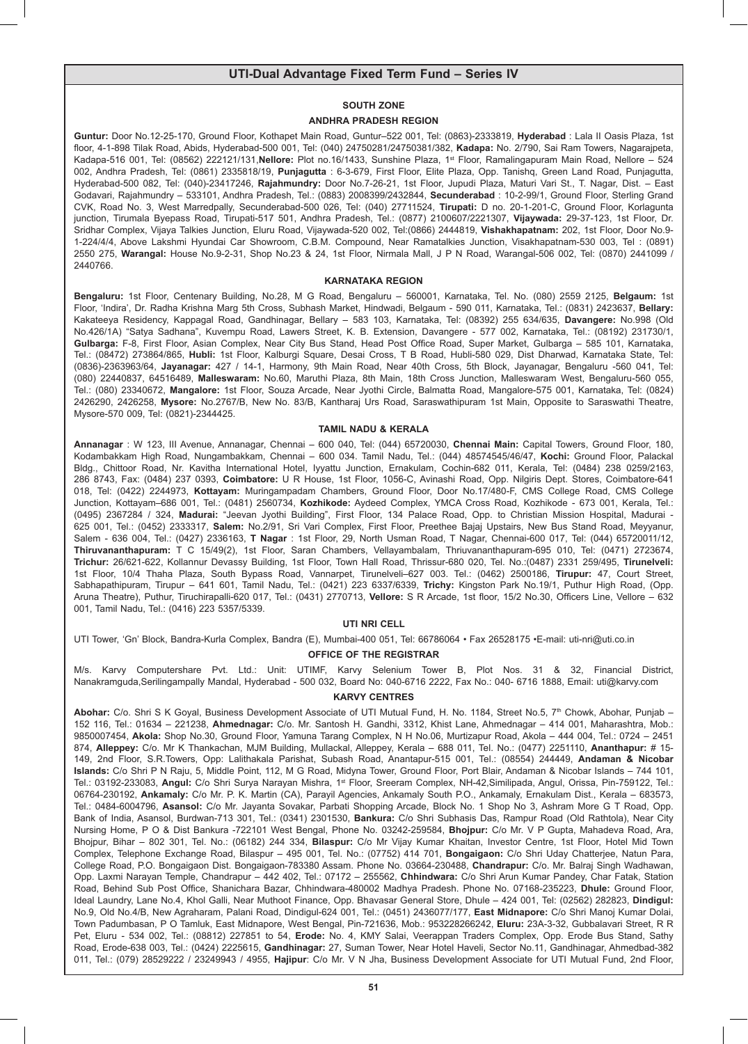### **SOUTH ZONE**

#### **ANDHRA PRADESH REGION**

**Guntur:** Door No.12-25-170, Ground Floor, Kothapet Main Road, Guntur–522 001, Tel: (0863)-2333819, **Hyderabad** : Lala II Oasis Plaza, 1st floor, 4-1-898 Tilak Road, Abids, Hyderabad-500 001, Tel: (040) 24750281/24750381/382, **Kadapa:** No. 2/790, Sai Ram Towers, Nagarajpeta, Kadapa-516 001, Tel: (08562) 222121/131,**Nellore:** Plot no.16/1433, Sunshine Plaza, 1st Floor, Ramalingapuram Main Road, Nellore – 524 002, Andhra Pradesh, Tel: (0861) 2335818/19, **Punjagutta** : 6-3-679, First Floor, Elite Plaza, Opp. Tanishq, Green Land Road, Punjagutta, Hyderabad-500 082, Tel: (040)-23417246, **Rajahmundry:** Door No.7-26-21, 1st Floor, Jupudi Plaza, Maturi Vari St., T. Nagar, Dist. – East Godavari, Rajahmundry – 533101, Andhra Pradesh, Tel.: (0883) 2008399/2432844, **Secunderabad** : 10-2-99/1, Ground Floor, Sterling Grand CVK, Road No. 3, West Marredpally, Secunderabad-500 026, Tel: (040) 27711524, **Tirupati:** D no. 20-1-201-C, Ground Floor, Korlagunta junction, Tirumala Byepass Road, Tirupati-517 501, Andhra Pradesh, Tel.: (0877) 2100607/2221307, **Vijaywada:** 29-37-123, 1st Floor, Dr. Sridhar Complex, Vijaya Talkies Junction, Eluru Road, Vijaywada-520 002, Tel:(0866) 2444819, **Vishakhapatnam:** 202, 1st Floor, Door No.9- 1-224/4/4, Above Lakshmi Hyundai Car Showroom, C.B.M. Compound, Near Ramatalkies Junction, Visakhapatnam-530 003, Tel : (0891) 2550 275, **Warangal:** House No.9-2-31, Shop No.23 & 24, 1st Floor, Nirmala Mall, J P N Road, Warangal-506 002, Tel: (0870) 2441099 / 2440766.

#### **KARNATAKA REGION**

**Bengaluru:** 1st Floor, Centenary Building, No.28, M G Road, Bengaluru – 560001, Karnataka, Tel. No. (080) 2559 2125, **Belgaum:** 1st Floor, 'Indira', Dr. Radha Krishna Marg 5th Cross, Subhash Market, Hindwadi, Belgaum - 590 011, Karnataka, Tel.: (0831) 2423637, **Bellary:**  Kakateeya Residency, Kappagal Road, Gandhinagar, Bellary – 583 103, Karnataka, Tel: (08392) 255 634/635, **Davangere:** No.998 (Old No.426/1A) "Satya Sadhana", Kuvempu Road, Lawers Street, K. B. Extension, Davangere - 577 002, Karnataka, Tel.: (08192) 231730/1, **Gulbarga:** F-8, First Floor, Asian Complex, Near City Bus Stand, Head Post Office Road, Super Market, Gulbarga – 585 101, Karnataka, Tel.: (08472) 273864/865, **Hubli:** 1st Floor, Kalburgi Square, Desai Cross, T B Road, Hubli-580 029, Dist Dharwad, Karnataka State, Tel: (0836)-2363963/64, **Jayanagar:** 427 / 14-1, Harmony, 9th Main Road, Near 40th Cross, 5th Block, Jayanagar, Bengaluru -560 041, Tel: (080) 22440837, 64516489, **Malleswaram:** No.60, Maruthi Plaza, 8th Main, 18th Cross Junction, Malleswaram West, Bengaluru-560 055, Tel.: (080) 23340672, **Mangalore:** 1st Floor, Souza Arcade, Near Jyothi Circle, Balmatta Road, Mangalore-575 001, Karnataka, Tel: (0824) 2426290, 2426258, **Mysore:** No.2767/B, New No. 83/B, Kantharaj Urs Road, Saraswathipuram 1st Main, Opposite to Saraswathi Theatre, Mysore-570 009, Tel: (0821)-2344425.

### **TAMIL NADU & KERALA**

**Annanagar** : W 123, III Avenue, Annanagar, Chennai – 600 040, Tel: (044) 65720030, **Chennai Main:** Capital Towers, Ground Floor, 180, Kodambakkam High Road, Nungambakkam, Chennai – 600 034. Tamil Nadu, Tel.: (044) 48574545/46/47, **Kochi:** Ground Floor, Palackal Bldg., Chittoor Road, Nr. Kavitha International Hotel, Iyyattu Junction, Ernakulam, Cochin-682 011, Kerala, Tel: (0484) 238 0259/2163, 286 8743, Fax: (0484) 237 0393, **Coimbatore:** U R House, 1st Floor, 1056-C, Avinashi Road, Opp. Nilgiris Dept. Stores, Coimbatore-641 018, Tel: (0422) 2244973, **Kottayam:** Muringampadam Chambers, Ground Floor, Door No.17/480-F, CMS College Road, CMS College Junction, Kottayam–686 001, Tel.: (0481) 2560734, **Kozhikode:** Aydeed Complex, YMCA Cross Road, Kozhikode - 673 001, Kerala, Tel.: (0495) 2367284 / 324, **Madurai:** "Jeevan Jyothi Building", First Floor, 134 Palace Road, Opp. to Christian Mission Hospital, Madurai - 625 001, Tel.: (0452) 2333317, **Salem:** No.2/91, Sri Vari Complex, First Floor, Preethee Bajaj Upstairs, New Bus Stand Road, Meyyanur, Salem - 636 004, Tel.: (0427) 2336163, **T Nagar** : 1st Floor, 29, North Usman Road, T Nagar, Chennai-600 017, Tel: (044) 65720011/12, **Thiruvananthapuram:** T C 15/49(2), 1st Floor, Saran Chambers, Vellayambalam, Thriuvananthapuram-695 010, Tel: (0471) 2723674, **Trichur:** 26/621-622, Kollannur Devassy Building, 1st Floor, Town Hall Road, Thrissur-680 020, Tel. No.:(0487) 2331 259/495, **Tirunelveli:** 1st Floor, 10/4 Thaha Plaza, South Bypass Road, Vannarpet, Tirunelveli–627 003. Tel.: (0462) 2500186, **Tirupur:** 47, Court Street, Sabhapathipuram, Tirupur – 641 601, Tamil Nadu, Tel.: (0421) 223 6337/6339, **Trichy:** Kingston Park No.19/1, Puthur High Road, (Opp. Aruna Theatre), Puthur, Tiruchirapalli-620 017, Tel.: (0431) 2770713, **Vellore:** S R Arcade, 1st floor, 15/2 No.30, Officers Line, Vellore – 632 001, Tamil Nadu, Tel.: (0416) 223 5357/5339.

### **UTI NRI CELL**

UTI Tower, 'Gn' Block, Bandra-Kurla Complex, Bandra (E), Mumbai-400 051, Tel: 66786064 • Fax 26528175 •E-mail: uti-nri@uti.co.in

#### **OFFICE OF THE REGISTRAR**

M/s. Karvy Computershare Pvt. Ltd.: Unit: UTIMF, Karvy Selenium Tower B, Plot Nos. 31 & 32, Financial District, Nanakramguda,Serilingampally Mandal, Hyderabad - 500 032, Board No: 040-6716 2222, Fax No.: 040- 6716 1888, Email: uti@karvy.com

### **KARVY CENTRES**

Abohar: C/o. Shri S K Goyal, Business Development Associate of UTI Mutual Fund, H. No. 1184, Street No.5, 7<sup>th</sup> Chowk, Abohar, Punjab – 152 116, Tel.: 01634 – 221238, **Ahmednagar:** C/o. Mr. Santosh H. Gandhi, 3312, Khist Lane, Ahmednagar – 414 001, Maharashtra, Mob.: 9850007454, **Akola:** Shop No.30, Ground Floor, Yamuna Tarang Complex, N H No.06, Murtizapur Road, Akola – 444 004, Tel.: 0724 – 2451 874, **Alleppey:** C/o. Mr K Thankachan, MJM Building, Mullackal, Alleppey, Kerala – 688 011, Tel. No.: (0477) 2251110, **Ananthapur:** # 15- 149, 2nd Floor, S.R.Towers, Opp: Lalithakala Parishat, Subash Road, Anantapur-515 001, Tel.: (08554) 244449, **Andaman & Nicobar Islands:** C/o Shri P N Raju, 5, Middle Point, 112, M G Road, Midyna Tower, Ground Floor, Port Blair, Andaman & Nicobar Islands – 744 101, Tel.: 03192-233083, Angul: C/o Shri Surya Narayan Mishra, 1<sup>st</sup> Floor, Sreeram Complex, NH-42,Similipada, Angul, Orissa, Pin-759122, Tel.: 06764-230192, **Ankamaly:** C/o Mr. P. K. Martin (CA), Parayil Agencies, Ankamaly South P.O., Ankamaly, Ernakulam Dist., Kerala – 683573, Tel.: 0484-6004796, **Asansol:** C/o Mr. Jayanta Sovakar, Parbati Shopping Arcade, Block No. 1 Shop No 3, Ashram More G T Road, Opp. Bank of India, Asansol, Burdwan-713 301, Tel.: (0341) 2301530, **Bankura:** C/o Shri Subhasis Das, Rampur Road (Old Rathtola), Near City Nursing Home, P O & Dist Bankura -722101 West Bengal, Phone No. 03242-259584, **Bhojpur:** C/o Mr. V P Gupta, Mahadeva Road, Ara, Bhojpur, Bihar – 802 301, Tel. No.: (06182) 244 334, **Bilaspur:** C/o Mr Vijay Kumar Khaitan, Investor Centre, 1st Floor, Hotel Mid Town Complex, Telephone Exchange Road, Bilaspur – 495 001, Tel. No.: (07752) 414 701, **Bongaigaon:** C/o Shri Uday Chatterjee, Natun Para, College Road, P.O. Bongaigaon Dist. Bongaigaon-783380 Assam. Phone No. 03664-230488, **Chandrapur:** C/o. Mr. Balraj Singh Wadhawan, Opp. Laxmi Narayan Temple, Chandrapur – 442 402, Tel.: 07172 – 255562, **Chhindwara:** C/o Shri Arun Kumar Pandey, Char Fatak, Station Road, Behind Sub Post Office, Shanichara Bazar, Chhindwara-480002 Madhya Pradesh. Phone No. 07168-235223, **Dhule:** Ground Floor, Ideal Laundry, Lane No.4, Khol Galli, Near Muthoot Finance, Opp. Bhavasar General Store, Dhule – 424 001, Tel: (02562) 282823, **Dindigul:**  No.9, Old No.4/B, New Agraharam, Palani Road, Dindigul-624 001, Tel.: (0451) 2436077/177, **East Midnapore:** C/o Shri Manoj Kumar Dolai, Town Padumbasan, P O Tamluk, East Midnapore, West Bengal, Pin-721636, Mob.: 953228266242, **Eluru:** 23A-3-32, Gubbalavari Street, R R Pet, Eluru - 534 002, Tel.: (08812) 227851 to 54, **Erode:** No. 4, KMY Salai, Veerappan Traders Complex, Opp. Erode Bus Stand, Sathy Road, Erode-638 003, Tel.: (0424) 2225615, **Gandhinagar:** 27, Suman Tower, Near Hotel Haveli, Sector No.11, Gandhinagar, Ahmedbad-382 011, Tel.: (079) 28529222 / 23249943 / 4955, **Hajipur**: C/o Mr. V N Jha, Business Development Associate for UTI Mutual Fund, 2nd Floor,